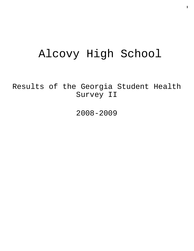# Alcovy High School

Results of the Georgia Student Health Survey II

2008-2009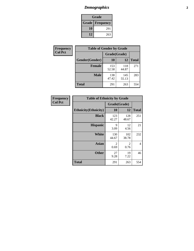# *Demographics* **2**

| Grade                    |     |  |  |  |
|--------------------------|-----|--|--|--|
| <b>Grade   Frequency</b> |     |  |  |  |
| 10                       | 291 |  |  |  |
| 12                       | 263 |  |  |  |

| <b>Frequency</b> | <b>Table of Gender by Grade</b> |              |              |              |  |  |
|------------------|---------------------------------|--------------|--------------|--------------|--|--|
| <b>Col Pct</b>   |                                 | Grade(Grade) |              |              |  |  |
|                  | Gender(Gender)                  | 10           | 12           | <b>Total</b> |  |  |
|                  | <b>Female</b>                   | 153<br>52.58 | 118<br>44.87 | 271          |  |  |
|                  | <b>Male</b>                     | 138<br>47.42 | 145<br>55.13 | 283          |  |  |
|                  | <b>Total</b>                    | 291          | 263          | 554          |  |  |

| Frequency<br>Col Pct |
|----------------------|
|                      |

| <b>Table of Ethnicity by Grade</b> |              |              |              |  |  |  |
|------------------------------------|--------------|--------------|--------------|--|--|--|
|                                    | Grade(Grade) |              |              |  |  |  |
| <b>Ethnicity</b> (Ethnicity)       | 10           | 12           | <b>Total</b> |  |  |  |
| <b>Black</b>                       | 123<br>42.27 | 128<br>48.67 | 251          |  |  |  |
| <b>Hispanic</b>                    | 9<br>3.09    | 12<br>4.56   | 21           |  |  |  |
| White                              | 130<br>44.67 | 102<br>38.78 | 232          |  |  |  |
| <b>Asian</b>                       | 2<br>0.69    | 2<br>0.76    | 4            |  |  |  |
| <b>Other</b>                       | 27<br>9.28   | 19<br>7.22   | 46           |  |  |  |
| <b>Total</b>                       | 291          | 263          | 554          |  |  |  |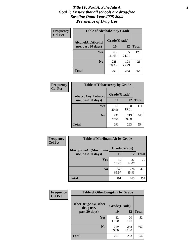#### *Title IV, Part A, Schedule A* **3** *Goal 1: Ensure that all schools are drug-free Baseline Data: Year 2008-2009 Prevalence of Drug Use*

| Frequency<br><b>Col Pct</b> | <b>Table of AlcoholAlt by Grade</b> |              |              |              |  |  |
|-----------------------------|-------------------------------------|--------------|--------------|--------------|--|--|
|                             | AlcoholAlt(Alcohol                  | Grade(Grade) |              |              |  |  |
|                             | use, past 30 days)                  | 10           | 12           | <b>Total</b> |  |  |
|                             | Yes                                 | 63<br>21.65  | 65<br>24.71  | 128          |  |  |
|                             | N <sub>0</sub>                      | 228<br>78.35 | 198<br>75.29 | 426          |  |  |
|                             | <b>Total</b>                        | 291          | 263          | 554          |  |  |

| Frequency<br><b>Col Pct</b> | <b>Table of TobaccoAny by Grade</b> |              |              |              |  |  |
|-----------------------------|-------------------------------------|--------------|--------------|--------------|--|--|
|                             | TobaccoAny(Tobacco                  | Grade(Grade) |              |              |  |  |
|                             | use, past 30 days)                  | 10           | 12           | <b>Total</b> |  |  |
|                             | Yes                                 | 61<br>20.96  | 50<br>19.01  | 111          |  |  |
|                             | N <sub>0</sub>                      | 230<br>79.04 | 213<br>80.99 | 443          |  |  |
|                             | <b>Total</b>                        | 291          | 263          | 554          |  |  |

| Frequency<br><b>Col Pct</b> | <b>Table of MarijuanaAlt by Grade</b> |              |              |              |  |
|-----------------------------|---------------------------------------|--------------|--------------|--------------|--|
|                             | MarijuanaAlt(Marijuana                | Grade(Grade) |              |              |  |
|                             | use, past 30 days)                    | 10           | 12           | <b>Total</b> |  |
|                             | <b>Yes</b>                            | 42<br>14.43  | 37<br>14.07  | 79           |  |
|                             | N <sub>0</sub>                        | 249<br>85.57 | 226<br>85.93 | 475          |  |
|                             | <b>Total</b>                          | 291          | 263          | 554          |  |

| <b>Frequency</b> | <b>Table of OtherDrugAny by Grade</b>  |              |              |              |  |
|------------------|----------------------------------------|--------------|--------------|--------------|--|
| <b>Col Pct</b>   | <b>OtherDrugAny(Other</b><br>drug use, | Grade(Grade) |              |              |  |
|                  | past 30 days)                          | 10           | 12           | <b>Total</b> |  |
|                  | Yes                                    | 32<br>11.00  | 20<br>7.60   | 52           |  |
|                  | N <sub>0</sub>                         | 259<br>89.00 | 243<br>92.40 | 502          |  |
|                  | <b>Total</b>                           | 291          | 263          | 554          |  |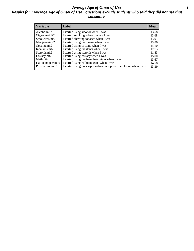#### *Average Age of Onset of Use* **4** *Results for "Average Age of Onset of Use" questions exclude students who said they did not use that substance*

| <b>Variable</b>    | Label                                                              | <b>Mean</b> |
|--------------------|--------------------------------------------------------------------|-------------|
| Alcoholinit2       | I started using alcohol when I was                                 | 13.58       |
| Cigarettesinit2    | I started smoking tobacco when I was                               | 13.68       |
| Smokelessinit2     | I started chewing tobacco when I was                               | 13.91       |
| Marijuanainit2     | I started using marijuana when I was                               | 13.86       |
| Cocaineinit2       | I started using cocaine when I was                                 | 14.10       |
| Inhalantsinit2     | I started using inhalants when I was                               | 12.73       |
| Steroidsinit2      | I started using steroids when I was                                | 11.83       |
| Ecstasyinit2       | I started using ecstasy when I was                                 | 15.00       |
| Methinit2          | I started using methamphetamines when I was                        | 13.67       |
| Hallucinogensinit2 | I started using hallucinogens when I was                           | 14.58       |
| Prescriptioninit2  | I started using prescription drugs not prescribed to me when I was | 13.39       |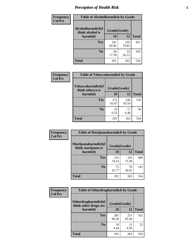# *Perception of Health Risk* **5**

| Frequency      | <b>Table of Alcoholharmdich by Grade</b> |              |              |              |  |
|----------------|------------------------------------------|--------------|--------------|--------------|--|
| <b>Col Pct</b> | Alcoholharmdich(I<br>think alcohol is    | Grade(Grade) |              |              |  |
|                | harmful)                                 | 10           | 12           | <b>Total</b> |  |
|                | <b>Yes</b>                               | 241<br>82.82 | 210<br>79.85 | 451          |  |
|                | N <sub>0</sub>                           | 50<br>17.18  | 53<br>20.15  | 103          |  |
|                | <b>Total</b>                             | 291          | 263          | 554          |  |

| Frequency      | <b>Table of Tobaccoharmdich by Grade</b> |              |              |              |  |
|----------------|------------------------------------------|--------------|--------------|--------------|--|
| <b>Col Pct</b> | Tobaccoharmdich(I<br>think tobacco is    | Grade(Grade) |              |              |  |
|                | harmful)                                 | 10           | 12           | <b>Total</b> |  |
|                | Yes                                      | 272<br>93.47 | 246<br>93.54 | 518          |  |
|                | N <sub>0</sub>                           | 19<br>6.53   | 17<br>6.46   | 36           |  |
|                | Total                                    | 291          | 263          | 554          |  |

| Frequency      | <b>Table of Marijuanaharmdich by Grade</b> |              |              |              |  |  |
|----------------|--------------------------------------------|--------------|--------------|--------------|--|--|
| <b>Col Pct</b> | Marijuanaharmdich(I<br>think marijuana is  | Grade(Grade) |              |              |  |  |
|                | harmful)                                   | 10           | 12           | <b>Total</b> |  |  |
|                | Yes                                        | 216<br>74.23 | 193<br>73.38 | 409          |  |  |
|                | N <sub>0</sub>                             | 75<br>25.77  | 70<br>26.62  | 145          |  |  |
|                | <b>Total</b>                               | 291          | 263          | 554          |  |  |

| <b>Frequency</b> | <b>Table of Otherdrugharmdich by Grade</b>   |              |              |              |  |  |  |
|------------------|----------------------------------------------|--------------|--------------|--------------|--|--|--|
| <b>Col Pct</b>   | Otherdrugharmdich(I<br>think other drugs are |              | Grade(Grade) |              |  |  |  |
|                  | harmful)                                     | 10           | 12           | <b>Total</b> |  |  |  |
|                  | <b>Yes</b>                                   | 281<br>96.56 | 251<br>95.44 | 532          |  |  |  |
|                  | N <sub>0</sub>                               | 10<br>3.44   | 12<br>4.56   | 22           |  |  |  |
|                  | <b>Total</b>                                 | 291          | 263          | 554          |  |  |  |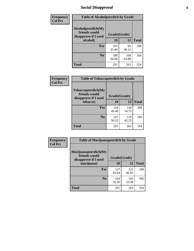# *Social Disapproval* **6**

| Frequency      | <b>Table of Alcoholpeerdich by Grade</b>                    |              |              |              |  |  |
|----------------|-------------------------------------------------------------|--------------|--------------|--------------|--|--|
| <b>Col Pct</b> | Alcoholpeerdich(My<br>friends would<br>disapprove if I used | Grade(Grade) |              |              |  |  |
|                | alcohol)                                                    | 10           | 12           | <b>Total</b> |  |  |
|                | <b>Yes</b>                                                  | 103<br>35.40 | 95<br>36.12  | 198          |  |  |
|                | N <sub>0</sub>                                              | 188<br>64.60 | 168<br>63.88 | 356          |  |  |
|                | <b>Total</b>                                                | 291          | 263          | 554          |  |  |

| <b>Frequency</b> |
|------------------|
| <b>Col Pct</b>   |

| <b>Table of Tobaccopeerdich by Grade</b>                            |              |              |              |  |  |
|---------------------------------------------------------------------|--------------|--------------|--------------|--|--|
| <b>Tobaccopeerdich</b> (My<br>friends would<br>disapprove if I used | Grade(Grade) |              |              |  |  |
| tobacco)                                                            | 10           | 12           | <b>Total</b> |  |  |
| Yes                                                                 | 144<br>49.48 | 144<br>54.75 | 288          |  |  |
| N <sub>0</sub>                                                      | 147<br>50.52 | 119<br>45.25 | 266          |  |  |
| <b>Total</b>                                                        | 291          | 263          | 554          |  |  |

| Frequency<br><b>Col Pct</b> | <b>Table of Marijuanapeerdich by Grade</b>                    |              |              |              |  |  |  |
|-----------------------------|---------------------------------------------------------------|--------------|--------------|--------------|--|--|--|
|                             | Marijuanapeerdich(My<br>friends would<br>disapprove if I used | Grade(Grade) |              |              |  |  |  |
|                             | marijuana)                                                    | 10           | 12           | <b>Total</b> |  |  |  |
|                             | <b>Yes</b>                                                    | 127<br>43.64 | 121<br>46.01 | 248          |  |  |  |
|                             | N <sub>0</sub>                                                | 164<br>56.36 | 142<br>53.99 | 306          |  |  |  |
|                             | <b>Total</b>                                                  | 291          | 263          | 554          |  |  |  |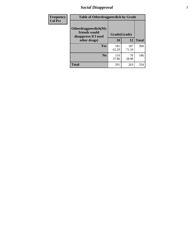# *Social Disapproval* **7**

| Frequency      | <b>Table of Otherdrugpeerdich by Grade</b>                    |              |              |              |  |  |  |  |
|----------------|---------------------------------------------------------------|--------------|--------------|--------------|--|--|--|--|
| <b>Col Pct</b> | Otherdrugpeerdich(My<br>friends would<br>disapprove if I used | Grade(Grade) |              |              |  |  |  |  |
|                | other drugs)                                                  | 10           | 12           | <b>Total</b> |  |  |  |  |
|                | Yes                                                           | 181<br>62.20 | 187<br>71.10 | 368          |  |  |  |  |
|                | N <sub>0</sub>                                                | 110<br>37.80 | 76<br>28.90  | 186          |  |  |  |  |
|                | <b>Total</b>                                                  | 291          | 263          | 554          |  |  |  |  |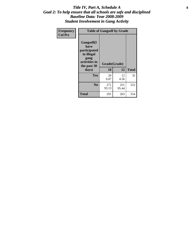#### Title IV, Part A, Schedule A **8** *Goal 2: To help ensure that all schools are safe and disciplined Baseline Data: Year 2008-2009 Student Involvement in Gang Activity*

| Frequency      | <b>Table of Gangself by Grade</b>                                                                 |                    |              |              |
|----------------|---------------------------------------------------------------------------------------------------|--------------------|--------------|--------------|
| <b>Col Pct</b> | Gangself(I<br>have<br>participated<br>in illegal<br>gang<br>activities in<br>the past 30<br>days) | Grade(Grade)<br>10 | 12           | <b>Total</b> |
|                | Yes                                                                                               | 20<br>6.87         | 12<br>4.56   | 32           |
|                | N <sub>0</sub>                                                                                    | 271<br>93.13       | 251<br>95.44 | 522          |
|                | <b>Total</b>                                                                                      | 291                | 263          | 554          |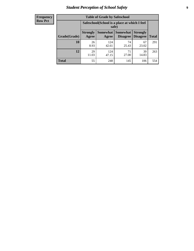# *Student Perception of School Safety* **9**

| <b>Frequency</b><br>Row Pct |
|-----------------------------|
|                             |

| <b>Table of Grade by Safeschool</b> |                          |                                                        |                             |                                    |              |  |  |
|-------------------------------------|--------------------------|--------------------------------------------------------|-----------------------------|------------------------------------|--------------|--|--|
|                                     |                          | Safeschool (School is a place at which I feel<br>safe) |                             |                                    |              |  |  |
| Grade(Grade)                        | <b>Strongly</b><br>Agree | <b>Somewhat</b><br>Agree                               | <b>Somewhat</b><br>Disagree | <b>Strongly</b><br><b>Disagree</b> | <b>Total</b> |  |  |
| 10                                  | 26<br>8.93               | 124<br>42.61                                           | 74<br>25.43                 | 67<br>23.02                        | 291          |  |  |
| 12                                  | 29<br>11.03              | 124<br>47.15                                           | 71<br>27.00                 | 39<br>14.83                        | 263          |  |  |
| <b>Total</b>                        | 55                       | 248                                                    | 145                         | 106                                | 554          |  |  |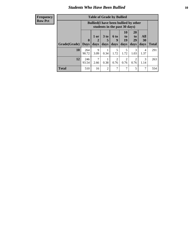### *Students Who Have Been Bullied* **10**

#### **Frequency Row Pct**

| <b>Table of Grade by Bullied</b> |                         |                                                                               |                              |                          |                        |                               |                   |              |
|----------------------------------|-------------------------|-------------------------------------------------------------------------------|------------------------------|--------------------------|------------------------|-------------------------------|-------------------|--------------|
|                                  |                         | <b>Bullied</b> (I have been bullied by other<br>students in the past 30 days) |                              |                          |                        |                               |                   |              |
| Grade(Grade)                     | $\bf{0}$<br><b>Days</b> | 1 or<br>days                                                                  | 3 <sub>to</sub><br>5<br>days | <b>6 to</b><br>9<br>days | 10<br>to<br>19<br>days | <b>20</b><br>to<br>29<br>days | All<br>30<br>days | <b>Total</b> |
| 10                               | 264<br>90.72            | 9<br>3.09                                                                     | 0.34                         | 5<br>1.72                | 5<br>1.72              | 3<br>1.03                     | 4<br>1.37         | 291          |
| 12                               | 246<br>93.54            | 7<br>2.66                                                                     | 0.38                         | $\overline{2}$<br>0.76   | $\overline{2}$<br>0.76 | $\overline{2}$<br>0.76        | 3<br>1.14         | 263          |
| <b>Total</b>                     | 510                     | 16                                                                            | 2                            | 7                        | 7                      | 5                             | $\mathcal{I}$     | 554          |

 $\blacksquare$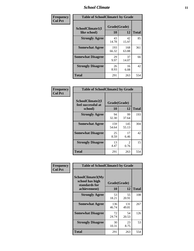#### *School Climate* **11**

| Frequency      | <b>Table of SchoolClimate1 by Grade</b> |                    |              |              |  |  |
|----------------|-----------------------------------------|--------------------|--------------|--------------|--|--|
| <b>Col Pct</b> | SchoolClimate1(I<br>like school)        | Grade(Grade)<br>10 | 12           | <b>Total</b> |  |  |
|                | <b>Strongly Agree</b>                   | 43<br>14.78        | 42<br>15.97  | 85           |  |  |
|                | <b>Somewhat Agree</b>                   | 193<br>66.32       | 168<br>63.88 | 361          |  |  |
|                | <b>Somewhat Disagree</b>                | 29<br>9.97         | 37<br>14.07  | 66           |  |  |
|                | <b>Strongly Disagree</b>                | 26<br>8.93         | 16<br>6.08   | 42           |  |  |
|                | <b>Total</b>                            | 291                | 263          | 554          |  |  |

| <b>Frequency</b> |  |
|------------------|--|
| <b>Col Pct</b>   |  |

| <b>Table of SchoolClimate2 by Grade</b>           |                    |                                     |              |  |  |
|---------------------------------------------------|--------------------|-------------------------------------|--------------|--|--|
| SchoolClimate2(I<br>feel successful at<br>school) | Grade(Grade)<br>10 | 12                                  | <b>Total</b> |  |  |
| <b>Strongly Agree</b>                             | 94<br>32.30        | 99<br>37.64                         | 193          |  |  |
| <b>Somewhat Agree</b>                             | 159<br>54.64       | 145<br>55.13                        | 304          |  |  |
| <b>Somewhat Disagree</b>                          | 25<br>8.59         | 17<br>6.46                          | 42           |  |  |
| <b>Strongly Disagree</b>                          | 13<br>4.47         | $\mathcal{D}_{\mathcal{L}}$<br>0.76 | 15           |  |  |
| Total                                             | 291                | 263                                 | 554          |  |  |

| Frequency      | <b>Table of SchoolClimate3 by Grade</b>                      |              |              |              |  |
|----------------|--------------------------------------------------------------|--------------|--------------|--------------|--|
| <b>Col Pct</b> | <b>SchoolClimate3(My</b><br>school has high<br>standards for | Grade(Grade) |              |              |  |
|                | achievement)                                                 | 10           | 12           | <b>Total</b> |  |
|                | <b>Strongly Agree</b>                                        | 53<br>18.21  | 55<br>20.91  | 108          |  |
|                | <b>Somewhat Agree</b>                                        | 136<br>46.74 | 131<br>49.81 | 267          |  |
|                | <b>Somewhat Disagree</b>                                     | 72<br>24.74  | 54<br>20.53  | 126          |  |
|                | <b>Strongly Disagree</b>                                     | 30<br>10.31  | 23<br>8.75   | 53           |  |
|                | Total                                                        | 291          | 263          | 554          |  |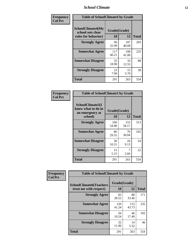#### *School Climate* **12**

| Frequency      |                                                               | <b>Table of SchoolClimate4 by Grade</b> |              |              |  |
|----------------|---------------------------------------------------------------|-----------------------------------------|--------------|--------------|--|
| <b>Col Pct</b> | SchoolClimate4(My<br>school sets clear<br>rules for behavior) | Grade(Grade)<br>10                      | 12           | <b>Total</b> |  |
|                | <b>Strongly Agree</b>                                         | 96<br>32.99                             | 107<br>40.68 | 203          |  |
|                | <b>Somewhat Agree</b>                                         | 117<br>40.21                            | 108<br>41.06 | 225          |  |
|                | <b>Somewhat Disagree</b>                                      | 55<br>18.90                             | 33<br>12.55  | 88           |  |
|                | <b>Strongly Disagree</b>                                      | 23<br>7.90                              | 15<br>5.70   | 38           |  |
|                | <b>Total</b>                                                  | 291                                     | 263          | 554          |  |

| <b>Table of SchoolClimate5 by Grade</b>                   |              |              |              |  |  |
|-----------------------------------------------------------|--------------|--------------|--------------|--|--|
| SchoolClimate5(I<br>know what to do in<br>an emergency at | Grade(Grade) |              |              |  |  |
| school)                                                   | 10           | 12           | <b>Total</b> |  |  |
| <b>Strongly Agree</b>                                     | 160<br>54.98 | 153<br>58.17 | 313          |  |  |
| <b>Somewhat Agree</b>                                     | 86<br>29.55  | 79<br>30.04  | 165          |  |  |
| <b>Somewhat Disagree</b>                                  | 30<br>10.31  | 24<br>9.13   | 54           |  |  |
| <b>Strongly Disagree</b>                                  | 15<br>5.15   | 7<br>2.66    | 22           |  |  |
| Total                                                     | 291          | 263          | 554          |  |  |

| Frequency      | <b>Table of SchoolClimate6 by Grade</b>                  |                    |              |              |
|----------------|----------------------------------------------------------|--------------------|--------------|--------------|
| <b>Col Pct</b> | <b>SchoolClimate6(Teachers</b><br>treat me with respect) | Grade(Grade)<br>10 | 12           | <b>Total</b> |
|                | <b>Strongly Agree</b>                                    | 83<br>28.52        | 88<br>33.46  | 171          |
|                | <b>Somewhat Agree</b>                                    | 120<br>41.24       | 115<br>43.73 | 235          |
|                | <b>Somewhat Disagree</b>                                 | 56<br>19.24        | 46<br>17.49  | 102          |
|                | <b>Strongly Disagree</b>                                 | 32<br>11.00        | 14<br>5.32   | 46           |
|                | <b>Total</b>                                             | 291                | 263          | 554          |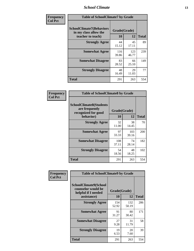#### *School Climate* **13**

| Frequency      | <b>Table of SchoolClimate7 by Grade</b>                                       |                    |              |              |
|----------------|-------------------------------------------------------------------------------|--------------------|--------------|--------------|
| <b>Col Pct</b> | <b>SchoolClimate7(Behaviors</b><br>in my class allow the<br>teacher to teach) | Grade(Grade)<br>10 | 12           | <b>Total</b> |
|                | <b>Strongly Agree</b>                                                         | 44<br>15.12        | 45<br>17.11  | 89           |
|                | <b>Somewhat Agree</b>                                                         | 116<br>39.86       | 123<br>46.77 | 239          |
|                | <b>Somewhat Disagree</b>                                                      | 83<br>28.52        | 66<br>25.10  | 149          |
|                | <b>Strongly Disagree</b>                                                      | 48<br>16.49        | 29<br>11.03  | 77           |
|                | <b>Total</b>                                                                  | 291                | 263          | 554          |

| Frequency      | <b>Table of SchoolClimate8 by Grade</b>                                              |                    |              |              |
|----------------|--------------------------------------------------------------------------------------|--------------------|--------------|--------------|
| <b>Col Pct</b> | <b>SchoolClimate8(Students</b><br>are frequently<br>recognized for good<br>behavior) | Grade(Grade)<br>10 | 12           | <b>Total</b> |
|                | <b>Strongly Agree</b>                                                                | 32<br>11.00        | 38<br>14.45  | 70           |
|                | <b>Somewhat Agree</b>                                                                | 97<br>33.33        | 103<br>39.16 | 200          |
|                | <b>Somewhat Disagree</b>                                                             | 108<br>37.11       | 74<br>28.14  | 182          |
|                | <b>Strongly Disagree</b>                                                             | 54<br>18.56        | 48<br>18.25  | 102          |
|                | <b>Total</b>                                                                         | 291                | 263          | 554          |

| Frequency      | <b>Table of SchoolClimate9 by Grade</b>                                                  |                    |              |              |
|----------------|------------------------------------------------------------------------------------------|--------------------|--------------|--------------|
| <b>Col Pct</b> | <b>SchoolClimate9(School</b><br>counselor would be<br>helpful if I needed<br>assistance) | Grade(Grade)<br>10 | 12           | <b>Total</b> |
|                | <b>Strongly Agree</b>                                                                    | 154<br>52.92       | 132<br>50.19 | 286          |
|                | <b>Somewhat Agree</b>                                                                    | 91<br>31.27        | 80<br>30.42  | 171          |
|                | <b>Somewhat Disagree</b>                                                                 | 27<br>9.28         | 31<br>11.79  | 58           |
|                | <b>Strongly Disagree</b>                                                                 | 19<br>6.53         | 20<br>7.60   | 39           |
|                | <b>Total</b>                                                                             | 291                | 263          | 554          |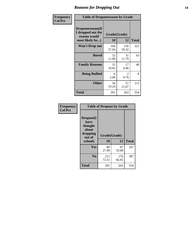### *Reasons for Dropping Out* **14**

| Frequency      | <b>Table of Dropoutreason by Grade</b>                                   |                    |                        |              |
|----------------|--------------------------------------------------------------------------|--------------------|------------------------|--------------|
| <b>Col Pct</b> | Dropoutreason(If<br>I dropped out the<br>reason would<br>most likely be) | Grade(Grade)<br>10 | 12                     | <b>Total</b> |
|                | Won't Drop out                                                           | 166<br>57.04       | 156<br>59.32           | 322          |
|                | <b>Bored</b>                                                             | 32<br>11.00        | 31<br>11.79            | 63           |
|                | <b>Family Reasons</b>                                                    | 31<br>10.65        | 17<br>6.46             | 48           |
|                | <b>Being Bullied</b>                                                     | 6<br>2.06          | $\mathfrak{D}$<br>0.76 | 8            |
|                | <b>Other</b>                                                             | 56<br>19.24        | 57<br>21.67            | 113          |
|                | <b>Total</b>                                                             | 291                | 263                    | 554          |

| Frequency      | <b>Table of Dropout by Grade</b>                                       |                    |       |              |  |
|----------------|------------------------------------------------------------------------|--------------------|-------|--------------|--|
| <b>Col Pct</b> | Dropout(I<br>have<br>thought<br>about<br>dropping<br>out of<br>school) | Grade(Grade)<br>10 | 12    | <b>Total</b> |  |
|                | Yes                                                                    | 80                 | 87    | 167          |  |
|                |                                                                        | 27.49              | 33.08 |              |  |
|                | N <sub>0</sub>                                                         | 211                | 176   | 387          |  |
|                |                                                                        | 72.51              | 66.92 |              |  |
|                | <b>Total</b>                                                           | 291                | 263   | 554          |  |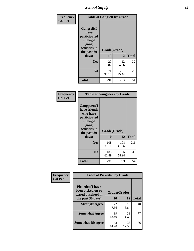*School Safety* **15**

| Frequency      | <b>Table of Gangself by Grade</b>                                                                 |                          |              |              |
|----------------|---------------------------------------------------------------------------------------------------|--------------------------|--------------|--------------|
| <b>Col Pct</b> | Gangself(I<br>have<br>participated<br>in illegal<br>gang<br>activities in<br>the past 30<br>days) | Grade(Grade)<br>10<br>12 |              | <b>Total</b> |
|                | Yes                                                                                               | 20<br>6.87               | 12<br>4.56   | 32           |
|                | N <sub>0</sub>                                                                                    | 271<br>93.13             | 251<br>95.44 | 522          |
|                | <b>Total</b>                                                                                      | 291                      | 263          | 554          |

| Frequency<br><b>Col Pct</b> | <b>Table of Gangpeers by Grade</b>                                                                                     |                    |              |              |  |
|-----------------------------|------------------------------------------------------------------------------------------------------------------------|--------------------|--------------|--------------|--|
|                             | Gangpeers(I<br>have friends<br>who have<br>participated<br>in illegal<br>gang<br>activities in<br>the past 30<br>days) | Grade(Grade)<br>10 | 12           | <b>Total</b> |  |
|                             | <b>Yes</b>                                                                                                             | 108<br>37.11       | 108<br>41.06 | 216          |  |
|                             | N <sub>0</sub>                                                                                                         | 183<br>62.89       | 155<br>58.94 | 338          |  |
|                             | <b>Total</b>                                                                                                           | 291                | 263          | 554          |  |

| Frequency      | <b>Table of Pickedon by Grade</b>                                  |              |             |              |
|----------------|--------------------------------------------------------------------|--------------|-------------|--------------|
| <b>Col Pct</b> | <b>Pickedon(I have</b><br>been picked on or<br>teased at school in | Grade(Grade) |             |              |
|                | the past 30 days)                                                  | 10           | 12          | <b>Total</b> |
|                | <b>Strongly Agree</b>                                              | 22<br>7.56   | 18<br>6.84  | 40           |
|                | <b>Somewhat Agree</b>                                              | 39<br>13.40  | 38<br>14.45 | 77           |
|                | <b>Somewhat Disagree</b>                                           | 43<br>14.78  | 33<br>12.55 | 76           |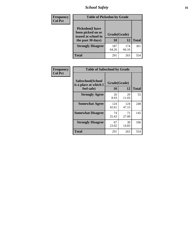# *School Safety* **16**

| <b>Frequency</b> | <b>Table of Pickedon by Grade</b>                                                       |                    |              |              |
|------------------|-----------------------------------------------------------------------------------------|--------------------|--------------|--------------|
| <b>Col Pct</b>   | <b>Pickedon(I have</b><br>been picked on or<br>teased at school in<br>the past 30 days) | Grade(Grade)<br>10 | 12           | <b>Total</b> |
|                  | <b>Strongly Disagree</b>                                                                | 187<br>64.26       | 174<br>66.16 | 361          |
|                  | Total                                                                                   | 291                | 263          | 554          |

| Frequency      | <b>Table of Safeschool by Grade</b>                      |                    |              |              |  |  |  |  |  |  |
|----------------|----------------------------------------------------------|--------------------|--------------|--------------|--|--|--|--|--|--|
| <b>Col Pct</b> | Safeschool(School<br>is a place at which I<br>feel safe) | Grade(Grade)<br>10 | 12           | <b>Total</b> |  |  |  |  |  |  |
|                | <b>Strongly Agree</b>                                    | 26<br>8.93         | 29<br>11.03  | 55           |  |  |  |  |  |  |
|                | <b>Somewhat Agree</b>                                    | 124<br>42.61       | 124<br>47.15 | 248          |  |  |  |  |  |  |
|                | <b>Somewhat Disagree</b>                                 | 74<br>25.43        | 71<br>27.00  | 145          |  |  |  |  |  |  |
|                | <b>Strongly Disagree</b>                                 | 67<br>23.02        | 39<br>14.83  | 106          |  |  |  |  |  |  |
|                | <b>Total</b>                                             | 291                | 263          | 554          |  |  |  |  |  |  |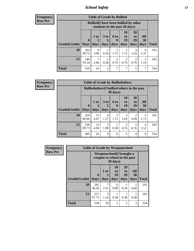*School Safety* **17**

**Frequency Row Pct**

| <b>Table of Grade by Bullied</b> |                         |                                                                               |                              |                        |                        |                        |                          |              |  |  |  |  |
|----------------------------------|-------------------------|-------------------------------------------------------------------------------|------------------------------|------------------------|------------------------|------------------------|--------------------------|--------------|--|--|--|--|
|                                  |                         | <b>Bullied</b> (I have been bullied by other<br>students in the past 30 days) |                              |                        |                        |                        |                          |              |  |  |  |  |
| Grade(Grade)                     | $\bf{0}$<br><b>Davs</b> | 1 or<br>2<br>days                                                             | 3 <sub>to</sub><br>5<br>days | 6 to<br>q<br>days      | 10<br>to<br>19<br>days | 20<br>to<br>29<br>days | All<br><b>30</b><br>days | <b>Total</b> |  |  |  |  |
| 10                               | 264<br>90.72            | 9<br>3.09                                                                     | 0.34                         | 5<br>1.72              | 5<br>1.72              | 3<br>1.03              | 4<br>1.37                | 291          |  |  |  |  |
| 12                               | 246<br>93.54            | 2.66                                                                          | 0.38                         | $\overline{c}$<br>0.76 | 2<br>0.76              | 2<br>0.76              | 3<br>1.14                | 263          |  |  |  |  |
| <b>Total</b>                     | 510                     | 16                                                                            | $\overline{2}$               | 7                      | 7                      | 5                      | 7                        | 554          |  |  |  |  |

**Frequency Row Pct**

| <b>Table of Grade by Bulliedothers</b>                                                                                                                                                                          |              |                                                                         |           |           |           |           |                        |              |  |  |  |  |  |
|-----------------------------------------------------------------------------------------------------------------------------------------------------------------------------------------------------------------|--------------|-------------------------------------------------------------------------|-----------|-----------|-----------|-----------|------------------------|--------------|--|--|--|--|--|
|                                                                                                                                                                                                                 |              | <b>Bulliedothers</b> (I bullied others in the past<br>$30 \text{ days}$ |           |           |           |           |                        |              |  |  |  |  |  |
| 20<br><b>10</b><br><b>All</b><br>1 or<br>3 <sub>to</sub><br>6 to<br>to<br>to<br>19<br>29<br>30<br>5<br>$\mathbf{0}$<br>9<br>2<br><b>Grade</b> (Grade)<br>days<br>days<br>days<br>days<br>  Days<br>days<br>days |              |                                                                         |           |           |           |           |                        | <b>Total</b> |  |  |  |  |  |
| 10                                                                                                                                                                                                              | 259<br>89.00 | 13<br>4.47                                                              | 4<br>1.37 | 5<br>1.72 | 3<br>1.03 | 2<br>0.69 | 5<br>1.72              | 291          |  |  |  |  |  |
| 12                                                                                                                                                                                                              | 236<br>89.73 | 13<br>4.94                                                              | 5<br>1.90 | 0.38      | 2<br>0.76 | 2<br>0.76 | $\overline{4}$<br>1.52 | 263          |  |  |  |  |  |
| Total                                                                                                                                                                                                           | 495          | 26                                                                      | 9         | 6         | 5         | 4         | 9                      | 554          |  |  |  |  |  |

| <b>Frequency</b> |              | <b>Table of Grade by Weaponschool</b> |                                                           |                        |                        |                          |       |
|------------------|--------------|---------------------------------------|-----------------------------------------------------------|------------------------|------------------------|--------------------------|-------|
| <b>Row Pct</b>   |              |                                       | Weaponschool (I brought a<br>weapon to school in the past | 30 days)               |                        |                          |       |
|                  | Grade(Grade) | $\bf{0}$<br><b>Days</b>               | 1 or<br>2<br>days                                         | 10<br>to<br>19<br>days | 20<br>to<br>29<br>days | All<br><b>30</b><br>days | Total |
|                  | 10           | 281<br>96.56                          | 7<br>2.41                                                 | 0<br>0.00              | 0.34                   | $\mathfrak{D}$<br>0.69   | 291   |
|                  | 12           | 257<br>97.72                          | 3<br>1.14                                                 | 0.38                   | 0.38                   | 0.38                     | 263   |
|                  | <b>Total</b> | 538                                   | 10                                                        | 1                      | $\mathfrak{D}$         | 3                        | 554   |

ł,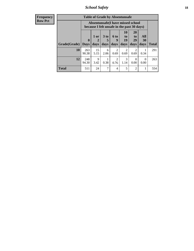*School Safety* **18**

| <b>Frequency</b> |              | <b>Table of Grade by Absentunsafe</b> |                                                  |                      |                                                                                 |                |                        |                  |              |  |  |  |
|------------------|--------------|---------------------------------------|--------------------------------------------------|----------------------|---------------------------------------------------------------------------------|----------------|------------------------|------------------|--------------|--|--|--|
| <b>Row Pct</b>   |              |                                       |                                                  |                      | Absentunsafe(I have missed school<br>because I felt unsafe in the past 30 days) |                |                        |                  |              |  |  |  |
|                  |              | $\mathbf{0}$                          | 1 or<br>2                                        | 3 <sub>to</sub><br>5 | 6 to<br>9                                                                       | 10<br>to<br>19 | <b>20</b><br>to<br>29  | All<br>30        |              |  |  |  |
|                  | Grade(Grade) | <b>Days</b>                           | days                                             | days                 | days                                                                            | days           | days                   | days             | <b>Total</b> |  |  |  |
|                  | 10           | 263<br>90.38                          | 15<br>5.15                                       | 6<br>2.06            | $\mathfrak{D}$<br>0.69                                                          | ာ<br>0.69      | $\mathfrak{D}$<br>0.69 | 0.34             | 291          |  |  |  |
|                  | 12           | 248<br>94.30                          | 9<br>3.42                                        | 0.38                 | 2<br>0.76                                                                       | 3<br>1.14      | $\Omega$<br>0.00       | $\Omega$<br>0.00 | 263          |  |  |  |
|                  | <b>Total</b> | 511                                   | 24<br>7<br>5<br>$\overline{2}$<br>$\overline{4}$ |                      |                                                                                 |                |                        |                  |              |  |  |  |
|                  |              |                                       |                                                  |                      |                                                                                 |                |                        |                  |              |  |  |  |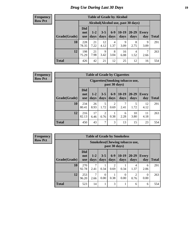# *Drug Use During Last 30 Days* **19**

#### **Frequency Row Pct**

| <b>Table of Grade by Alcohol</b> |                                 |                                     |                 |                 |                 |                   |                     |              |  |  |  |
|----------------------------------|---------------------------------|-------------------------------------|-----------------|-----------------|-----------------|-------------------|---------------------|--------------|--|--|--|
|                                  |                                 | Alcohol (Alcohol use, past 30 days) |                 |                 |                 |                   |                     |              |  |  |  |
| Grade(Grade)                     | <b>Did</b><br>not<br><b>use</b> | $1 - 2$<br>days                     | $3 - 5$<br>days | $6 - 9$<br>days | $10-19$<br>days | $20 - 29$<br>days | <b>Every</b><br>day | <b>Total</b> |  |  |  |
| 10                               | 228<br>78.35                    | 21<br>7.22                          | 12<br>4.12      | 4<br>1.37       | 9<br>3.09       | 8<br>2.75         | 9<br>3.09           | 291          |  |  |  |
| 12                               | 198<br>75.29                    | 21<br>7.98                          | 9<br>3.42       | 8<br>3.04       | 16<br>6.08      | 4<br>1.52         | 7<br>2.66           | 263          |  |  |  |
| <b>Total</b>                     | 426                             | 42                                  | 21              | 12              | 25              | 12                | 16                  | 554          |  |  |  |

#### **Frequency Row Pct**

| <b>Table of Grade by Cigarettes</b> |                                                                                                                                                                     |                                                   |           |                        |           |            |            |     |  |  |  |  |
|-------------------------------------|---------------------------------------------------------------------------------------------------------------------------------------------------------------------|---------------------------------------------------|-----------|------------------------|-----------|------------|------------|-----|--|--|--|--|
|                                     |                                                                                                                                                                     | Cigarettes (Smoking tobacco use,<br>past 30 days) |           |                        |           |            |            |     |  |  |  |  |
| Grade(Grade)                        | <b>Did</b><br>$10-19$<br>$6 - 9$<br>20-29<br>$3 - 5$<br>$1 - 2$<br><b>Every</b><br>not<br>days<br><b>Total</b><br>days<br>day<br>days<br>days<br>days<br><b>use</b> |                                                   |           |                        |           |            |            |     |  |  |  |  |
| 10                                  | 234<br>80.41                                                                                                                                                        | 26<br>8.93                                        | 5<br>1.72 | $\overline{2}$<br>0.69 | 7<br>2.41 | 5<br>1.72  | 12<br>4.12 | 291 |  |  |  |  |
| 12                                  | 216<br>82.13                                                                                                                                                        | 17<br>6.46                                        | 2<br>0.76 | 0.38                   | 6<br>2.28 | 10<br>3.80 | 11<br>4.18 | 263 |  |  |  |  |
| <b>Total</b>                        | 450                                                                                                                                                                 | 43                                                | 7         | 3                      | 13        | 15         | 23         | 554 |  |  |  |  |

**Frequency Row Pct**

| <b>Table of Grade by Smokeless</b> |                                 |                                                         |                  |               |                  |                        |                     |              |  |  |  |  |
|------------------------------------|---------------------------------|---------------------------------------------------------|------------------|---------------|------------------|------------------------|---------------------|--------------|--|--|--|--|
|                                    |                                 | <b>Smokeless</b> (Chewing tobacco use,<br>past 30 days) |                  |               |                  |                        |                     |              |  |  |  |  |
| Grade(Grade)                       | <b>Did</b><br>not<br><b>use</b> | $1 - 2$<br>days                                         | $3 - 5$<br>days  | $6-9$<br>days | $10-19$<br>days  | $20 - 29$<br>days      | <b>Every</b><br>day | <b>Total</b> |  |  |  |  |
| 10                                 | 270<br>92.78                    | 7<br>2.41                                               | 0.34             | 2<br>0.69     | 0.34             | 4<br>1.37              | 6<br>2.06           | 291          |  |  |  |  |
| 12                                 | 253<br>96.20                    | 7<br>2.66                                               | $\Omega$<br>0.00 | 0.38          | $\theta$<br>0.00 | $\mathfrak{D}$<br>0.76 | 0<br>0.00           | 263          |  |  |  |  |
| <b>Total</b>                       | 523                             | 14                                                      | ı                | 3             | 1                | 6                      | 6                   | 554          |  |  |  |  |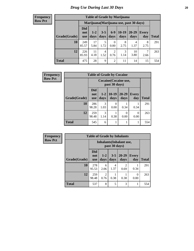#### **Frequency Row Pct**

 $\overline{\phantom{a}}$ 

| <b>Table of Grade by Marijuana</b> |                                         |                 |                 |                        |                 |                   |              |              |  |  |  |
|------------------------------------|-----------------------------------------|-----------------|-----------------|------------------------|-----------------|-------------------|--------------|--------------|--|--|--|
|                                    | Marijuana (Marijuana use, past 30 days) |                 |                 |                        |                 |                   |              |              |  |  |  |
| Grade(Grade)                       | <b>Did</b><br>not<br><b>use</b>         | $1 - 2$<br>days | $3 - 5$<br>days | $6 - 9$<br>days        | $10-19$<br>days | $20 - 29$<br>days | Every<br>day | <b>Total</b> |  |  |  |
| 10                                 | 249<br>85.57                            | 17<br>5.84      | 5<br>1.72       | $\theta$<br>0.00       | 8<br>2.75       | 4<br>1.37         | 8<br>2.75    | 291          |  |  |  |
| 12                                 | 226<br>85.93                            | 11<br>4.18      | 4<br>1.52       | $\overline{2}$<br>0.76 | 3<br>1.14       | 10<br>3.80        | 7<br>2.66    | 263          |  |  |  |
| <b>Total</b>                       | 475                                     | 28              | 9               | $\overline{c}$         | 11              | 14                | 15           | 554          |  |  |  |

| <b>Frequency</b> |              |                                 |                       | <b>Table of Grade by Cocaine</b>       |                  |                  |              |
|------------------|--------------|---------------------------------|-----------------------|----------------------------------------|------------------|------------------|--------------|
| <b>Row Pct</b>   |              |                                 |                       | Cocaine (Cocaine use,<br>past 30 days) |                  |                  |              |
|                  | Grade(Grade) | <b>Did</b><br>not<br><b>use</b> | $1 - 2$<br>days       | $10-19$<br>days                        | 20-29<br>days    | Every<br>day     | <b>Total</b> |
|                  | 10           | 286<br>98.28                    | $\mathcal{R}$<br>1.03 | $\Omega$<br>0.00                       | 0.34             | 0.34             | 291          |
|                  | 12           | 259<br>98.48                    | 3<br>1.14             | 0.38                                   | $\Omega$<br>0.00 | $\Omega$<br>0.00 | 263          |
|                  | <b>Total</b> | 545                             | 6                     | 1                                      |                  |                  | 554          |

| Frequency      | <b>Table of Grade by Inhalants</b> |                                                  |                        |                 |                        |              |              |
|----------------|------------------------------------|--------------------------------------------------|------------------------|-----------------|------------------------|--------------|--------------|
| <b>Row Pct</b> |                                    | <b>Inhalants</b> (Inhalant use,<br>past 30 days) |                        |                 |                        |              |              |
|                | Grade(Grade)                       | <b>Did</b><br>not<br><b>use</b>                  | $1 - 2$<br>days        | $3 - 5$<br>days | $20 - 29$<br>days      | Every<br>day | <b>Total</b> |
|                | 10                                 | 278<br>95.53                                     | 6<br>2.06              | 4<br>1.37       | $\mathfrak{D}$<br>0.69 | 0.34         | 291          |
|                | 12                                 | 259<br>98.48                                     | $\overline{2}$<br>0.76 | 0.38            | 0.38                   | 0<br>0.00    | 263          |
|                | <b>Total</b>                       | 537                                              | 8                      | 5               | 3                      |              | 554          |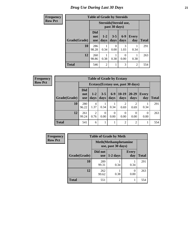# *Drug Use During Last 30 Days* **21**

| <b>Frequency</b> | <b>Table of Grade by Steroids</b> |                                 |                        |                 |                       |                     |              |
|------------------|-----------------------------------|---------------------------------|------------------------|-----------------|-----------------------|---------------------|--------------|
| <b>Row Pct</b>   |                                   |                                 | Steroids (Steroid use, | past 30 days)   |                       |                     |              |
|                  | Grade(Grade)                      | <b>Did</b><br>not<br><b>use</b> | $1-2$<br>days          | $3 - 5$<br>days | $6-9$<br>days         | <b>Every</b><br>day | <b>Total</b> |
|                  | 10                                | 286<br>98.28                    | 0.34                   | 0<br>0.00       | $\mathcal{R}$<br>1.03 | 0.34                | 291          |
|                  | 12                                | 260<br>98.86                    | 0.38                   | 0.38            | $\Omega$<br>0.00      | 0.38                | 263          |
|                  | <b>Total</b>                      | 546                             | $\overline{2}$         | 1               | 3                     | $\overline{2}$      | 554          |

**Frequency Row Pct**

| <b>Table of Grade by Ecstasy</b> |                                 |                                     |                  |                  |                        |                        |              |              |  |
|----------------------------------|---------------------------------|-------------------------------------|------------------|------------------|------------------------|------------------------|--------------|--------------|--|
|                                  |                                 | Ecstasy (Ecstasy use, past 30 days) |                  |                  |                        |                        |              |              |  |
| Grade(Grade)                     | <b>Did</b><br>not<br><b>use</b> | $1 - 2$<br>days                     | $3 - 5$<br>days  | $6-9$<br>days    | $10-19$<br>days        | 20-29<br>days          | Every<br>day | <b>Total</b> |  |
| 10                               | 280<br>96.22                    | 4<br>1.37                           | 0.34             | 0.34             | $\overline{c}$<br>0.69 | $\mathfrak{D}$<br>0.69 | 0.34         | 291          |  |
| 12                               | 261<br>99.24                    | $\overline{2}$<br>0.76              | $\Omega$<br>0.00 | $\Omega$<br>0.00 | 0<br>0.00              | 0<br>0.00              | 0<br>0.00    | 263          |  |
| <b>Total</b>                     | 541                             | 6                                   |                  |                  | $\overline{2}$         | 2                      | 1            | 554          |  |

| <b>Frequency</b> |                                                    |                       | <b>Table of Grade by Meth</b> |                     |              |  |  |  |
|------------------|----------------------------------------------------|-----------------------|-------------------------------|---------------------|--------------|--|--|--|
| <b>Row Pct</b>   | <b>Meth</b> (Methamphetamine<br>use, past 30 days) |                       |                               |                     |              |  |  |  |
|                  | Grade(Grade)                                       | Did not<br><b>use</b> | $1-2$ days                    | <b>Every</b><br>day | <b>Total</b> |  |  |  |
|                  | 10                                                 | 289<br>99.31          | 0.34                          | 0.34                | 291          |  |  |  |
|                  | 12                                                 | 262<br>99.62          | 0.38                          | $\Omega$<br>0.00    | 263          |  |  |  |
|                  | <b>Total</b>                                       | 551                   | $\mathfrak{D}$                |                     | 554          |  |  |  |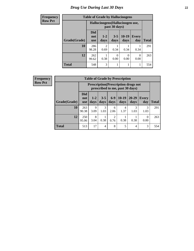# *Drug Use During Last 30 Days* **22**

| <b>Frequency</b> | <b>Table of Grade by Hallucinogens</b> |                                 |                                  |                  |                 |                     |              |
|------------------|----------------------------------------|---------------------------------|----------------------------------|------------------|-----------------|---------------------|--------------|
| <b>Row Pct</b>   |                                        |                                 | Hallucinogens (Hallucinogen use, | past 30 days)    |                 |                     |              |
|                  | Grade(Grade)                           | <b>Did</b><br>not<br><b>use</b> | $1-2$<br>days                    | $3 - 5$<br>days  | $10-19$<br>days | <b>Every</b><br>day | <b>Total</b> |
|                  | 10                                     | 286<br>98.28                    | $\mathfrak{D}$<br>0.69           | 0.34             | 0.34            | 0.34                | 291          |
|                  | 12                                     | 262<br>99.62                    | 0.38                             | $\Omega$<br>0.00 | 0<br>0.00       | $\Omega$<br>0.00    | 263          |
|                  | <b>Total</b>                           | 548                             | 3                                |                  | 1               |                     | 554          |

| <b>Frequency</b> |
|------------------|
| <b>Row Pct</b>   |

| <b>Table of Grade by Prescription</b> |                          |                                                                                |                 |                        |                 |                   |              |       |  |
|---------------------------------------|--------------------------|--------------------------------------------------------------------------------|-----------------|------------------------|-----------------|-------------------|--------------|-------|--|
|                                       |                          | <b>Prescription</b> (Prescription drugs not<br>prescribed to me, past 30 days) |                 |                        |                 |                   |              |       |  |
| Grade(Grade)                          | Did<br>not<br><b>use</b> | $1 - 2$<br>days                                                                | $3 - 5$<br>days | $6-9$<br>days          | $10-19$<br>days | $20 - 29$<br>days | Every<br>day | Total |  |
| 10                                    | 263<br>90.38             | 9<br>3.09                                                                      | 3<br>1.03       | 6<br>2.06              | 4<br>1.37       | 3<br>1.03         | 3<br>1.03    | 291   |  |
| 12                                    | 250<br>95.06             | 8<br>3.04                                                                      | 0.38            | $\overline{2}$<br>0.76 | 0.38            | 0.38              | 0<br>0.00    | 263   |  |
| <b>Total</b>                          | 513                      | 17                                                                             | 4               | 8                      | 5               | 4                 | 3            | 554   |  |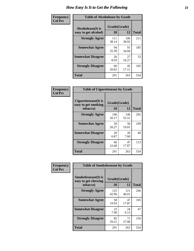| Frequency      | <b>Table of Alcoholease by Grade</b>              |                    |              |     |  |  |  |
|----------------|---------------------------------------------------|--------------------|--------------|-----|--|--|--|
| <b>Col Pct</b> | <b>Alcoholease</b> (It is<br>easy to get alcohol) | Grade(Grade)<br>10 | <b>Total</b> |     |  |  |  |
|                | <b>Strongly Agree</b>                             | 111<br>38.14       | 100<br>38.02 | 211 |  |  |  |
|                | <b>Somewhat Agree</b>                             | 94<br>32.30        | 91<br>34.60  | 185 |  |  |  |
|                | <b>Somewhat Disagree</b>                          | 26<br>8.93         | 27<br>10.27  | 53  |  |  |  |
|                | <b>Strongly Disagree</b>                          | 60<br>20.62        | 45<br>17.11  | 105 |  |  |  |
|                | <b>Total</b>                                      | 291                | 263          | 554 |  |  |  |

| Frequency<br>Col Pct |  |
|----------------------|--|
|                      |  |

| <b>Table of Cigarettesease by Grade</b>                  |                    |              |              |  |  |  |  |
|----------------------------------------------------------|--------------------|--------------|--------------|--|--|--|--|
| Cigarettesease (It is<br>easy to get smoking<br>tobacco) | Grade(Grade)<br>10 | 12           | <b>Total</b> |  |  |  |  |
| <b>Strongly Agree</b>                                    | 146<br>50.17       | 146<br>55.51 | 292          |  |  |  |  |
| <b>Somewhat Agree</b>                                    | 59<br>20.27        | 50<br>19.01  | 109          |  |  |  |  |
| <b>Somewhat Disagree</b>                                 | 20<br>6.87         | 20<br>7.60   | 40           |  |  |  |  |
| <b>Strongly Disagree</b>                                 | 66<br>22.68        | 47<br>17.87  | 113          |  |  |  |  |
| <b>Total</b>                                             | 291                | 263          | 554          |  |  |  |  |

| Frequency      | <b>Table of Smokelessease by Grade</b>                         |                    |              |              |  |  |  |
|----------------|----------------------------------------------------------------|--------------------|--------------|--------------|--|--|--|
| <b>Col Pct</b> | <b>Smokelessease</b> (It is<br>easy to get chewing<br>tobacco) | Grade(Grade)<br>10 | 12           | <b>Total</b> |  |  |  |
|                | <b>Strongly Agree</b>                                          | 125<br>42.96       | 121<br>46.01 | 246          |  |  |  |
|                | <b>Somewhat Agree</b>                                          | 58<br>19.93        | 47<br>17.87  | 105          |  |  |  |
|                | <b>Somewhat Disagree</b>                                       | 23<br>7.90         | 24<br>9.13   | 47           |  |  |  |
|                | <b>Strongly Disagree</b>                                       | 85<br>29.21        | 71<br>27.00  | 156          |  |  |  |
|                | <b>Total</b>                                                   | 291                | 263          | 554          |  |  |  |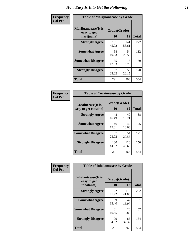| Frequency      | <b>Table of Marijuanaease by Grade</b>           |                    |              |              |  |  |  |
|----------------|--------------------------------------------------|--------------------|--------------|--------------|--|--|--|
| <b>Col Pct</b> | Marijuanaease(It is<br>easy to get<br>marijuana) | Grade(Grade)<br>10 | 12           | <b>Total</b> |  |  |  |
|                | <b>Strongly Agree</b>                            | 131<br>45.02       | 141<br>53.61 | 272          |  |  |  |
|                | <b>Somewhat Agree</b>                            | 58<br>19.93        | 54<br>20.53  | 112          |  |  |  |
|                | <b>Somewhat Disagree</b>                         | 35<br>12.03        | 15<br>5.70   | 50           |  |  |  |
|                | <b>Strongly Disagree</b>                         | 67<br>23.02        | 53<br>20.15  | 120          |  |  |  |
|                | Total                                            | 291                | 263          | 554          |  |  |  |

| <b>Table of Cocaineease by Grade</b>              |              |                    |     |  |  |  |  |  |  |  |  |
|---------------------------------------------------|--------------|--------------------|-----|--|--|--|--|--|--|--|--|
| <b>Cocaineease</b> (It is<br>easy to get cocaine) | 10           | Grade(Grade)<br>12 |     |  |  |  |  |  |  |  |  |
| <b>Strongly Agree</b>                             | 48<br>16.49  | 40<br>15.21        | 88  |  |  |  |  |  |  |  |  |
| <b>Somewhat Agree</b>                             | 46<br>15.81  | 49<br>18.63        | 95  |  |  |  |  |  |  |  |  |
| <b>Somewhat Disagree</b>                          | 67<br>23.02  | 54<br>20.53        | 121 |  |  |  |  |  |  |  |  |
| <b>Strongly Disagree</b>                          | 130<br>44.67 | 120<br>45.63       | 250 |  |  |  |  |  |  |  |  |
| <b>Total</b>                                      | 291          | 263                | 554 |  |  |  |  |  |  |  |  |

| Frequency      | <b>Table of Inhalantsease by Grade</b>     |              |              |              |
|----------------|--------------------------------------------|--------------|--------------|--------------|
| <b>Col Pct</b> | <b>Inhalantsease</b> (It is<br>easy to get | Grade(Grade) |              |              |
|                | inhalants)                                 | 10           | 12           | <b>Total</b> |
|                | <b>Strongly Agree</b>                      | 122<br>41.92 | 110<br>41.83 | 232          |
|                | <b>Somewhat Agree</b>                      | 39<br>13.40  | 42<br>15.97  | 81           |
|                | <b>Somewhat Disagree</b>                   | 31<br>10.65  | 26<br>9.89   | 57           |
|                | <b>Strongly Disagree</b>                   | 99<br>34.02  | 85<br>32.32  | 184          |
|                | <b>Total</b>                               | 291          | 263          | 554          |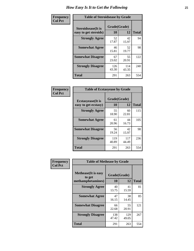| Frequency      | <b>Table of Steroidsease by Grade</b>               |                    |              |              |  |  |  |  |  |  |  |  |
|----------------|-----------------------------------------------------|--------------------|--------------|--------------|--|--|--|--|--|--|--|--|
| <b>Col Pct</b> | <b>Steroidsease</b> (It is<br>easy to get steroids) | Grade(Grade)<br>10 | 12           | <b>Total</b> |  |  |  |  |  |  |  |  |
|                | <b>Strongly Agree</b>                               | 52<br>17.87        | 42<br>15.97  | 94           |  |  |  |  |  |  |  |  |
|                | <b>Somewhat Agree</b>                               | 46<br>15.81        | 52<br>19.77  | 98           |  |  |  |  |  |  |  |  |
|                | <b>Somewhat Disagree</b>                            | 67<br>23.02        | 55<br>20.91  | 122          |  |  |  |  |  |  |  |  |
|                | <b>Strongly Disagree</b>                            | 126<br>43.30       | 114<br>43.35 | 240          |  |  |  |  |  |  |  |  |
|                | <b>Total</b>                                        | 291                | 263          | 554          |  |  |  |  |  |  |  |  |

| Frequency      | <b>Table of Ecstasyease by Grade</b>              |                    |              |              |
|----------------|---------------------------------------------------|--------------------|--------------|--------------|
| <b>Col Pct</b> | <b>Ecstasyease</b> (It is<br>easy to get ecstasy) | Grade(Grade)<br>10 | 12           | <b>Total</b> |
|                | <b>Strongly Agree</b>                             | 55<br>18.90        | 60<br>22.81  | 115          |
|                | <b>Somewhat Agree</b>                             | 61<br>20.96        | 44<br>16.73  | 105          |
|                | <b>Somewhat Disagree</b>                          | 56<br>19.24        | 42<br>15.97  | 98           |
|                | <b>Strongly Disagree</b>                          | 119<br>40.89       | 117<br>44.49 | 236          |
|                | <b>Total</b>                                      | 291                | 263          | 554          |

| Frequency      | <b>Table of Methease by Grade</b>                          |                    |              |              |
|----------------|------------------------------------------------------------|--------------------|--------------|--------------|
| <b>Col Pct</b> | <b>Methease</b> (It is easy<br>to get<br>methamphetamines) | Grade(Grade)<br>10 | 12           | <b>Total</b> |
|                | <b>Strongly Agree</b>                                      | 40<br>13.75        | 41<br>15.59  | 81           |
|                | <b>Somewhat Agree</b>                                      | 47<br>16.15        | 38<br>14.45  | 85           |
|                | <b>Somewhat Disagree</b>                                   | 66<br>22.68        | 55<br>20.91  | 121          |
|                | <b>Strongly Disagree</b>                                   | 138<br>47.42       | 129<br>49.05 | 267          |
|                | Total                                                      | 291                | 263          | 554          |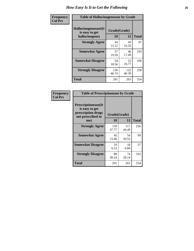| <b>Frequency</b> | <b>Table of Hallucinogensease by Grade</b>                |                    |              |     |  |  |  |  |  |  |  |  |  |
|------------------|-----------------------------------------------------------|--------------------|--------------|-----|--|--|--|--|--|--|--|--|--|
| <b>Col Pct</b>   | Hallucinogensease(It)<br>is easy to get<br>hallucinogens) | Grade(Grade)<br>10 | <b>Total</b> |     |  |  |  |  |  |  |  |  |  |
|                  | <b>Strongly Agree</b>                                     | 44<br>15.12        | 43<br>16.35  | 87  |  |  |  |  |  |  |  |  |  |
|                  | <b>Somewhat Agree</b>                                     | 57<br>19.59        | 46<br>17.49  | 103 |  |  |  |  |  |  |  |  |  |
|                  | <b>Somewhat Disagree</b>                                  | 54<br>18.56        | 52<br>19.77  | 106 |  |  |  |  |  |  |  |  |  |
|                  | <b>Strongly Disagree</b>                                  | 136<br>46.74       | 122<br>46.39 | 258 |  |  |  |  |  |  |  |  |  |
|                  | <b>Total</b>                                              | 291                | 263          | 554 |  |  |  |  |  |  |  |  |  |

| Frequency<br>Col Pct |
|----------------------|
|                      |

| <b>Table of Prescriptionease by Grade</b>                                                |              |              |              |
|------------------------------------------------------------------------------------------|--------------|--------------|--------------|
| <b>Prescriptionease</b> (It<br>is easy to get<br>prescription drugs<br>not prescribed to | Grade(Grade) |              |              |
| me)                                                                                      | 10           | 12           | <b>Total</b> |
| <b>Strongly Agree</b>                                                                    | 139<br>47.77 | 117<br>44.49 | 256          |
| <b>Somewhat Agree</b>                                                                    | 45<br>15.46  | 54<br>20.53  | 99           |
| <b>Somewhat Disagree</b>                                                                 | 19<br>6.53   | 18<br>6.84   | 37           |
| <b>Strongly Disagree</b>                                                                 | 88<br>30.24  | 74<br>28.14  | 162          |
| Total                                                                                    | 291          | 263          | 554          |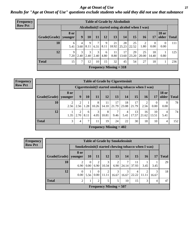*Age at Onset of Use* **27** *Results for "Age at Onset of Use" questions exclude students who said they did not use that substance*

| <b>Frequency</b> | <b>Table of Grade by Alcoholinit</b> |                        |           |                     |           |           |                           |                                                  |             |             |                  |                       |              |
|------------------|--------------------------------------|------------------------|-----------|---------------------|-----------|-----------|---------------------------|--------------------------------------------------|-------------|-------------|------------------|-----------------------|--------------|
| <b>Row Pct</b>   |                                      |                        |           |                     |           |           |                           | Alcoholinit (I started using alcohol when I was) |             |             |                  |                       |              |
|                  | Grade(Grade)                         | <b>8 or</b><br>younger | 9         | 10                  | 11        | 12        | 13                        | 14                                               | 15          | 16          | 17               | <b>18 or</b><br>older | <b>Total</b> |
|                  | 10                                   | 6<br>5.41              | 4<br>3.60 | $\mathbf Q$<br>8.11 | 6.31      | 9<br>8.11 | 21<br>18.92               | 28<br>25.23                                      | 25<br>22.52 | ↑<br>1.80   | $\theta$<br>0.00 | $\mathbf{0}$<br>0.00  | 111          |
|                  | 12                                   | 9<br>7.20              | 3<br>2.40 | 3<br>2.40           | 3<br>2.40 | 6<br>4.80 | 11<br>8.80                | 17<br>13.60                                      | 29<br>23.20 | 25<br>20.00 | 18<br>14.40      | 0.80                  | 125          |
|                  | <b>Total</b>                         | 15                     | 7         | 12                  | 10        | 15        | 32                        | 45                                               | 54          | 27          | 18               |                       | 236          |
|                  |                                      |                        |           |                     |           |           | Frequency Missing $=$ 318 |                                                  |             |             |                  |                       |              |

| Frequency      | <b>Table of Grade by Cigarettesinit</b> |                        |           |               |                                                       |             |                        |             |             |             |                        |                       |       |
|----------------|-----------------------------------------|------------------------|-----------|---------------|-------------------------------------------------------|-------------|------------------------|-------------|-------------|-------------|------------------------|-----------------------|-------|
| <b>Row Pct</b> |                                         |                        |           |               | Cigarettesinit (I started smoking tobacco when I was) |             |                        |             |             |             |                        |                       |       |
|                | Grade(Grade)                            | <b>8 or</b><br>younger | 9         | 10            | 11                                                    | 12          | 13                     | 14          | 15          | 16          | 17                     | <b>18 or</b><br>older | Total |
|                | 10                                      | 2.56                   | 2<br>2.56 | 1.28          | 8<br>10.26                                            | 11<br>14.10 | 17<br>21.79            | 18<br>23.08 | 17<br>21.79 | 2.56        | $\overline{0}$<br>0.00 | $\Omega$<br>0.00      | 78    |
|                | 12                                      | 1.35                   | ∍<br>2.70 | 6<br>8.11     | 3<br>4.05                                             | 8<br>10.81  | $\overline{7}$<br>9.46 | 4<br>5.41   | 13<br>17.57 | 16<br>21.62 | 10<br>13.51            | 4<br>5.41             | 74    |
|                | <b>Total</b>                            | 3                      | 4         | $\mathcal{I}$ | 11                                                    | 19          | 24                     | 22          | 30          | 18          | 10                     | 4                     | 152   |
|                |                                         |                        |           |               | Frequency Missing $= 402$                             |             |                        |             |             |             |                        |                       |       |

| Frequency      |              | <b>Table of Grade by Smokelessinit</b> |                                                     |                           |                         |                           |            |             |            |            |              |  |  |  |
|----------------|--------------|----------------------------------------|-----------------------------------------------------|---------------------------|-------------------------|---------------------------|------------|-------------|------------|------------|--------------|--|--|--|
| <b>Row Pct</b> |              |                                        | Smokelessinit(I started chewing tobacco when I was) |                           |                         |                           |            |             |            |            |              |  |  |  |
|                | Grade(Grade) | <b>8</b> or<br>younger                 | <b>10</b>                                           | 11                        | 12                      | 13                        | 14         | 15          | 16         | 17         | <b>Total</b> |  |  |  |
|                | 10           | 6.90                                   | 0<br>0.00                                           | 2<br>6.90                 | 3<br>10.34              | $\mathfrak{D}$<br>6.90    | 24.14      | 11<br>37.93 | 3.45       | 3.45       | 29           |  |  |  |
|                | 12           | 0.00                                   | 5.56                                                | $\Omega$<br>$0.00\degree$ | $\mathfrak{D}$<br>11.11 | 3<br>16.67                | 3<br>16.67 | 4<br>22.22  | ∍<br>11.11 | 3<br>16.67 | 18           |  |  |  |
|                | <b>Total</b> | റ                                      |                                                     | $\overline{2}$            | 5                       | 5                         | 10         | 15          | 3          | 4          | 47           |  |  |  |
|                |              |                                        |                                                     |                           |                         | Frequency Missing $= 507$ |            |             |            |            |              |  |  |  |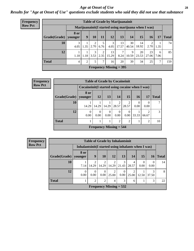#### *Age at Onset of Use* **28**

### *Results for "Age at Onset of Use" questions exclude students who said they did not use that substance*

| Frequency      |              |                        |      |           |                                      |             | <b>Table of Grade by Marijuanainit</b>               |             |             |             |           |              |
|----------------|--------------|------------------------|------|-----------|--------------------------------------|-------------|------------------------------------------------------|-------------|-------------|-------------|-----------|--------------|
| <b>Row Pct</b> |              |                        |      |           |                                      |             | Marijuanainit (I started using marijuana when I was) |             |             |             |           |              |
|                | Grade(Grade) | <b>8 or</b><br>younger | 9    | 10        | 11                                   | 12          | 13                                                   | <b>14</b>   | 15          | 16          | 17        | <b>Total</b> |
|                | 10           | 3<br>4.05              | 1.35 | 2<br>2.70 | 5<br>6.76                            | 3<br>4.05   | 13<br>17.57                                          | 30<br>40.54 | 14<br>18.92 | 2<br>2.70   | 1.35      | 74           |
|                | 12           | 1.18                   | 1.18 | 3<br>3.53 | $\overline{2}$<br>$\vert 2.35 \vert$ | 13<br>15.29 | 8.24                                                 | 9<br>10.59  | 20<br>23.53 | 23<br>27.06 | 6<br>7.06 | 85           |
|                | <b>Total</b> | $\overline{4}$         | 2    | 5         | 7                                    | 16          | 20                                                   | 39          | 34          | 25          | 7         | 159          |
|                |              |                        |      |           |                                      |             | Frequency Missing $=$ 395                            |             |             |             |           |              |

| <b>Frequency</b> |              |                                                    |                  |                            | <b>Table of Grade by Cocaineinit</b> |                  |                 |                         |              |
|------------------|--------------|----------------------------------------------------|------------------|----------------------------|--------------------------------------|------------------|-----------------|-------------------------|--------------|
| <b>Row Pct</b>   |              | Cocaine in it (I started using cocaine when I was) |                  |                            |                                      |                  |                 |                         |              |
|                  | Grade(Grade) | 8 or<br>younger                                    | 12               | 13                         | 14                                   | 15               | 16 <sup>1</sup> | 17                      | <b>Total</b> |
|                  | 10           | 14.29                                              | 14.29            | 14.29                      | $\mathfrak{D}$<br>28.57              | 28.57            | 0.00            | 0.00                    |              |
|                  | 12           | $\Omega$<br>0.00                                   | $\Omega$<br>0.00 | $\Omega$<br>$0.00^{\circ}$ | $\Omega$<br>0.00 <sub>1</sub>        | $\Omega$<br>0.00 | 33.33           | $\mathfrak{D}$<br>66.67 | 3            |
|                  | <b>Total</b> |                                                    |                  | 1                          | $\overline{2}$                       | 2                |                 | $\mathfrak{D}$          | 10           |
|                  |              |                                                    |                  |                            | Frequency Missing $= 544$            |                  |                 |                         |              |

| Frequency      |              |                                                      | <b>Table of Grade by Inhalantsinit</b> |                  |                           |       |            |           |            |              |
|----------------|--------------|------------------------------------------------------|----------------------------------------|------------------|---------------------------|-------|------------|-----------|------------|--------------|
| <b>Row Pct</b> |              | Inhalantsinit (I started using inhalants when I was) |                                        |                  |                           |       |            |           |            |              |
|                | Grade(Grade) | 8 or<br>younger                                      | 9                                      | <b>10</b>        | <b>12</b>                 | 13    | <b>14</b>  | 15        | 16         | <b>Total</b> |
|                | 10           | 7.14                                                 | 14.29                                  | 2<br>14.29       | 2<br>14.29                | 21.43 | 4<br>28.57 | 0<br>0.00 | 0.00       | 14           |
|                | 12           | 0<br>0.00                                            | $\left($<br>0.00                       | $\Omega$<br>0.00 | 2<br>25.00                | 0.00  | 25.00      | 12.50     | 3<br>37.50 | 8            |
|                | <b>Total</b> |                                                      | 2                                      | $\overline{2}$   | 4                         | 3     | 6          |           | 3          | 22           |
|                |              |                                                      |                                        |                  | Frequency Missing $= 532$ |       |            |           |            |              |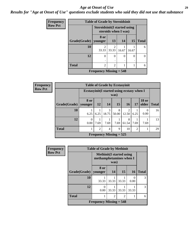#### *Age at Onset of Use* **29**

*Results for "Age at Onset of Use" questions exclude students who said they did not use that substance*

| <b>Frequency</b> |              | <b>Table of Grade by Steroidsinit</b> |                         |       |       |              |
|------------------|--------------|---------------------------------------|-------------------------|-------|-------|--------------|
| <b>Row Pct</b>   |              | <b>Steroidsinit (I started using</b>  | steroids when I was)    |       |       |              |
|                  | Grade(Grade) | 8 or<br>younger                       | 13                      | 14    | 15    | <b>Total</b> |
|                  | 10           | $\mathfrak{D}$<br>33.33               | $\mathfrak{D}$<br>33.33 | 16.67 | 16.67 | 6            |
|                  | 12           | 0                                     | 0                       | 0     | 0     |              |
|                  | <b>Total</b> | $\mathfrak{D}$                        | $\overline{c}$          |       |       | 6            |
|                  |              | Frequency Missing $= 548$             |                         |       |       |              |

| <b>Frequency</b> |              |                                             |                | <b>Table of Grade by Ecstasyinit</b> |            |                         |                |                       |              |
|------------------|--------------|---------------------------------------------|----------------|--------------------------------------|------------|-------------------------|----------------|-----------------------|--------------|
| <b>Row Pct</b>   |              | Ecstasyinit (I started using ecstasy when I |                |                                      | was)       |                         |                |                       |              |
|                  | Grade(Grade) | <b>8 or</b><br>vounger                      | <b>12</b>      | <b>14</b>                            | 15         | <b>16</b>               | <b>17</b>      | <b>18</b> or<br>older | <b>Total</b> |
|                  | 10           | 6.25                                        | 6.25           | 3<br>18.75                           | 8<br>50.00 | $\mathfrak{D}$<br>12.50 | 6.25           | $\Omega$<br>0.00      | 16           |
|                  | 12           | $\Omega$<br>0.00                            | 7.69           | 7.69                                 | 7.69       | 8<br>61.54              | 7.69           | 7.69                  | 13           |
|                  | <b>Total</b> |                                             | $\overline{2}$ | $\overline{4}$                       | 9          | 10                      | $\overline{2}$ |                       | 29           |
|                  |              |                                             |                | Frequency Missing $= 525$            |            |                         |                |                       |              |

| <b>Frequency</b> |              | <b>Table of Grade by Methinit</b>                           |       |                |       |              |
|------------------|--------------|-------------------------------------------------------------|-------|----------------|-------|--------------|
| <b>Row Pct</b>   |              | <b>Methinit</b> (I started using<br>methamphetamines when I |       |                |       |              |
|                  | Grade(Grade) | 8 or<br>vounger                                             | 14    | 15             | 16    | <b>Total</b> |
|                  | 10           | 33.33                                                       | 33.33 | 33.33          | 0.00  | 3            |
|                  | 12           | $\theta$<br>0.00                                            | 33.33 | 33.33          | 33.33 | 3            |
|                  | <b>Total</b> |                                                             | 2     | $\overline{2}$ |       | 6            |
|                  |              | Frequency Missing $= 548$                                   |       |                |       |              |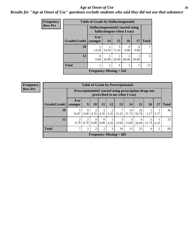#### Age at Onset of Use **30**

#### *Results for "Age at Onset of Use" questions exclude students who said they did not use that substance*

| Frequency      |              | <b>Table of Grade by Hallucinogensinit</b> |                |                           |                        |                  |              |
|----------------|--------------|--------------------------------------------|----------------|---------------------------|------------------------|------------------|--------------|
| <b>Row Pct</b> |              | Hallucinogensinit (I started using         |                | hallucinogens when I was) |                        |                  |              |
|                | Grade(Grade) | 8 or<br>younger                            | <b>14</b>      | <b>15</b>                 | 16                     | 17               | <b>Total</b> |
|                | 10           | 14.29                                      | 14.29          | 5<br>71.43                | 0.00                   | $\Omega$<br>0.00 |              |
|                | 12           | $\mathcal{L}$<br>0.00                      | 20.00          | 20.00                     | $\mathcal{D}$<br>40.00 | 20.00            | 5.           |
|                | <b>Total</b> |                                            | $\overline{2}$ | 6                         | $\overline{c}$         |                  | 12           |
|                |              | Frequency Missing $= 542$                  |                |                           |                        |                  |              |

| <b>Frequency</b> |              |                        |                  |                  |                  |           | <b>Table of Grade by Prescriptioninit</b>                                                  |             |             |            |      |              |
|------------------|--------------|------------------------|------------------|------------------|------------------|-----------|--------------------------------------------------------------------------------------------|-------------|-------------|------------|------|--------------|
| <b>Row Pct</b>   |              |                        |                  |                  |                  |           | Prescription in it (I started using prescription drugs not<br>prescribed to me when I was) |             |             |            |      |              |
|                  | Grade(Grade) | <b>8 or</b><br>vounger | 9                | 10               | 11               | 12        | 13                                                                                         | <b>14</b>   | 15          | 16         | 17   | <b>Total</b> |
|                  | 10           | 5<br>10.87             | $\Omega$<br>0.00 | 2<br>4.35        | 4.35             | 2<br>4.35 | 7<br>15.22                                                                                 | 10<br>21.74 | 16<br>34.78 | 2.17       | 2.17 | 46           |
|                  | 12           | $\overline{2}$<br>8.70 | 2<br>8.70        | $\Omega$<br>0.00 | $\Omega$<br>0.00 | 4.35      | 3<br>13.04                                                                                 | 3<br>13.04  | 6<br>26.09  | 5<br>21.74 | 4.35 | 23           |
|                  | <b>Total</b> | 7                      | 2                | $\overline{2}$   | $\overline{2}$   | 3         | 10                                                                                         | 13          | 22          | 6          | 2    | 69           |
|                  |              |                        |                  |                  |                  |           | Frequency Missing $= 485$                                                                  |             |             |            |      |              |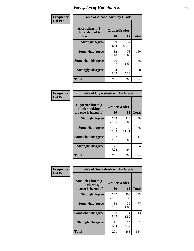| Frequency      |                                               | <b>Table of Alcoholharm by Grade</b> |              |              |  |  |  |  |  |
|----------------|-----------------------------------------------|--------------------------------------|--------------|--------------|--|--|--|--|--|
| <b>Col Pct</b> | Alcoholharm(I<br>think alcohol is<br>harmful) | Grade(Grade)<br>10                   | 12           | <b>Total</b> |  |  |  |  |  |
|                | <b>Strongly Agree</b>                         | 159<br>54.64                         | 132<br>50.19 | 291          |  |  |  |  |  |
|                | <b>Somewhat Agree</b>                         | 82<br>28.18                          | 78<br>29.66  | 160          |  |  |  |  |  |
|                | <b>Somewhat Disagree</b>                      | 26<br>8.93                           | 39<br>14.83  | 65           |  |  |  |  |  |
|                | <b>Strongly Disagree</b>                      | 24<br>8.25                           | 14<br>5.32   | 38           |  |  |  |  |  |
|                | <b>Total</b>                                  | 291                                  | 263          | 554          |  |  |  |  |  |

| <b>Table of Cigarettesharm by Grade</b>                  |                    |              |              |  |  |  |  |  |
|----------------------------------------------------------|--------------------|--------------|--------------|--|--|--|--|--|
| Cigarettesharm(I<br>think smoking<br>tobacco is harmful) | Grade(Grade)<br>10 | 12           | <b>Total</b> |  |  |  |  |  |
| <b>Strongly Agree</b>                                    | 228<br>78.35       | 210<br>79.85 | 438          |  |  |  |  |  |
| <b>Somewhat Agree</b>                                    | 35<br>12.03        | 30<br>11.41  | 65           |  |  |  |  |  |
| <b>Somewhat Disagree</b>                                 | 7<br>2.41          | 10<br>3.80   | 17           |  |  |  |  |  |
| <b>Strongly Disagree</b>                                 | 21<br>7.22         | 13<br>4.94   | 34           |  |  |  |  |  |
| <b>Total</b>                                             | 291                | 263          | 554          |  |  |  |  |  |

| Frequency      | <b>Table of Smokelessharm by Grade</b> |              |              |              |
|----------------|----------------------------------------|--------------|--------------|--------------|
| <b>Col Pct</b> | Smokelessharm(I<br>think chewing       | Grade(Grade) |              |              |
|                | tobacco is harmful)                    | 10           | 12           | <b>Total</b> |
|                | <b>Strongly Agree</b>                  | 227<br>78.01 | 206<br>78.33 | 433          |
|                | <b>Somewhat Agree</b>                  | 38<br>13.06  | 39<br>14.83  | 77           |
|                | <b>Somewhat Disagree</b>               | 9<br>3.09    | 4<br>1.52    | 13           |
|                | <b>Strongly Disagree</b>               | 17<br>5.84   | 14<br>5.32   | 31           |
|                | <b>Total</b>                           | 291          | 263          | 554          |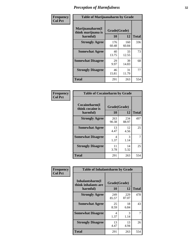| Frequency      |                                                   | <b>Table of Marijuanaharm by Grade</b> |              |              |  |  |  |  |  |
|----------------|---------------------------------------------------|----------------------------------------|--------------|--------------|--|--|--|--|--|
| <b>Col Pct</b> | Marijuanaharm(I<br>think marijuana is<br>harmful) | Grade(Grade)<br>10                     | 12           | <b>Total</b> |  |  |  |  |  |
|                | <b>Strongly Agree</b>                             | 176<br>60.48                           | 160<br>60.84 | 336          |  |  |  |  |  |
|                | <b>Somewhat Agree</b>                             | 40<br>13.75                            | 33<br>12.55  | 73           |  |  |  |  |  |
|                | <b>Somewhat Disagree</b>                          | 29<br>9.97                             | 39<br>14.83  | 68           |  |  |  |  |  |
|                | <b>Strongly Disagree</b>                          | 46<br>15.81                            | 31<br>11.79  | 77           |  |  |  |  |  |
|                | <b>Total</b>                                      | 291                                    | 263          | 554          |  |  |  |  |  |

| <b>Table of Cocaineharm by Grade</b>          |                    |              |              |  |  |  |  |  |  |
|-----------------------------------------------|--------------------|--------------|--------------|--|--|--|--|--|--|
| Cocaineharm(I<br>think cocaine is<br>harmful) | Grade(Grade)<br>10 | 12           | <b>Total</b> |  |  |  |  |  |  |
| <b>Strongly Agree</b>                         | 263<br>90.38       | 234<br>88.97 | 497          |  |  |  |  |  |  |
| <b>Somewhat Agree</b>                         | 13<br>4.47         | 12<br>4.56   | 25           |  |  |  |  |  |  |
| <b>Somewhat Disagree</b>                      | 4<br>1.37          | 3<br>1.14    | 7            |  |  |  |  |  |  |
| <b>Strongly Disagree</b>                      | 11<br>3.78         | 14<br>5.32   | 25           |  |  |  |  |  |  |
| Total                                         | 291                | 263          | 554          |  |  |  |  |  |  |

| Frequency      | <b>Table of Inhalantsharm by Grade</b>             |                    |              |              |
|----------------|----------------------------------------------------|--------------------|--------------|--------------|
| <b>Col Pct</b> | Inhalantsharm(I<br>think inhalants are<br>harmful) | Grade(Grade)<br>10 | 12           | <b>Total</b> |
|                | <b>Strongly Agree</b>                              | 249<br>85.57       | 229<br>87.07 | 478          |
|                | <b>Somewhat Agree</b>                              | 25<br>8.59         | 18<br>6.84   | 43           |
|                | <b>Somewhat Disagree</b>                           | 4<br>1.37          | 3<br>1.14    | 7            |
|                | <b>Strongly Disagree</b>                           | 13<br>4.47         | 13<br>4.94   | 26           |
|                | <b>Total</b>                                       | 291                | 263          | 554          |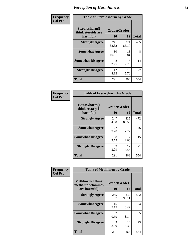| Frequency      | <b>Table of Steroidsharm by Grade</b>            |                    |              |              |
|----------------|--------------------------------------------------|--------------------|--------------|--------------|
| <b>Col Pct</b> | Steroidsharm(I<br>think steroids are<br>harmful) | Grade(Grade)<br>10 | 12           | <b>Total</b> |
|                | <b>Strongly Agree</b>                            | 241<br>82.82       | 224<br>85.17 | 465          |
|                | <b>Somewhat Agree</b>                            | 30<br>10.31        | 18<br>6.84   | 48           |
|                | <b>Somewhat Disagree</b>                         | 8<br>2.75          | 6<br>2.28    | 14           |
|                | <b>Strongly Disagree</b>                         | 12<br>4.12         | 15<br>5.70   | 27           |
|                | <b>Total</b>                                     | 291                | 263          | 554          |

| <b>Table of Ecstasyharm by Grade</b>          |                    |              |              |  |  |
|-----------------------------------------------|--------------------|--------------|--------------|--|--|
| Ecstasyharm(I<br>think ecstasy is<br>harmful) | Grade(Grade)<br>10 | 12           | <b>Total</b> |  |  |
| <b>Strongly Agree</b>                         | 247<br>84.88       | 225<br>85.55 | 472          |  |  |
| <b>Somewhat Agree</b>                         | 27<br>9.28         | 19<br>7.22   | 46           |  |  |
| <b>Somewhat Disagree</b>                      | 8<br>2.75          | 7<br>2.66    | 15           |  |  |
| <b>Strongly Disagree</b>                      | 9<br>3.09          | 12<br>4.56   | 21           |  |  |
| <b>Total</b>                                  | 291                | 263          | 554          |  |  |

| Frequency      | <b>Table of Methharm by Grade</b>                            |                           |              |              |
|----------------|--------------------------------------------------------------|---------------------------|--------------|--------------|
| <b>Col Pct</b> | <b>Methharm</b> (I think<br>methamphetamines<br>are harmful) | Grade(Grade)<br><b>10</b> | 12           | <b>Total</b> |
|                | <b>Strongly Agree</b>                                        | 265<br>91.07              | 237<br>90.11 | 502          |
|                | <b>Somewhat Agree</b>                                        | 15<br>5.15                | 9<br>3.42    | 24           |
|                | <b>Somewhat Disagree</b>                                     | $\mathfrak{D}$<br>0.69    | 3<br>1.14    | 5            |
|                | <b>Strongly Disagree</b>                                     | 9<br>3.09                 | 14<br>5.32   | 23           |
|                | <b>Total</b>                                                 | 291                       | 263          | 554          |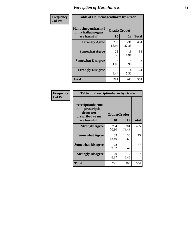| Frequency      | <b>Table of Hallucinogensharm by Grade</b>                 |                    |                                  |              |
|----------------|------------------------------------------------------------|--------------------|----------------------------------|--------------|
| <b>Col Pct</b> | Hallucinogensharm(I<br>think hallucinogens<br>are harmful) | Grade(Grade)<br>10 | 12                               | <b>Total</b> |
|                | <b>Strongly Agree</b>                                      | 253<br>86.94       | 231<br>87.83                     | 484          |
|                | <b>Somewhat Agree</b>                                      | 25<br>8.59         | 13<br>4.94                       | 38           |
|                | <b>Somewhat Disagree</b>                                   | 3<br>1.03          | $\overline{\mathcal{L}}$<br>1.90 | 8            |
|                | <b>Strongly Disagree</b>                                   | 10<br>3.44         | 14<br>5.32                       | 24           |
|                | <b>Total</b>                                               | 291                | 263                              | 554          |

| <b>Table of Prescriptionharm by Grade</b>                                 |              |              |              |  |  |
|---------------------------------------------------------------------------|--------------|--------------|--------------|--|--|
| Prescriptionharm(I<br>think prescription<br>drugs not<br>prescribed to me | Grade(Grade) |              |              |  |  |
| are harmful)                                                              | 10           | 12           | <b>Total</b> |  |  |
| <b>Strongly Agree</b>                                                     | 204<br>70.10 | 201<br>76.43 | 405          |  |  |
| <b>Somewhat Agree</b>                                                     | 39<br>13.40  | 36<br>13.69  | 75           |  |  |
| <b>Somewhat Disagree</b>                                                  | 28<br>9.62   | Q<br>3.42    | 37           |  |  |
| <b>Strongly Disagree</b>                                                  | 20<br>6.87   | 17<br>6.46   | 37           |  |  |
| <b>Total</b>                                                              | 291          | 263          | 554          |  |  |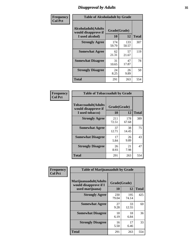# *Disapproval by Adults* **35**

| Frequency      | <b>Table of Alcoholadult by Grade</b>                                 |                    |              |              |
|----------------|-----------------------------------------------------------------------|--------------------|--------------|--------------|
| <b>Col Pct</b> | <b>Alcoholadult</b> (Adults<br>would disapprove if<br>I used alcohol) | Grade(Grade)<br>10 | 12           | <b>Total</b> |
|                | <b>Strongly Agree</b>                                                 | 174<br>59.79       | 133<br>50.57 | 307          |
|                | <b>Somewhat Agree</b>                                                 | 62<br>21.31        | 57<br>21.67  | 119          |
|                | <b>Somewhat Disagree</b>                                              | 31<br>10.65        | 47<br>17.87  | 78           |
|                | <b>Strongly Disagree</b>                                              | 24<br>8.25         | 26<br>9.89   | 50           |
|                | <b>Total</b>                                                          | 291                | 263          | 554          |

| <b>Table of Tobaccoadult by Grade</b>                                 |                    |              |              |  |  |
|-----------------------------------------------------------------------|--------------------|--------------|--------------|--|--|
| <b>Tobaccoadult</b> (Adults<br>would disapprove if<br>I used tobacco) | Grade(Grade)<br>10 | 12           | <b>Total</b> |  |  |
| <b>Strongly Agree</b>                                                 | 211<br>72.51       | 178<br>67.68 | 389          |  |  |
| <b>Somewhat Agree</b>                                                 | 37<br>12.71        | 38<br>14.45  | 75           |  |  |
| <b>Somewhat Disagree</b>                                              | 17<br>5.84         | 26<br>9.89   | 43           |  |  |
| <b>Strongly Disagree</b>                                              | 26<br>8.93         | 21<br>7.98   | 47           |  |  |
| Total                                                                 | 291                | 263          | 554          |  |  |

| Frequency<br><b>Col Pct</b> | <b>Table of Marijuanaadult by Grade</b>                           |                    |              |              |  |
|-----------------------------|-------------------------------------------------------------------|--------------------|--------------|--------------|--|
|                             | Marijuanaadult(Adults<br>would disapprove if I<br>used marijuana) | Grade(Grade)<br>10 | 12           | <b>Total</b> |  |
|                             | <b>Strongly Agree</b>                                             | 230<br>79.04       | 195<br>74.14 | 425          |  |
|                             | <b>Somewhat Agree</b>                                             | 27<br>9.28         | 33<br>12.55  | 60           |  |
|                             | <b>Somewhat Disagree</b>                                          | 18<br>6.19         | 18<br>6.84   | 36           |  |
|                             | <b>Strongly Disagree</b>                                          | 16<br>5.50         | 17<br>6.46   | 33           |  |
|                             | <b>Total</b>                                                      | 291                | 263          | 554          |  |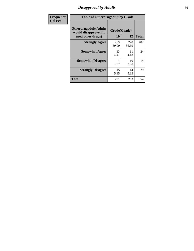# *Disapproval by Adults* **36**

| Frequency      | <b>Table of Otherdrugadult by Grade</b>                                     |                    |              |              |
|----------------|-----------------------------------------------------------------------------|--------------------|--------------|--------------|
| <b>Col Pct</b> | <b>Otherdrugadult</b> (Adults<br>would disapprove if I<br>used other drugs) | Grade(Grade)<br>10 | 12           | <b>Total</b> |
|                | <b>Strongly Agree</b>                                                       | 259<br>89.00       | 228<br>86.69 | 487          |
|                | <b>Somewhat Agree</b>                                                       | 13<br>4.47         | 11<br>4.18   | 24           |
|                | <b>Somewhat Disagree</b>                                                    | 4<br>1.37          | 10<br>3.80   | 14           |
|                | <b>Strongly Disagree</b>                                                    | 15<br>5.15         | 14<br>5.32   | 29           |
|                | <b>Total</b>                                                                | 291                | 263          | 554          |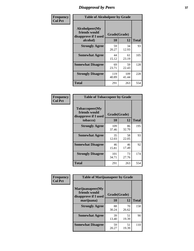## *Disapproval by Peers* **37**

| Frequency      | <b>Table of Alcoholpeer by Grade</b>                    |              |              |              |  |
|----------------|---------------------------------------------------------|--------------|--------------|--------------|--|
| <b>Col Pct</b> | Alcoholpeer(My<br>friends would<br>disapprove if I used | Grade(Grade) |              |              |  |
|                | alcohol)                                                | 10           | 12           | <b>Total</b> |  |
|                | <b>Strongly Agree</b>                                   | 59<br>20.27  | 34<br>12.93  | 93           |  |
|                | <b>Somewhat Agree</b>                                   | 44<br>15.12  | 61<br>23.19  | 105          |  |
|                | <b>Somewhat Disagree</b>                                | 69<br>23.71  | 59<br>22.43  | 128          |  |
|                | <b>Strongly Disagree</b>                                | 119<br>40.89 | 109<br>41.44 | 228          |  |
|                | Total                                                   | 291          | 263          | 554          |  |

| Frequency      | <b>Table of Tobaccopeer by Grade</b>                                |                    |             |              |
|----------------|---------------------------------------------------------------------|--------------------|-------------|--------------|
| <b>Col Pct</b> | Tobaccopeer(My<br>friends would<br>disapprove if I used<br>tobacco) | Grade(Grade)<br>10 | 12          | <b>Total</b> |
|                | <b>Strongly Agree</b>                                               | 109<br>37.46       | 86<br>32.70 | 195          |
|                | <b>Somewhat Agree</b>                                               | 35<br>12.03        | 58<br>22.05 | 93           |
|                | <b>Somewhat Disagree</b>                                            | 46<br>15.81        | 46<br>17.49 | 92           |
|                | <b>Strongly Disagree</b>                                            | 101<br>34.71       | 73<br>27.76 | 174          |
|                | Total                                                               | 291                | 263         | 554          |

| Frequency      | <b>Table of Marijuanapeer by Grade</b>                    |              |             |              |
|----------------|-----------------------------------------------------------|--------------|-------------|--------------|
| <b>Col Pct</b> | Marijuanapeer(My<br>friends would<br>disapprove if I used | Grade(Grade) |             |              |
|                | marijuana)                                                | 10           | 12          | <b>Total</b> |
|                | <b>Strongly Agree</b>                                     | 88<br>30.24  | 70<br>26.62 | 158          |
|                | <b>Somewhat Agree</b>                                     | 39<br>13.40  | 51<br>19.39 | 90           |
|                | <b>Somewhat Disagree</b>                                  | 59<br>20.27  | 51<br>19.39 | 110          |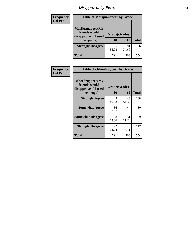# *Disapproval by Peers* **38**

| Frequency<br><b>Col Pct</b> | <b>Table of Marijuanapeer by Grade</b>                                  |                          |             |              |  |
|-----------------------------|-------------------------------------------------------------------------|--------------------------|-------------|--------------|--|
|                             | Marijuanapeer(My<br>friends would<br>disapprove if I used<br>marijuana) | Grade(Grade)<br>10<br>12 |             | <b>Total</b> |  |
|                             | <b>Strongly Disagree</b>                                                | 105<br>36.08             | 91<br>34.60 | 196          |  |
|                             | Total                                                                   | 291                      | 263         | 554          |  |

| Frequency      | <b>Table of Otherdrugpeer by Grade</b>                                    |                    |              |              |
|----------------|---------------------------------------------------------------------------|--------------------|--------------|--------------|
| <b>Col Pct</b> | Otherdrugpeer(My<br>friends would<br>disapprove if I used<br>other drugs) | Grade(Grade)<br>10 | 12           | <b>Total</b> |
|                | <b>Strongly Agree</b>                                                     | 145<br>49.83       | 143<br>54.37 | 288          |
|                | <b>Somewhat Agree</b>                                                     | 36<br>12.37        | 44<br>16.73  | 80           |
|                | <b>Somewhat Disagree</b>                                                  | 38<br>13.06        | 31<br>11.79  | 69           |
|                | <b>Strongly Disagree</b>                                                  | 72<br>24.74        | 45<br>17.11  | 117          |
|                | <b>Total</b>                                                              | 291                | 263          | 554          |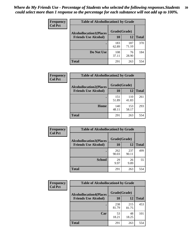| Frequency      | <b>Table of Alcohollocation1 by Grade</b> |              |              |              |
|----------------|-------------------------------------------|--------------|--------------|--------------|
| <b>Col Pct</b> | <b>Alcohollocation1(Places</b>            | Grade(Grade) |              |              |
|                | <b>Friends Use Alcohol)</b>               | 10           | 12           | <b>Total</b> |
|                |                                           | 183<br>62.89 | 187<br>71.10 | 370          |
|                | Do Not Use                                | 108<br>37.11 | 76<br>28.90  | 184          |
|                | <b>Total</b>                              | 291          | 263          | 554          |

| Frequency      | <b>Table of Alcohollocation2 by Grade</b>                     |                    |              |              |
|----------------|---------------------------------------------------------------|--------------------|--------------|--------------|
| <b>Col Pct</b> | <b>Alcohollocation2(Places</b><br><b>Friends Use Alcohol)</b> | Grade(Grade)<br>10 | 12           | <b>Total</b> |
|                |                                                               | 151<br>51.89       | 110<br>41.83 | 261          |
|                | Home                                                          | 140<br>48.11       | 153<br>58.17 | 293          |
|                | <b>Total</b>                                                  | 291                | 263          | 554          |

| Frequency<br><b>Col Pct</b> | <b>Table of Alcohollocation 3 by Grade</b>                    |                    |              |              |
|-----------------------------|---------------------------------------------------------------|--------------------|--------------|--------------|
|                             | <b>Alcohollocation3(Places</b><br><b>Friends Use Alcohol)</b> | Grade(Grade)<br>10 | 12           | <b>Total</b> |
|                             |                                                               | 262<br>90.03       | 237<br>90.11 | 499          |
|                             | <b>School</b>                                                 | 29<br>9.97         | 26<br>9.89   | 55           |
|                             | Total                                                         | 291                | 263          | 554          |

| Frequency      | <b>Table of Alcohollocation4 by Grade</b> |              |              |              |  |
|----------------|-------------------------------------------|--------------|--------------|--------------|--|
| <b>Col Pct</b> | <b>Alcohollocation4(Places</b>            | Grade(Grade) |              |              |  |
|                | <b>Friends Use Alcohol)</b>               | 10           | 12           | <b>Total</b> |  |
|                |                                           | 238<br>81.79 | 215<br>81.75 | 453          |  |
|                | Car                                       | 53<br>18.21  | 48<br>18.25  | 101          |  |
|                | <b>Total</b>                              | 291          | 263          | 554          |  |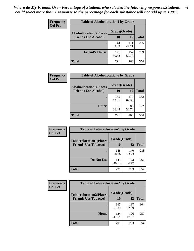| Frequency<br><b>Col Pct</b> | <b>Table of Alcohollocation5 by Grade</b> |              |              |              |  |
|-----------------------------|-------------------------------------------|--------------|--------------|--------------|--|
|                             | <b>Alcohollocation5(Places</b>            | Grade(Grade) |              |              |  |
|                             | <b>Friends Use Alcohol)</b>               | 10           | 12           | <b>Total</b> |  |
|                             |                                           | 144<br>49.48 | 111<br>42.21 | 255          |  |
|                             | <b>Friend's House</b>                     | 147<br>50.52 | 152<br>57.79 | 299          |  |
|                             | <b>Total</b>                              | 291          | 263          | 554          |  |

| <b>Frequency</b> | <b>Table of Alcohollocation6 by Grade</b> |              |              |              |
|------------------|-------------------------------------------|--------------|--------------|--------------|
| <b>Col Pct</b>   | <b>Alcohollocation6(Places</b>            | Grade(Grade) |              |              |
|                  | <b>Friends Use Alcohol)</b>               | 10           | 12           | <b>Total</b> |
|                  |                                           | 185<br>63.57 | 177<br>67.30 | 362          |
|                  | <b>Other</b>                              | 106<br>36.43 | 86<br>32.70  | 192          |
|                  | <b>Total</b>                              | 291          | 263          | 554          |

| Frequency      | <b>Table of Tobaccolocation1 by Grade</b> |              |              |              |
|----------------|-------------------------------------------|--------------|--------------|--------------|
| <b>Col Pct</b> | <b>Tobaccolocation1(Places</b>            | Grade(Grade) |              |              |
|                | <b>Friends Use Tobacco)</b>               | 10           | <b>12</b>    | <b>Total</b> |
|                |                                           | 148<br>50.86 | 140<br>53.23 | 288          |
|                | Do Not Use                                | 143<br>49.14 | 123<br>46.77 | 266          |
|                | <b>Total</b>                              | 291          | 263          | 554          |

| <b>Frequency</b> | <b>Table of Tobaccolocation2 by Grade</b> |              |              |              |
|------------------|-------------------------------------------|--------------|--------------|--------------|
| <b>Col Pct</b>   | <b>Tobaccolocation2(Places</b>            | Grade(Grade) |              |              |
|                  | <b>Friends Use Tobacco)</b>               | 10           | 12           | <b>Total</b> |
|                  |                                           | 167<br>57.39 | 137<br>52.09 | 304          |
|                  | Home                                      | 124<br>42.61 | 126<br>47.91 | 250          |
|                  | <b>Total</b>                              | 291          | 263          | 554          |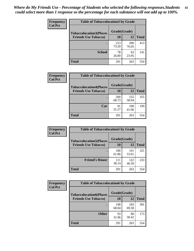| Frequency      | <b>Table of Tobaccolocation 3 by Grade</b> |              |              |              |  |
|----------------|--------------------------------------------|--------------|--------------|--------------|--|
| <b>Col Pct</b> | <b>Tobaccolocation3(Places</b>             | Grade(Grade) |              |              |  |
|                | <b>Friends Use Tobacco)</b>                | 10           | 12           | <b>Total</b> |  |
|                |                                            | 213<br>73.20 | 200<br>76.05 | 413          |  |
|                | <b>School</b>                              | 78<br>26.80  | 63<br>23.95  | 141          |  |
|                | <b>Total</b>                               | 291          | 263          | 554          |  |

| Frequency      |                                | <b>Table of Tobaccolocation4 by Grade</b> |              |              |  |
|----------------|--------------------------------|-------------------------------------------|--------------|--------------|--|
| <b>Col Pct</b> | <b>Tobaccolocation4(Places</b> | Grade(Grade)                              |              |              |  |
|                | <b>Friends Use Tobacco)</b>    | 10                                        | <b>12</b>    | <b>Total</b> |  |
|                |                                | 200<br>68.73                              | 155<br>58.94 | 355          |  |
|                | Car                            | 91<br>31.27                               | 108<br>41.06 | 199          |  |
|                | <b>Total</b>                   | 291                                       | 263          | 554          |  |

| Frequency<br><b>Col Pct</b> | <b>Table of Tobaccolocation5 by Grade</b>                     |                    |              |              |
|-----------------------------|---------------------------------------------------------------|--------------------|--------------|--------------|
|                             | <b>Tobaccolocation5(Places</b><br><b>Friends Use Tobacco)</b> | Grade(Grade)<br>10 | <b>12</b>    | <b>Total</b> |
|                             |                                                               |                    |              |              |
|                             |                                                               | 180<br>61.86       | 141<br>53.61 | 321          |
|                             | <b>Friend's House</b>                                         | 111<br>38.14       | 122<br>46.39 | 233          |
|                             | <b>Total</b>                                                  | 291                | 263          | 554          |

| Frequency      | <b>Table of Tobaccolocation6 by Grade</b> |              |              |              |  |
|----------------|-------------------------------------------|--------------|--------------|--------------|--|
| <b>Col Pct</b> | <b>Tobaccolocation6(Places</b>            | Grade(Grade) |              |              |  |
|                | <b>Friends Use Tobacco)</b>               | 10           | 12           | <b>Total</b> |  |
|                |                                           | 198<br>68.04 | 183<br>69.58 | 381          |  |
|                | <b>Other</b>                              | 93<br>31.96  | 80<br>30.42  | 173          |  |
|                | <b>Total</b>                              | 291          | 263          | 554          |  |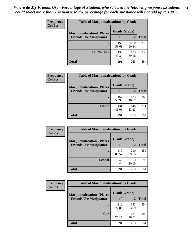| <b>Frequency</b> | <b>Table of Marijuanalocation1 by Grade</b> |              |              |              |
|------------------|---------------------------------------------|--------------|--------------|--------------|
| <b>Col Pct</b>   | <b>Marijuanalocation1(Places</b>            | Grade(Grade) |              |              |
|                  | <b>Friends Use Marijuana</b> )              | 10           | 12           | <b>Total</b> |
|                  |                                             | 156<br>53.61 | 160<br>60.84 | 316          |
|                  | Do Not Use                                  | 135<br>46.39 | 103<br>39.16 | 238          |
|                  | <b>Total</b>                                | 291          | 263          | 554          |

| <b>Frequency</b> | <b>Table of Marijuanalocation2 by Grade</b>                        |                    |              |              |
|------------------|--------------------------------------------------------------------|--------------------|--------------|--------------|
| <b>Col Pct</b>   | <b>Marijuanalocation2(Places</b><br><b>Friends Use Marijuana</b> ) | Grade(Grade)<br>10 | 12           | <b>Total</b> |
|                  |                                                                    | 157<br>53.95       | 123<br>46.77 | 280          |
|                  | Home                                                               | 134<br>46.05       | 140<br>53.23 | 274          |
|                  | <b>Total</b>                                                       | 291                | 263          | 554          |

| Frequency<br><b>Col Pct</b> | <b>Table of Marijuanalocation3 by Grade</b> |              |              |              |
|-----------------------------|---------------------------------------------|--------------|--------------|--------------|
|                             | <b>Marijuanalocation3</b> (Places           | Grade(Grade) |              |              |
|                             | <b>Friends Use Marijuana</b> )              | <b>10</b>    | 12           | <b>Total</b> |
|                             |                                             | 249<br>85.57 | 210<br>79.85 | 459          |
|                             | <b>School</b>                               | 42<br>14.43  | 53<br>20.15  | 95           |
|                             | <b>Total</b>                                | 291          | 263          | 554          |

| <b>Frequency</b> | <b>Table of Marijuanalocation4 by Grade</b> |              |              |              |  |
|------------------|---------------------------------------------|--------------|--------------|--------------|--|
| <b>Col Pct</b>   | <b>Marijuanalocation4(Places</b>            | Grade(Grade) |              |              |  |
|                  | <b>Friends Use Marijuana</b> )              | <b>10</b>    | 12           | <b>Total</b> |  |
|                  |                                             | 212<br>72.85 | 142<br>53.99 | 354          |  |
|                  | Car                                         | 79<br>27.15  | 121<br>46.01 | 200          |  |
|                  | <b>Total</b>                                | 291          | 263          | 554          |  |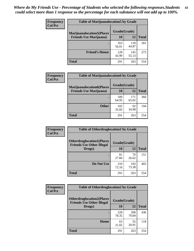| <b>Frequency</b> | <b>Table of Marijuanalocation5 by Grade</b> |              |              |              |
|------------------|---------------------------------------------|--------------|--------------|--------------|
| <b>Col Pct</b>   | <b>Marijuanalocation5</b> (Places           | Grade(Grade) |              |              |
|                  | <b>Friends Use Marijuana</b> )              | 10           | 12           | <b>Total</b> |
|                  |                                             | 163<br>56.01 | 118<br>44.87 | 281          |
|                  | <b>Friend's House</b>                       | 128<br>43.99 | 145<br>55.13 | 273          |
|                  | <b>Total</b>                                | 291          | 263          | 554          |

| <b>Frequency</b> | <b>Table of Marijuanalocation6 by Grade</b>                        |                    |              |              |
|------------------|--------------------------------------------------------------------|--------------------|--------------|--------------|
| <b>Col Pct</b>   | <b>Marijuanalocation6(Places</b><br><b>Friends Use Marijuana</b> ) | Grade(Grade)<br>10 | 12           | <b>Total</b> |
|                  |                                                                    | 189<br>64.95       | 171<br>65.02 | 360          |
|                  | <b>Other</b>                                                       | 102<br>35.05       | 92<br>34.98  | 194          |
|                  | <b>Total</b>                                                       | 291                | 263          | 554          |

| <b>Frequency</b> | <b>Table of Otherdruglocation1 by Grade</b>                          |              |              |              |
|------------------|----------------------------------------------------------------------|--------------|--------------|--------------|
| <b>Col Pct</b>   | <b>Otherdruglocation1(Places</b><br><b>Friends Use Other Illegal</b> | Grade(Grade) |              |              |
|                  | Drugs)                                                               | 10           | 12           | <b>Total</b> |
|                  |                                                                      | 81<br>27.84  | 70<br>26.62  | 151          |
|                  | Do Not Use                                                           | 210<br>72.16 | 193<br>73.38 | 403          |
|                  | <b>Total</b>                                                         | 291          | 263          | 554          |

| Frequency      | <b>Table of Otherdruglocation2 by Grade</b>                          |              |              |              |
|----------------|----------------------------------------------------------------------|--------------|--------------|--------------|
| <b>Col Pct</b> | <b>Otherdruglocation2(Places</b><br><b>Friends Use Other Illegal</b> | Grade(Grade) |              |              |
|                | Drugs)                                                               | 10           | 12           | <b>Total</b> |
|                |                                                                      | 228<br>78.35 | 208<br>79.09 | 436          |
|                | <b>Home</b>                                                          | 63<br>21.65  | 55<br>20.91  | 118          |
|                | <b>Total</b>                                                         | 291          | 263          | 554          |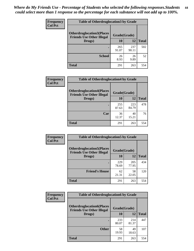| <b>Frequency</b> | <b>Table of Otherdruglocation3 by Grade</b>                          |              |              |              |
|------------------|----------------------------------------------------------------------|--------------|--------------|--------------|
| <b>Col Pct</b>   | <b>Otherdruglocation3(Places</b><br><b>Friends Use Other Illegal</b> | Grade(Grade) |              |              |
|                  | Drugs)                                                               | 10           | 12           | <b>Total</b> |
|                  |                                                                      | 265<br>91.07 | 237<br>90.11 | 502          |
|                  | <b>School</b>                                                        | 26<br>8.93   | 26<br>9.89   | 52           |
|                  | <b>Total</b>                                                         | 291          | 263          | 554          |

| <b>Frequency</b> | <b>Table of Otherdruglocation4 by Grade</b>                          |              |              |              |
|------------------|----------------------------------------------------------------------|--------------|--------------|--------------|
| <b>Col Pct</b>   | <b>Otherdruglocation4(Places</b><br><b>Friends Use Other Illegal</b> | Grade(Grade) |              |              |
|                  | Drugs)                                                               | 10           | 12           | <b>Total</b> |
|                  |                                                                      | 255<br>87.63 | 223<br>84.79 | 478          |
|                  | Car                                                                  | 36<br>12.37  | 40<br>15.21  | 76           |
|                  | <b>Total</b>                                                         | 291          | 263          | 554          |

| Frequency      | <b>Table of Otherdruglocation5 by Grade</b>                          |              |              |              |
|----------------|----------------------------------------------------------------------|--------------|--------------|--------------|
| <b>Col Pct</b> | <b>Otherdruglocation5(Places</b><br><b>Friends Use Other Illegal</b> | Grade(Grade) |              |              |
|                | Drugs)                                                               | 10           | 12           | <b>Total</b> |
|                |                                                                      | 229<br>78.69 | 205<br>77.95 | 434          |
|                | <b>Friend's House</b>                                                | 62<br>21.31  | 58<br>22.05  | 120          |
|                | <b>Total</b>                                                         | 291          | 263          | 554          |

| <b>Frequency</b> | <b>Table of Otherdruglocation6 by Grade</b>                          |              |              |              |
|------------------|----------------------------------------------------------------------|--------------|--------------|--------------|
| <b>Col Pct</b>   | <b>Otherdruglocation6(Places</b><br><b>Friends Use Other Illegal</b> | Grade(Grade) |              |              |
|                  | Drugs)                                                               | 10           | 12           | <b>Total</b> |
|                  |                                                                      | 233<br>80.07 | 214<br>81.37 | 447          |
|                  | <b>Other</b>                                                         | 58<br>19.93  | 49<br>18.63  | 107          |
|                  | <b>Total</b>                                                         | 291          | 263          | 554          |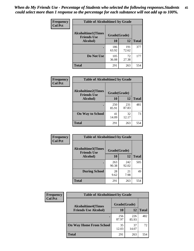| Frequency      | <b>Table of Alcoholtime1 by Grade</b>           |              |              |              |
|----------------|-------------------------------------------------|--------------|--------------|--------------|
| <b>Col Pct</b> | <b>Alcoholtime1(Times</b><br><b>Friends Use</b> | Grade(Grade) |              |              |
|                | Alcohol)                                        | 10           | 12           | <b>Total</b> |
|                |                                                 | 186<br>63.92 | 191<br>72.62 | 377          |
|                | Do Not Use                                      | 105<br>36.08 | 72<br>27.38  | 177          |
|                | <b>Total</b>                                    | 291          | 263          | 554          |

| Frequency      | <b>Table of Alcoholtime2 by Grade</b>           |              |              |              |
|----------------|-------------------------------------------------|--------------|--------------|--------------|
| <b>Col Pct</b> | <b>Alcoholtime2(Times</b><br><b>Friends Use</b> | Grade(Grade) |              |              |
|                | Alcohol)                                        | 10           | 12           | <b>Total</b> |
|                |                                                 | 250<br>85.91 | 231<br>87.83 | 481          |
|                | <b>On Way to School</b>                         | 41<br>14.09  | 32<br>12.17  | 73           |
|                | <b>Total</b>                                    | 291          | 263          | 554          |

| Frequency<br><b>Col Pct</b> | <b>Table of Alcoholtime3 by Grade</b>                           |              |              |              |
|-----------------------------|-----------------------------------------------------------------|--------------|--------------|--------------|
|                             | <b>Alcoholtime3(Times</b><br>Grade(Grade)<br><b>Friends Use</b> |              |              |              |
|                             | <b>Alcohol</b> )                                                | 10           | 12           | <b>Total</b> |
|                             |                                                                 | 263<br>90.38 | 242<br>92.02 | 505          |
|                             | <b>During School</b>                                            | 28<br>9.62   | 21<br>7.98   | 49           |
|                             | Total                                                           | 291          | 263          | 554          |

| <b>Frequency</b> | <b>Table of Alcoholtime4 by Grade</b> |              |              |              |  |
|------------------|---------------------------------------|--------------|--------------|--------------|--|
| <b>Col Pct</b>   | <b>Alcoholtime4(Times</b>             | Grade(Grade) |              |              |  |
|                  | <b>Friends Use Alcohol)</b>           | 10           | 12           | <b>Total</b> |  |
|                  | ٠                                     | 256<br>87.97 | 226<br>85.93 | 482          |  |
|                  | <b>On Way Home From School</b>        | 35<br>12.03  | 37<br>14.07  | 72           |  |
|                  | <b>Total</b>                          | 291          | 263          | 554          |  |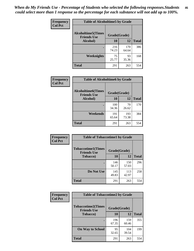*When do My Friends Use - Percentage of Students who selected the following responses.Students could select more than 1 response so the percentage for each substance will not add up to 100%.* **46**

| Frequency      | <b>Table of Alcoholtime5 by Grade</b>           |              |              |              |
|----------------|-------------------------------------------------|--------------|--------------|--------------|
| <b>Col Pct</b> | <b>Alcoholtime5(Times</b><br><b>Friends Use</b> | Grade(Grade) |              |              |
|                | Alcohol)                                        | 10           | 12           | <b>Total</b> |
|                |                                                 | 216<br>74.23 | 170<br>64.64 | 386          |
|                | Weeknights                                      | 75<br>25.77  | 93<br>35.36  | 168          |
|                | <b>Total</b>                                    | 291          | 263          | 554          |

| Frequency      | <b>Table of Alcoholtime6 by Grade</b>           |              |              |              |
|----------------|-------------------------------------------------|--------------|--------------|--------------|
| <b>Col Pct</b> | <b>Alcoholtime6(Times</b><br><b>Friends Use</b> | Grade(Grade) |              |              |
|                | Alcohol)                                        | 10           | 12           | <b>Total</b> |
|                | ٠                                               | 100<br>34.36 | 70<br>26.62  | 170          |
|                | Weekends                                        | 191<br>65.64 | 193<br>73.38 | 384          |
|                | <b>Total</b>                                    | 291          | 263          | 554          |

| Frequency      | <b>Table of Tobaccotime1 by Grade</b>           |              |              |              |
|----------------|-------------------------------------------------|--------------|--------------|--------------|
| <b>Col Pct</b> | <b>Tobaccotime1(Times</b><br><b>Friends Use</b> | Grade(Grade) |              |              |
|                | <b>Tobacco</b> )                                | 10           | 12           | <b>Total</b> |
|                |                                                 | 146<br>50.17 | 150<br>57.03 | 296          |
|                | Do Not Use                                      | 145<br>49.83 | 113<br>42.97 | 258          |
|                | <b>Total</b>                                    | 291          | 263          | 554          |

| <b>Frequency</b> | <b>Table of Tobaccotime2 by Grade</b>           |              |              |              |
|------------------|-------------------------------------------------|--------------|--------------|--------------|
| <b>Col Pct</b>   | <b>Tobaccotime2(Times</b><br><b>Friends Use</b> | Grade(Grade) |              |              |
|                  | <b>Tobacco</b> )                                | 10           | 12           | <b>Total</b> |
|                  |                                                 | 196<br>67.35 | 159<br>60.46 | 355          |
|                  | <b>On Way to School</b>                         | 95<br>32.65  | 104<br>39.54 | 199          |
|                  | <b>Total</b>                                    | 291          | 263          | 554          |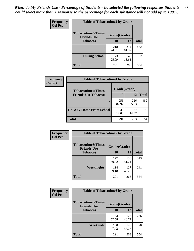*When do My Friends Use - Percentage of Students who selected the following responses.Students could select more than 1 response so the percentage for each substance will not add up to 100%.* **47**

| <b>Frequency</b> | <b>Table of Tobaccotime3 by Grade</b>           |              |              |              |
|------------------|-------------------------------------------------|--------------|--------------|--------------|
| <b>Col Pct</b>   | <b>Tobaccotime3(Times</b><br><b>Friends Use</b> | Grade(Grade) |              |              |
|                  | <b>Tobacco</b> )                                | 10           | 12           | <b>Total</b> |
|                  |                                                 | 218<br>74.91 | 214<br>81.37 | 432          |
|                  | <b>During School</b>                            | 73<br>25.09  | 49<br>18.63  | 122          |
|                  | Total                                           | 291          | 263          | 554          |

| Frequency<br><b>Col Pct</b> | <b>Table of Tobaccotime4 by Grade</b> |              |              |              |
|-----------------------------|---------------------------------------|--------------|--------------|--------------|
|                             | <b>Tobaccotime4(Times</b>             | Grade(Grade) |              |              |
|                             | <b>Friends Use Tobacco)</b>           | 10           | 12           | <b>Total</b> |
|                             |                                       | 256<br>87.97 | 226<br>85.93 | 482          |
|                             | <b>On Way Home From School</b>        | 35<br>12.03  | 37<br>14.07  | 72           |
|                             | Total                                 | 291          | 263          | 554          |

| <b>Frequency</b> | <b>Table of Tobaccotime5 by Grade</b>           |              |              |              |
|------------------|-------------------------------------------------|--------------|--------------|--------------|
| <b>Col Pct</b>   | <b>Tobaccotime5(Times</b><br><b>Friends Use</b> | Grade(Grade) |              |              |
|                  | <b>Tobacco</b> )                                | 10           | 12           | <b>Total</b> |
|                  |                                                 | 177<br>60.82 | 136<br>51.71 | 313          |
|                  | Weeknights                                      | 114<br>39.18 | 127<br>48.29 | 241          |
|                  | <b>Total</b>                                    | 291          | 263          | 554          |

| Frequency<br><b>Col Pct</b> | <b>Table of Tobaccotime6 by Grade</b>                           |              |              |              |  |
|-----------------------------|-----------------------------------------------------------------|--------------|--------------|--------------|--|
|                             | <b>Tobaccotime6(Times</b><br>Grade(Grade)<br><b>Friends Use</b> |              |              |              |  |
|                             | <b>Tobacco</b> )                                                | 10           | 12           | <b>Total</b> |  |
|                             |                                                                 | 153<br>52.58 | 123<br>46.77 | 276          |  |
|                             | Weekends                                                        | 138<br>47.42 | 140<br>53.23 | 278          |  |
|                             | <b>Total</b>                                                    | 291          | 263          | 554          |  |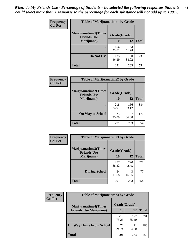| Frequency      | <b>Table of Marijuanatime1 by Grade</b>           |              |              |              |  |
|----------------|---------------------------------------------------|--------------|--------------|--------------|--|
| <b>Col Pct</b> | <b>Marijuanatime1(Times</b><br><b>Friends Use</b> | Grade(Grade) |              |              |  |
|                | Marijuana)                                        | 10           | 12           | <b>Total</b> |  |
|                |                                                   | 156<br>53.61 | 163<br>61.98 | 319          |  |
|                | Do Not Use                                        | 135<br>46.39 | 100<br>38.02 | 235          |  |
|                | <b>Total</b>                                      | 291          | 263          | 554          |  |

| <b>Frequency</b> | <b>Table of Marijuanatime2 by Grade</b>           |              |              |              |
|------------------|---------------------------------------------------|--------------|--------------|--------------|
| <b>Col Pct</b>   | <b>Marijuanatime2(Times</b><br><b>Friends Use</b> | Grade(Grade) |              |              |
|                  | Marijuana)                                        | 10           | 12           | <b>Total</b> |
|                  | ٠                                                 | 218<br>74.91 | 166<br>63.12 | 384          |
|                  | <b>On Way to School</b>                           | 73<br>25.09  | 97<br>36.88  | 170          |
|                  | <b>Total</b>                                      | 291          | 263          | 554          |

| Frequency      | <b>Table of Marijuanatime3 by Grade</b>    |              |              |              |  |
|----------------|--------------------------------------------|--------------|--------------|--------------|--|
| <b>Col Pct</b> | Marijuanatime3(Times<br><b>Friends Use</b> | Grade(Grade) |              |              |  |
|                | Marijuana)                                 | 10           | 12           | <b>Total</b> |  |
|                |                                            | 257<br>88.32 | 220<br>83.65 | 477          |  |
|                | <b>During School</b>                       | 34<br>11.68  | 43<br>16.35  | 77           |  |
|                | Total                                      | 291          | 263          | 554          |  |

| <b>Frequency</b> | <b>Table of Marijuanatime4 by Grade</b> |              |              |       |
|------------------|-----------------------------------------|--------------|--------------|-------|
| <b>Col Pct</b>   | <b>Marijuanatime4</b> (Times            | Grade(Grade) |              |       |
|                  | <b>Friends Use Marijuana</b> )          | 10           | 12           | Total |
|                  |                                         | 219<br>75.26 | 172<br>65.40 | 391   |
|                  | <b>On Way Home From School</b>          | 72<br>24.74  | 91<br>34.60  | 163   |
|                  | <b>Total</b>                            | 291          | 263          | 554   |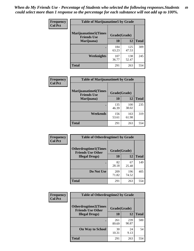| Frequency      | <b>Table of Marijuanatime5 by Grade</b>            |              |              |              |
|----------------|----------------------------------------------------|--------------|--------------|--------------|
| <b>Col Pct</b> | <b>Marijuanatime5</b> (Times<br><b>Friends Use</b> | Grade(Grade) |              |              |
|                | Marijuana)                                         | 10           | 12           | <b>Total</b> |
|                |                                                    | 184<br>63.23 | 125<br>47.53 | 309          |
|                | Weeknights                                         | 107<br>36.77 | 138<br>52.47 | 245          |
|                | <b>Total</b>                                       | 291          | 263          | 554          |

| Frequency      | <b>Table of Marijuanatime6 by Grade</b>           |              |              |              |
|----------------|---------------------------------------------------|--------------|--------------|--------------|
| <b>Col Pct</b> | <b>Marijuanatime6(Times</b><br><b>Friends Use</b> | Grade(Grade) |              |              |
|                | Marijuana)                                        | 10           | 12           | <b>Total</b> |
|                |                                                   | 135<br>46.39 | 100<br>38.02 | 235          |
|                | Weekends                                          | 156<br>53.61 | 163<br>61.98 | 319          |
|                | <b>Total</b>                                      | 291          | 263          | 554          |

| Frequency      | <b>Table of Otherdrugtime1 by Grade</b>                 |              |              |              |
|----------------|---------------------------------------------------------|--------------|--------------|--------------|
| <b>Col Pct</b> | <b>Otherdrugtime1(Times</b><br><b>Friends Use Other</b> | Grade(Grade) |              |              |
|                | <b>Illegal Drugs</b> )                                  | 10           | 12           | <b>Total</b> |
|                |                                                         | 82<br>28.18  | 67<br>25.48  | 149          |
|                | Do Not Use                                              | 209<br>71.82 | 196<br>74.52 | 405          |
|                | <b>Total</b>                                            | 291          | 263          | 554          |

| Frequency      | <b>Table of Otherdrugtime2 by Grade</b>                 |              |              |              |
|----------------|---------------------------------------------------------|--------------|--------------|--------------|
| <b>Col Pct</b> | <b>Otherdrugtime2(Times</b><br><b>Friends Use Other</b> | Grade(Grade) |              |              |
|                | <b>Illegal Drugs</b> )                                  | 10           | 12           | <b>Total</b> |
|                |                                                         | 261<br>89.69 | 239<br>90.87 | 500          |
|                | <b>On Way to School</b>                                 | 30<br>10.31  | 24<br>9.13   | 54           |
|                | Total                                                   | 291          | 263          | 554          |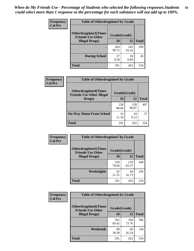| <b>Frequency</b><br><b>Col Pct</b> | <b>Table of Otherdrugtime3 by Grade</b>                 |              |              |              |  |  |
|------------------------------------|---------------------------------------------------------|--------------|--------------|--------------|--|--|
|                                    | <b>Otherdrugtime3(Times</b><br><b>Friends Use Other</b> | Grade(Grade) |              |              |  |  |
|                                    | <b>Illegal Drugs)</b>                                   | 10           | 12           | <b>Total</b> |  |  |
|                                    |                                                         | 264<br>90.72 | 245<br>93.16 | 509          |  |  |
|                                    | <b>During School</b>                                    | 27<br>9.28   | 18<br>6.84   | 45           |  |  |
|                                    | Total                                                   | 291          | 263          | 554          |  |  |

| <b>Frequency</b> | <b>Table of Otherdrugtime4 by Grade</b>                         |              |              |              |  |  |
|------------------|-----------------------------------------------------------------|--------------|--------------|--------------|--|--|
| <b>Col Pct</b>   | <b>Otherdrugtime4(Times</b><br><b>Friends Use Other Illegal</b> | Grade(Grade) |              |              |  |  |
|                  | Drugs)                                                          | 10           | 12           | <b>Total</b> |  |  |
|                  |                                                                 | 258<br>88.66 | 239<br>90.87 | 497          |  |  |
|                  | <b>On Way Home From School</b>                                  | 33<br>11.34  | 24<br>9.13   | 57           |  |  |
|                  | <b>Total</b>                                                    | 291          | 263          | 554          |  |  |

| <b>Frequency</b><br><b>Col Pct</b> | <b>Table of Otherdrugtime5 by Grade</b>                  |              |              |              |  |  |
|------------------------------------|----------------------------------------------------------|--------------|--------------|--------------|--|--|
|                                    | <b>Otherdrugtime5</b> (Times<br><b>Friends Use Other</b> | Grade(Grade) |              |              |  |  |
|                                    | <b>Illegal Drugs</b> )                                   | 10           | 12           | <b>Total</b> |  |  |
|                                    |                                                          | 229<br>78.69 | 219<br>83.27 | 448          |  |  |
|                                    | <b>Weeknights</b>                                        | 62<br>21.31  | 44<br>16.73  | 106          |  |  |
|                                    | Total                                                    | 291          | 263          | 554          |  |  |

| <b>Frequency</b> | <b>Table of Otherdrugtime6 by Grade</b>                 |              |              |              |  |  |
|------------------|---------------------------------------------------------|--------------|--------------|--------------|--|--|
| <b>Col Pct</b>   | <b>Otherdrugtime6(Times</b><br><b>Friends Use Other</b> | Grade(Grade) |              |              |  |  |
|                  | <b>Illegal Drugs</b> )                                  | 10           | 12           | <b>Total</b> |  |  |
|                  |                                                         | 202<br>69.42 | 194<br>73.76 | 396          |  |  |
|                  | Weekends                                                | 89<br>30.58  | 69<br>26.24  | 158          |  |  |
|                  | <b>Total</b>                                            | 291          | 263          | 554          |  |  |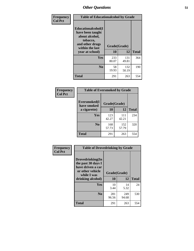| Frequency      | <b>Table of Educationalcohol by Grade</b>                                                                  |              |              |              |  |
|----------------|------------------------------------------------------------------------------------------------------------|--------------|--------------|--------------|--|
| <b>Col Pct</b> | Educationalcohol(I<br>have been taught<br>about alcohol,<br>tobacco,<br>and other drugs<br>within the last | Grade(Grade) |              |              |  |
|                | year at school)                                                                                            | 10           | 12           | <b>Total</b> |  |
|                | Yes                                                                                                        | 233<br>80.07 | 131<br>49.81 | 364          |  |
|                | N <sub>0</sub>                                                                                             | 58<br>19.93  | 132<br>50.19 | 190          |  |
|                | <b>Total</b>                                                                                               | 291          | 263          | 554          |  |

| Frequency      | <b>Table of Eversmoked by Grade</b>         |              |              |              |  |  |
|----------------|---------------------------------------------|--------------|--------------|--------------|--|--|
| <b>Col Pct</b> | Eversmoked(I<br>Grade(Grade)<br>have smoked |              |              |              |  |  |
|                | a cigarette)                                | 10           | 12           | <b>Total</b> |  |  |
|                | <b>Yes</b>                                  | 123<br>42.27 | 111<br>42.21 | 234          |  |  |
|                | N <sub>0</sub>                              | 168<br>57.73 | 152<br>57.79 | 320          |  |  |
|                | <b>Total</b>                                | 291          | 263          | 554          |  |  |

| Frequency      | <b>Table of Drovedrinking by Grade</b>                                                                              |                    |              |              |  |
|----------------|---------------------------------------------------------------------------------------------------------------------|--------------------|--------------|--------------|--|
| <b>Col Pct</b> | Drovedrinking(In<br>the past 30 days I<br>have driven a car<br>or other vehicle<br>while I was<br>drinking alcohol) | Grade(Grade)<br>10 | 12           | <b>Total</b> |  |
|                | <b>Yes</b>                                                                                                          | 10<br>3.44         | 14<br>5.32   | 24           |  |
|                | N <sub>0</sub>                                                                                                      | 281<br>96.56       | 249<br>94.68 | 530          |  |
|                | <b>Total</b>                                                                                                        | 291                | 263          | 554          |  |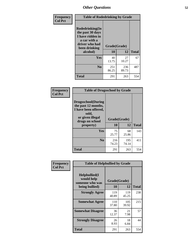| Frequency<br><b>Col Pct</b> | <b>Table of Rodedrinking by Grade</b>                                                                                  |                          |              |              |  |
|-----------------------------|------------------------------------------------------------------------------------------------------------------------|--------------------------|--------------|--------------|--|
|                             | Rodedrinking(In<br>the past 30 days<br>I have ridden in<br>a car with a<br>driver who had<br>been drinking<br>alcohol) | Grade(Grade)<br>10<br>12 |              | <b>Total</b> |  |
|                             |                                                                                                                        |                          |              |              |  |
|                             | <b>Yes</b>                                                                                                             | 40<br>13.75              | 27<br>10.27  | 67           |  |
|                             | N <sub>0</sub>                                                                                                         | 251<br>86.25             | 236<br>89.73 | 487          |  |
|                             | <b>Total</b>                                                                                                           | 291                      | 263          | 554          |  |

#### **Frequency Col Pct**

| <b>Table of Drugsschool by Grade</b>                                                                                      |              |              |              |  |  |  |
|---------------------------------------------------------------------------------------------------------------------------|--------------|--------------|--------------|--|--|--|
| <b>Drugsschool</b> (During<br>the past 12 months,<br>I have been offered,<br>sold,<br>or given illegal<br>drugs on school | Grade(Grade) |              |              |  |  |  |
| property)                                                                                                                 | 10           | 12           | <b>Total</b> |  |  |  |
| <b>Yes</b>                                                                                                                | 75<br>25.77  | 68<br>25.86  | 143          |  |  |  |
| N <sub>0</sub>                                                                                                            | 216<br>74.23 | 195<br>74.14 | 411          |  |  |  |
| Total                                                                                                                     | 291          | 263          | 554          |  |  |  |

|                             | <b>Table of Helpbullied by Grade</b>                 |              |              |              |  |  |
|-----------------------------|------------------------------------------------------|--------------|--------------|--------------|--|--|
| Frequency<br><b>Col Pct</b> |                                                      |              |              |              |  |  |
|                             | $Helpb$ ullied $(I$<br>would help<br>someone who was | Grade(Grade) |              |              |  |  |
|                             | being bullied)                                       | <b>10</b>    | 12           | <b>Total</b> |  |  |
|                             | <b>Strongly Agree</b>                                | 119<br>40.89 | 119<br>45.25 | 238          |  |  |
|                             | <b>Somewhat Agree</b>                                | 110<br>37.80 | 105<br>39.92 | 215          |  |  |
|                             | <b>Somewhat Disagree</b>                             | 36<br>12.37  | 21<br>7.98   | 57           |  |  |
|                             | <b>Strongly Disagree</b>                             | 26<br>8.93   | 18<br>6.84   | 44           |  |  |
|                             | <b>Total</b>                                         | 291          | 263          | 554          |  |  |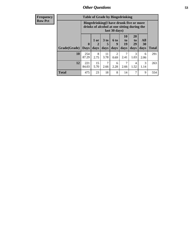8 2.75

15 5.70

11 3.78

7 2.66

**Total** 475 23 18 8 14 7 9 554

2 0.69

6 2.28

| Frequency      |                            |  |                |                         | <b>Table of Grade by Bingedrinking</b>                                                                          |                                  |                               |                                      |
|----------------|----------------------------|--|----------------|-------------------------|-----------------------------------------------------------------------------------------------------------------|----------------------------------|-------------------------------|--------------------------------------|
| <b>Row Pct</b> |                            |  |                |                         | <b>Bingedrinking</b> (I have drunk five or more<br>drinks of alcohol at one sitting during the<br>last 30 days) |                                  |                               |                                      |
|                | Grade(Grade)   Days   days |  | $1$ or $\vert$ | 3 <sub>to</sub><br>days | <b>6 to</b><br>days                                                                                             | 10<br>$\mathbf{t}$<br>19<br>days | <b>20</b><br>to<br>29<br>days | <b>All</b><br>3 <sub>0</sub><br>days |

**10** 254 87.29

 $12 | 221$ 84.03 **Total**

291

263

7 2.41

7 2.66

> 3 1.03

> 4 1.52

**All 30 days**

> 6 2.06

3 1.14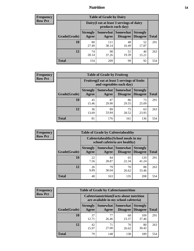## *Nutrition* **54**

| <b>Frequency</b> |
|------------------|
| <b>Row Pct</b>   |

| <b>Table of Grade by Dairy</b> |                          |                                                                 |                                    |                                    |              |  |  |
|--------------------------------|--------------------------|-----------------------------------------------------------------|------------------------------------|------------------------------------|--------------|--|--|
|                                |                          | Dairy (I eat at least 3 servings of dairy<br>products each day) |                                    |                                    |              |  |  |
| Grade(Grade)                   | <b>Strongly</b><br>Agree | Somewhat<br>Agree                                               | <b>Somewhat</b><br><b>Disagree</b> | <b>Strongly</b><br><b>Disagree</b> | <b>Total</b> |  |  |
| 10                             | 80<br>27.49              | 111<br>38.14                                                    | 48<br>16.49                        | 52<br>17.87                        | 291          |  |  |
| 12                             | 74<br>28.14              | 98<br>37.26                                                     | 51<br>19.39                        | 40<br>15.21                        | 263          |  |  |
| <b>Total</b>                   | 154                      | 209                                                             | 99                                 | 92                                 | 554          |  |  |

| <b>Frequency</b> |  |
|------------------|--|
| <b>Row Pct</b>   |  |

| <b>Table of Grade by Fruitveg</b> |                                                                          |             |                                        |                                    |              |  |
|-----------------------------------|--------------------------------------------------------------------------|-------------|----------------------------------------|------------------------------------|--------------|--|
|                                   | Fruitveg(I eat at least 5 servings of fruits<br>and vegetables each day) |             |                                        |                                    |              |  |
| Grade(Grade)                      | <b>Strongly</b><br>Agree                                                 | Agree       | <b>Somewhat   Somewhat</b><br>Disagree | <b>Strongly</b><br><b>Disagree</b> | <b>Total</b> |  |
| 10                                | 45<br>15.46                                                              | 87<br>29.90 | 86<br>29.55                            | 73<br>25.09                        | 291          |  |
| 12                                | 36<br>13.69                                                              | 89<br>33.84 | 75<br>28.52                            | 63<br>23.95                        | 263          |  |
| <b>Total</b>                      | 81                                                                       | 176         | 161                                    | 136                                | 554          |  |

| Frequency      | <b>Table of Grade by Cafeteriahealthy</b>                             |                          |             |                                        |                                    |              |  |
|----------------|-----------------------------------------------------------------------|--------------------------|-------------|----------------------------------------|------------------------------------|--------------|--|
| <b>Row Pct</b> | Cafeteriahealthy (School meals in my<br>school cafeteria are healthy) |                          |             |                                        |                                    |              |  |
|                | Grade(Grade)                                                          | <b>Strongly</b><br>Agree | Agree       | Somewhat   Somewhat<br><b>Disagree</b> | <b>Strongly</b><br><b>Disagree</b> | <b>Total</b> |  |
|                | 10                                                                    | 22<br>7.56               | 84<br>28.87 | 65<br>22.34                            | 120<br>41.24                       | 291          |  |
|                | 12                                                                    | 26<br>9.89               | 79<br>30.04 | 70<br>26.62                            | 88<br>33.46                        | 263          |  |
|                | <b>Total</b>                                                          | 48                       | 163         | 135                                    | 208                                | 554          |  |

| <b>Frequency</b> |
|------------------|
| <b>Row Pct</b>   |

| <b>Table of Grade by Cafeterianutrition</b> |                          |                                                                                           |                                        |                                    |              |  |  |
|---------------------------------------------|--------------------------|-------------------------------------------------------------------------------------------|----------------------------------------|------------------------------------|--------------|--|--|
|                                             |                          | <b>Cafeterianutrition</b> (Facts about nutrition<br>are available in my school cafeteria) |                                        |                                    |              |  |  |
| Grade(Grade)                                | <b>Strongly</b><br>Agree | Agree                                                                                     | Somewhat   Somewhat<br><b>Disagree</b> | <b>Strongly</b><br><b>Disagree</b> | <b>Total</b> |  |  |
| 10                                          | 37<br>12.71              | 77<br>26.46                                                                               | 68<br>23.37                            | 109<br>37.46                       | 291          |  |  |
| 12                                          | 42<br>15.97              | 71<br>27.00                                                                               | 70<br>26.62                            | 80<br>30.42                        | 263          |  |  |
| <b>Total</b>                                | 79                       | 148                                                                                       | 138                                    | 189                                | 554          |  |  |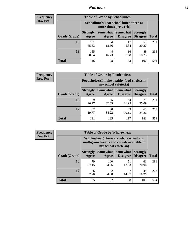## *Nutrition* **55**

| Frequency      |
|----------------|
| <b>Row Pct</b> |

| <b>Table of Grade by Schoollunch</b> |                          |                                                                 |                             |                                    |              |  |  |
|--------------------------------------|--------------------------|-----------------------------------------------------------------|-----------------------------|------------------------------------|--------------|--|--|
|                                      |                          | Schoollunch(I eat school lunch three or<br>more times per week) |                             |                                    |              |  |  |
| Grade(Grade)                         | <b>Strongly</b><br>Agree | Somewhat  <br>Agree                                             | <b>Somewhat</b><br>Disagree | <b>Strongly</b><br><b>Disagree</b> | <b>Total</b> |  |  |
| 10                                   | 161<br>55.33             | 54<br>18.56                                                     | 17<br>5.84                  | 59<br>20.27                        | 291          |  |  |
| 12                                   | 155<br>58.94             | 44<br>16.73                                                     | 16<br>6.08                  | 48<br>18.25                        | 263          |  |  |
| <b>Total</b>                         | 316                      | 98                                                              | 33                          | 107                                | 554          |  |  |

| <b>Frequency</b> |  |
|------------------|--|
| <b>Row Pct</b>   |  |

| <b>Table of Grade by Foodchoices</b> |                                                                            |             |                               |                                    |              |  |
|--------------------------------------|----------------------------------------------------------------------------|-------------|-------------------------------|------------------------------------|--------------|--|
|                                      | <b>Foodchoices</b> (I make healthy food choices in<br>my school cafeteria) |             |                               |                                    |              |  |
| Grade(Grade)                         | <b>Strongly</b><br>Agree                                                   | Agree       | Somewhat Somewhat<br>Disagree | <b>Strongly</b><br><b>Disagree</b> | <b>Total</b> |  |
| 10                                   | 59<br>20.27                                                                | 95<br>32.65 | 64<br>21.99                   | 73<br>25.09                        | 291          |  |
| 12                                   | 52<br>19.77                                                                | 90<br>34.22 | 53<br>20.15                   | 68<br>25.86                        | 263          |  |
| <b>Total</b>                         | 111                                                                        | 185         | 117                           | 141                                | 554          |  |

| r requency |  |
|------------|--|
| Kow Pet    |  |

| <b>Table of Grade by Wholewheat</b> |                          |                                                                                                             |                                      |                                    |              |  |
|-------------------------------------|--------------------------|-------------------------------------------------------------------------------------------------------------|--------------------------------------|------------------------------------|--------------|--|
|                                     |                          | Wholewheat (There are whole wheat and<br>multigrain breads and cereals available in<br>my school cafeteria) |                                      |                                    |              |  |
| Grade(Grade)                        | <b>Strongly</b><br>Agree | Agree                                                                                                       | <b>Somewhat Somewhat</b><br>Disagree | <b>Strongly</b><br><b>Disagree</b> | <b>Total</b> |  |
| 10                                  | 79<br>27.15              | 100<br>34.36                                                                                                | 51<br>17.53                          | 61<br>20.96                        | 291          |  |
| 12                                  | 86<br>32.70              | 92<br>34.98                                                                                                 | 37<br>14.07                          | 48<br>18.25                        | 263          |  |
| <b>Total</b>                        | 165                      | 192                                                                                                         | 88                                   | 109                                | 554          |  |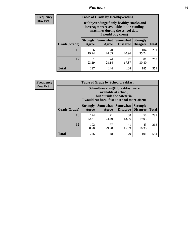## *Nutrition* **56**

**Frequency Row Pct**

| <b>Table of Grade by Healthyvending</b> |                                                                                                                                               |                          |                                    |                                    |              |  |  |
|-----------------------------------------|-----------------------------------------------------------------------------------------------------------------------------------------------|--------------------------|------------------------------------|------------------------------------|--------------|--|--|
|                                         | Healthyvending (If only healthy snacks and<br>beverages were available in the vending<br>machines during the school day,<br>I would buy them) |                          |                                    |                                    |              |  |  |
| Grade(Grade)                            | <b>Strongly</b><br>Agree                                                                                                                      | <b>Somewhat</b><br>Agree | <b>Somewhat</b><br><b>Disagree</b> | <b>Strongly</b><br><b>Disagree</b> | <b>Total</b> |  |  |
| 10                                      | 56<br>19.24                                                                                                                                   | 70<br>24.05              | 61<br>20.96                        | 104<br>35.74                       | 291          |  |  |
| 12                                      | 61<br>23.19                                                                                                                                   | 74<br>28.14              | 47<br>17.87                        | 81<br>30.80                        | 263          |  |  |
| <b>Total</b>                            | 117                                                                                                                                           | 144                      | 108                                | 185                                | 554          |  |  |

**Frequency Row Pct**

| <b>Table of Grade by Schoolbreakfast</b> |                                                                                                                                         |             |                                               |                                    |              |  |
|------------------------------------------|-----------------------------------------------------------------------------------------------------------------------------------------|-------------|-----------------------------------------------|------------------------------------|--------------|--|
|                                          | Schoolbreakfast (If breakfast were<br>available at school,<br>but outside the cafeteria,<br>I would eat breakfast at school more often) |             |                                               |                                    |              |  |
| Grade(Grade)                             | <b>Strongly</b><br>Agree                                                                                                                | Agree       | <b>Somewhat   Somewhat</b><br><b>Disagree</b> | <b>Strongly</b><br><b>Disagree</b> | <b>Total</b> |  |
| 10                                       | 124<br>42.61                                                                                                                            | 71<br>24.40 | 38<br>13.06                                   | 58<br>19.93                        | 291          |  |
| 12                                       | 102<br>38.78                                                                                                                            | 77<br>29.28 | 41<br>15.59                                   | 43<br>16.35                        | 263          |  |
| <b>Total</b>                             | 226                                                                                                                                     | 148         | 79                                            | 101                                | 554          |  |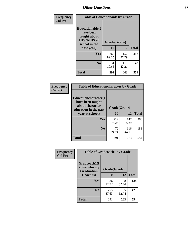| Frequency<br><b>Col Pct</b> | <b>Table of Educationaids by Grade</b>                                                                    |                    |              |              |
|-----------------------------|-----------------------------------------------------------------------------------------------------------|--------------------|--------------|--------------|
|                             | <b>Educationaids</b> (I<br>have been<br>taught about<br><b>HIV/AIDS</b> at<br>school in the<br>past year) | Grade(Grade)<br>10 | 12           | <b>Total</b> |
|                             | Yes                                                                                                       | 260<br>89.35       | 152<br>57.79 | 412          |
|                             | N <sub>0</sub>                                                                                            | 31<br>10.65        | 111<br>42.21 | 142          |
|                             | <b>Total</b>                                                                                              | 291                | 263          | 554          |

| <b>Frequency</b> | <b>Table of Educationcharacter by Grade</b> |              |              |              |  |
|------------------|---------------------------------------------|--------------|--------------|--------------|--|
| <b>Col Pct</b>   | Educationcharacter(I<br>have been taught    |              |              |              |  |
|                  | about character<br>education in the past    | Grade(Grade) |              |              |  |
|                  | year at school)                             | 10           | 12           | <b>Total</b> |  |
|                  | Yes                                         | 219<br>75.26 | 147<br>55.89 | 366          |  |
|                  | N <sub>0</sub>                              | 72<br>24.74  | 116<br>44.11 | 188          |  |
|                  | <b>Total</b>                                | 291          | 263          | 554          |  |

| Frequency      | <b>Table of Gradcoach1 by Grade</b>              |              |              |              |  |
|----------------|--------------------------------------------------|--------------|--------------|--------------|--|
| <b>Col Pct</b> | Gradcoach1(I<br>know who my<br><b>Graduation</b> | Grade(Grade) |              |              |  |
|                | Coach is)                                        | 10           | 12           | <b>Total</b> |  |
|                | Yes                                              | 36<br>12.37  | 98<br>37.26  | 134          |  |
|                | N <sub>0</sub>                                   | 255<br>87.63 | 165<br>62.74 | 420          |  |
|                | <b>Total</b>                                     | 291          | 263          | 554          |  |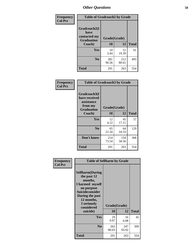| Frequency      | <b>Table of Gradcoach2 by Grade</b> |              |              |              |  |
|----------------|-------------------------------------|--------------|--------------|--------------|--|
| <b>Col Pct</b> | Gradcoach2(I<br>have                |              |              |              |  |
|                | contacted my<br><b>Graduation</b>   | Grade(Grade) |              |              |  |
|                | Coach)                              | 10           | 12           | <b>Total</b> |  |
|                | Yes                                 | 10<br>3.44   | 51<br>19.39  | 61           |  |
|                | N <sub>0</sub>                      | 281<br>96.56 | 212<br>80.61 | 493          |  |
|                | <b>Total</b>                        | 291          | 263          | 554          |  |

| <b>Frequency</b><br><b>Col Pct</b> | <b>Table of Gradcoach3 by Grade</b>                                         |              |              |              |
|------------------------------------|-----------------------------------------------------------------------------|--------------|--------------|--------------|
|                                    | Gradcoach3(I<br>have received<br>assistance<br>from my<br><b>Graduation</b> | Grade(Grade) |              |              |
|                                    | Coach)                                                                      | 10           | 12           | <b>Total</b> |
|                                    | Yes                                                                         | 12<br>4.12   | 45<br>17.11  | 57           |
|                                    | N <sub>0</sub>                                                              | 65<br>22.34  | 64<br>24.33  | 129          |
|                                    | Don't know                                                                  | 214<br>73.54 | 154<br>58.56 | 368          |
|                                    | <b>Total</b>                                                                | 291          | 263          | 554          |

| Frequency      | <b>Table of Selfharm by Grade</b>                                                                                                                                                      |                    |              |              |
|----------------|----------------------------------------------------------------------------------------------------------------------------------------------------------------------------------------|--------------------|--------------|--------------|
| <b>Col Pct</b> | <b>Selfharm</b> (During<br>the past 12<br>months,<br>I harmed myself<br>on purpose<br><b>Suicideconsider</b><br>During the past<br>12 months,<br>I seriously<br>considered<br>suicide) | Grade(Grade)<br>10 | 12           | <b>Total</b> |
|                | Yes                                                                                                                                                                                    | 29<br>9.97         | 16<br>6.08   | 45           |
|                | N <sub>0</sub>                                                                                                                                                                         | 262<br>90.03       | 247<br>93.92 | 509          |
|                | <b>Total</b>                                                                                                                                                                           | 291                | 263          | 554          |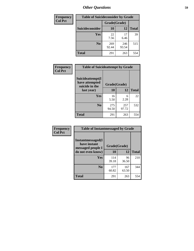| <b>Frequency</b> | <b>Table of Suicideconsider by Grade</b> |              |              |              |
|------------------|------------------------------------------|--------------|--------------|--------------|
| <b>Col Pct</b>   |                                          | Grade(Grade) |              |              |
|                  | Suicideconsider                          | <b>10</b>    | 12           | <b>Total</b> |
|                  | Yes                                      | 22<br>7.56   | 17<br>6.46   | 39           |
|                  | N <sub>0</sub>                           | 269<br>92.44 | 246<br>93.54 | 515          |
|                  | Total                                    | 291          | 263          | 554          |

| Frequency      | <b>Table of Suicideattempt by Grade</b>              |              |              |              |
|----------------|------------------------------------------------------|--------------|--------------|--------------|
| <b>Col Pct</b> | Suicideattempt(I<br>have attempted<br>suicide in the | Grade(Grade) |              |              |
|                | last year)                                           | 10           | 12           | <b>Total</b> |
|                | Yes                                                  | 16<br>5.50   | 6<br>2.28    | 22           |
|                | N <sub>0</sub>                                       | 275<br>94.50 | 257<br>97.72 | 532          |
|                | <b>Total</b>                                         | 291          | 263          | 554          |

| Frequency      | <b>Table of Instantmessaged by Grade</b>               |              |              |              |
|----------------|--------------------------------------------------------|--------------|--------------|--------------|
| <b>Col Pct</b> | Instantmessaged(I<br>have instant<br>messaged people I | Grade(Grade) |              |              |
|                | do not even know)                                      | 10           | 12           | <b>Total</b> |
|                | Yes                                                    | 114<br>39.18 | 96<br>36.50  | 210          |
|                | N <sub>0</sub>                                         | 177<br>60.82 | 167<br>63.50 | 344          |
|                | <b>Total</b>                                           | 291          | 263          | 554          |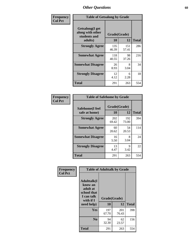| Frequency      | <b>Table of Getsalong by Grade</b>                          |              |              |              |  |  |  |
|----------------|-------------------------------------------------------------|--------------|--------------|--------------|--|--|--|
| <b>Col Pct</b> | <b>Getsalong</b> (I get<br>along with other<br>students and |              | Grade(Grade) |              |  |  |  |
|                | adults)                                                     | 10           | 12           | <b>Total</b> |  |  |  |
|                | <b>Strongly Agree</b>                                       | 135<br>46.39 | 151<br>57.41 | 286          |  |  |  |
|                | <b>Somewhat Agree</b>                                       | 118<br>40.55 | 98<br>37.26  | 216          |  |  |  |
|                | <b>Somewhat Disagree</b>                                    | 26<br>8.93   | 8<br>3.04    | 34           |  |  |  |
|                | <b>Strongly Disagree</b>                                    | 12<br>4.12   | 6<br>2.28    | 18           |  |  |  |
|                | Total                                                       | 291          | 263          | 554          |  |  |  |

| Frequency      | <b>Table of Safehome by Grade</b> |                           |              |              |  |  |  |
|----------------|-----------------------------------|---------------------------|--------------|--------------|--|--|--|
| <b>Col Pct</b> | Safehome(I feel<br>safe at home)  | Grade(Grade)<br><b>10</b> | 12           | <b>Total</b> |  |  |  |
|                | <b>Strongly Agree</b>             | 202<br>69.42              | 192<br>73.00 | 394          |  |  |  |
|                | <b>Somewhat Agree</b>             | 60<br>20.62               | 54<br>20.53  | 114          |  |  |  |
|                | <b>Somewhat Disagree</b>          | 16<br>5.50                | 8<br>3.04    | 24           |  |  |  |
|                | <b>Strongly Disagree</b>          | 13<br>4.47                | 9<br>3.42    | 22           |  |  |  |
|                | <b>Total</b>                      | 291                       | 263          | 554          |  |  |  |

| Frequency      |                                                                                     | <b>Table of Adulttalk by Grade</b> |              |              |
|----------------|-------------------------------------------------------------------------------------|------------------------------------|--------------|--------------|
| <b>Col Pct</b> | <b>Adulttalk(I</b><br>know an<br>adult at<br>school that<br>I can talk<br>with if I | Grade(Grade)                       |              |              |
|                | need help)                                                                          | 10                                 | 12           | <b>Total</b> |
|                | <b>Yes</b>                                                                          | 197<br>67.70                       | 201<br>76.43 | 398          |
|                | N <sub>0</sub>                                                                      | 94<br>32.30                        | 62<br>23.57  | 156          |
|                | <b>Total</b>                                                                        | 291                                | 263          | 554          |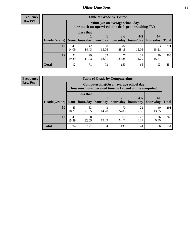**Frequency Row Pct**

| <b>Table of Grade by Tytime</b> |             |                                                                                         |             |             |             |             |              |  |  |  |
|---------------------------------|-------------|-----------------------------------------------------------------------------------------|-------------|-------------|-------------|-------------|--------------|--|--|--|
|                                 |             | Tytime (On an average school day,<br>how much unsupervised time do I spend watching TV) |             |             |             |             |              |  |  |  |
|                                 |             | <b>Less that</b>                                                                        |             | $2 - 3$     | $4 - 5$     | $6+$        |              |  |  |  |
| Grade(Grade)   None             |             | hour/day                                                                                | hour/day    | hours/day   | hours/day   | hours/day   | <b>Total</b> |  |  |  |
| 10                              | 41<br>14.09 | 42<br>14.43                                                                             | 38<br>13.06 | 82<br>28.18 | 35<br>12.03 | 53<br>18.21 | 291          |  |  |  |
| 12                              | 51<br>19.39 | 29<br>11.03                                                                             | 35<br>13.31 | 77<br>29.28 | 31<br>11.79 | 40<br>15.21 | 263          |  |  |  |
| <b>Total</b>                    | 92          | 71                                                                                      | 73          | 159         | 66          | 93          | 554          |  |  |  |

**Frequency Row Pct**

| <b>Table of Grade by Computertime</b> |             |                                                                                                   |             |                      |                      |                   |              |  |  |  |
|---------------------------------------|-------------|---------------------------------------------------------------------------------------------------|-------------|----------------------|----------------------|-------------------|--------------|--|--|--|
|                                       |             | Computertime (On an average school day,<br>how much unsupervised time do I spend on the computer) |             |                      |                      |                   |              |  |  |  |
| Grade(Grade)                          | None        | <b>Less that</b><br>hour/day                                                                      | hour/day    | $2 - 3$<br>hours/day | $4 - 5$<br>hours/day | $6+$<br>hours/day | <b>Total</b> |  |  |  |
| 10                                    | 53<br>18.21 | 63<br>21.65                                                                                       | 43<br>14.78 | 70<br>24.05          | 22<br>7.56           | 40<br>13.75       | 291          |  |  |  |
| 12                                    | 41<br>15.59 | 58<br>51<br>22<br>65<br>26<br>19.39<br>24.71<br>8.37<br>9.89<br>22.05                             |             |                      |                      |                   |              |  |  |  |
| <b>Total</b>                          | 94          | 121                                                                                               | 94          | 135                  | 44                   | 66                | 554          |  |  |  |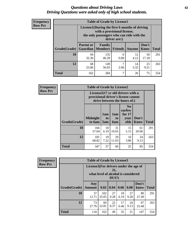#### *Questions about Driving Laws* **62** *Driving Questions were asked only of high school students.*

| <b>Frequency</b> |
|------------------|
| <b>Row Pct</b>   |

| <b>Table of Grade by License1</b> |                                                                      |                                                                                                                                           |                |            |                      |              |  |  |  |
|-----------------------------------|----------------------------------------------------------------------|-------------------------------------------------------------------------------------------------------------------------------------------|----------------|------------|----------------------|--------------|--|--|--|
|                                   |                                                                      | License1(During the first 6 months of driving<br>with a provisional license,<br>the only passengers who can ride with the<br>driver are:) |                |            |                      |              |  |  |  |
| Grade(Grade)                      | <b>Parent or</b><br><b>Guardian</b>                                  | Family<br><b>Members</b>                                                                                                                  | <b>Friends</b> | Anyone     | Don't<br><b>Know</b> | <b>Total</b> |  |  |  |
| 10                                | 94<br>32.30                                                          | 135<br>46.39                                                                                                                              | 0.00           | 12<br>4.12 | 50<br>17.18          | 291          |  |  |  |
| 12                                | 7<br>25<br>68<br>149<br>14<br>5.32<br>9.51<br>25.86<br>56.65<br>2.66 |                                                                                                                                           |                |            |                      |              |  |  |  |
| <b>Total</b>                      | 162                                                                  | 284                                                                                                                                       | 7              | 26         | 75                   | 554          |  |  |  |

| Frequency      |              | <b>Table of Grade by License2</b>                                                                        |                  |                  |                                                      |                      |              |  |  |
|----------------|--------------|----------------------------------------------------------------------------------------------------------|------------------|------------------|------------------------------------------------------|----------------------|--------------|--|--|
| <b>Row Pct</b> |              | License2(17 yr old drivers with a<br>provisional driver's license cannot<br>drive between the hours of:) |                  |                  |                                                      |                      |              |  |  |
|                | Grade(Grade) | <b>Midnight</b><br>to 6am                                                                                | 1am<br>to<br>5am | 1am<br>to<br>6am | N <sub>0</sub><br>curfew<br>for $17$<br>year<br>olds | Don't<br><b>Know</b> | <b>Total</b> |  |  |
|                | 10           | 166<br>57.04                                                                                             | 18<br>6.19       | 31<br>10.65      | 15<br>5.15                                           | 61<br>20.96          | 291          |  |  |
|                | 12           | 181<br>68.82                                                                                             | 19<br>7.22       | 29<br>11.03      | 10<br>3.80                                           | 24<br>9.13           | 263          |  |  |
|                | <b>Total</b> | 347                                                                                                      | 37               | 60               | 25                                                   | 85                   | 554          |  |  |

| <b>Frequency</b> |              | <b>Table of Grade by License3</b>     |                                     |                 |            |            |               |              |  |  |
|------------------|--------------|---------------------------------------|-------------------------------------|-----------------|------------|------------|---------------|--------------|--|--|
| <b>Row Pct</b>   |              | License3(For drivers under the age of | what level of alcohol is considered | 21,<br>$DUI$ ?) |            |            |               |              |  |  |
|                  | Grade(Grade) | Any<br><b>Amount</b>                  | 0.02                                | 0.04            | 0.06       | 0.08       | Don't<br>know | <b>Total</b> |  |  |
|                  | 10           | 37<br>12.71                           | 102<br>35.05                        | 27<br>9.28      | 18<br>6.19 | 27<br>9.28 | 80<br>27.49   | 291          |  |  |
|                  | 12           | 73<br>27.76                           | 60<br>22.81                         | 22<br>8.37      | 17<br>6.46 | 24<br>9.13 | 67<br>25.48   | 263          |  |  |
|                  | <b>Total</b> | 110                                   | 162                                 | 49              | 35         | 51         | 147           | 554          |  |  |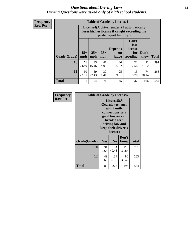#### *Questions about Driving Laws* **63** *Driving Questions were asked only of high school students.*

**Frequency Row Pct**

|              |             |                                                                                                                                                                                                                                                                                |             | <b>Table of Grade by License4</b> |            |             |     |  |  |
|--------------|-------------|--------------------------------------------------------------------------------------------------------------------------------------------------------------------------------------------------------------------------------------------------------------------------------|-------------|-----------------------------------|------------|-------------|-----|--|--|
|              |             | License4(A driver under 21 automatically<br>loses his/her license if caught exceeding the<br>posted speet limit by:)<br>Can't<br>lose<br><b>Depends</b><br>license<br>$15+$<br>$25+$<br>$35+$<br>Don't<br>for<br>on<br><b>Total</b><br>mph<br>speeding<br>know<br>mph<br>judge |             |                                   |            |             |     |  |  |
| Grade(Grade) | mph         |                                                                                                                                                                                                                                                                                |             |                                   |            |             |     |  |  |
| 10           | 71<br>24.40 | 45<br>15.46                                                                                                                                                                                                                                                                    | 41<br>14.09 | 20<br>6.87                        | 22<br>7.56 | 92<br>31.62 | 291 |  |  |
| 12           | 60<br>22.81 | 25<br>59<br>30<br>15<br>74<br>9.51<br>5.70<br>22.43<br>11.41<br>28.14                                                                                                                                                                                                          |             |                                   |            |             |     |  |  |
| <b>Total</b> | 131         | 104                                                                                                                                                                                                                                                                            | 71          | 45                                | 37         | 166         | 554 |  |  |

| Frequency      | <b>Table of Grade by License5</b> |                                                                                                                                                             |                |               |       |
|----------------|-----------------------------------|-------------------------------------------------------------------------------------------------------------------------------------------------------------|----------------|---------------|-------|
| <b>Row Pct</b> |                                   | License5(A)<br>Georgia teenager<br>with family<br>connections or a<br>good lawyer can<br>break a teen<br>driving law and<br>keep their driver's<br>license) |                |               |       |
|                | Grade(Grade)                      | Yes                                                                                                                                                         | N <sub>0</sub> | Don't<br>know | Total |
|                | 10                                | 31<br>10.65                                                                                                                                                 | 144<br>49.48   | 116<br>39.86  | 291   |
|                | 12                                | 49<br>18.63                                                                                                                                                 | 134<br>50.95   | 80<br>30.42   | 263   |
|                | Total                             | 80                                                                                                                                                          | 278            | 196           | 554   |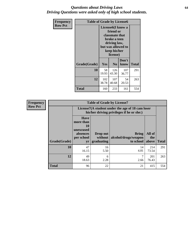#### *Questions about Driving Laws* **64** *Driving Questions were asked only of high school students.*

| <b>Frequency</b> | <b>Table of Grade by License6</b> |                                                                                                                                                 |                |               |              |
|------------------|-----------------------------------|-------------------------------------------------------------------------------------------------------------------------------------------------|----------------|---------------|--------------|
| <b>Row Pct</b>   |                                   | License <sub>6</sub> (I know a<br>friend or<br>classmate that<br>broke a teen<br>driving law,<br>but was allowed to<br>keep his/her<br>license) |                |               |              |
|                  | Grade(Grade)                      | Yes                                                                                                                                             | N <sub>0</sub> | Don't<br>know | <b>Total</b> |
|                  | 10                                | 58<br>19.93                                                                                                                                     | 126<br>43.30   | 107<br>36.77  | 291          |
|                  | 12                                | 102<br>107<br>54<br>38.78<br>40.68<br>20.53                                                                                                     |                |               | 263          |
|                  | <b>Total</b>                      | 160                                                                                                                                             | 233            | 161           | 554          |

| Frequency      |              |                                                                             | <b>Table of Grade by License7</b>                                                             |                                                   |                        |              |  |
|----------------|--------------|-----------------------------------------------------------------------------|-----------------------------------------------------------------------------------------------|---------------------------------------------------|------------------------|--------------|--|
| <b>Row Pct</b> |              |                                                                             | License7(A student under the age of 18 cam loser<br>his/her driving privileges if he or she:) |                                                   |                        |              |  |
|                | Grade(Grade) | <b>Have</b><br>more than<br>10<br>unexcused<br>absences<br>per school<br>yr | Drop out<br>without  <br>graduating                                                           | <b>Bring</b><br>alcohol/drugs/weapon<br>to school | All of<br>the<br>above | <b>Total</b> |  |
|                | 10           | 47<br>16.15                                                                 | 16<br>5.50                                                                                    | 14<br>4.81                                        | 214<br>73.54           | 291          |  |
|                | 12           | 49<br>18.63                                                                 | 6<br>2.28                                                                                     | ⇁<br>2.66                                         | 201<br>76.43           | 263          |  |
|                | <b>Total</b> | 96                                                                          | 22                                                                                            | 21                                                | 415                    | 554          |  |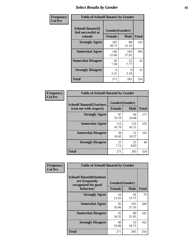# *Select Results by Gender* **65**

| Frequency      | <b>Table of SchoolClimate2 by Gender</b>          |                                 |              |              |
|----------------|---------------------------------------------------|---------------------------------|--------------|--------------|
| <b>Col Pct</b> | SchoolClimate2(I<br>feel successful at<br>school) | Gender(Gender)<br><b>Female</b> | <b>Male</b>  | <b>Total</b> |
|                | <b>Strongly Agree</b>                             | 105<br>38.75                    | 88<br>31.10  | 193          |
|                | <b>Somewhat Agree</b>                             | 140<br>51.66                    | 164<br>57.95 | 304          |
|                | <b>Somewhat Disagree</b>                          | 20<br>7.38                      | 22<br>7.77   | 42           |
|                | <b>Strongly Disagree</b>                          | 6<br>2.21                       | 9<br>3.18    | 15           |
|                | <b>Total</b>                                      | 271                             | 283          | 554          |

| Frequency      | <b>Table of SchoolClimate6 by Gender</b>                 |                                 |              |              |  |
|----------------|----------------------------------------------------------|---------------------------------|--------------|--------------|--|
| <b>Col Pct</b> | <b>SchoolClimate6(Teachers</b><br>treat me with respect) | Gender(Gender)<br><b>Female</b> | <b>Male</b>  | <b>Total</b> |  |
|                | <b>Strongly Agree</b>                                    | 87<br>32.10                     | 84<br>29.68  | 171          |  |
|                | <b>Somewhat Agree</b>                                    | 113<br>41.70                    | 122<br>43.11 | 235          |  |
|                | <b>Somewhat Disagree</b>                                 | 50<br>18.45                     | 52<br>18.37  | 102          |  |
|                | <b>Strongly Disagree</b>                                 | 21<br>7.75                      | 25<br>8.83   | 46           |  |
|                | <b>Total</b>                                             | 271                             | 283          | 554          |  |

| <b>Frequency</b> | <b>Table of SchoolClimate8 by Gender</b>                                             |               |                               |              |
|------------------|--------------------------------------------------------------------------------------|---------------|-------------------------------|--------------|
| <b>Col Pct</b>   | <b>SchoolClimate8(Students</b><br>are frequently<br>recognized for good<br>behavior) | <b>Female</b> | Gender(Gender)<br><b>Male</b> | <b>Total</b> |
|                  | <b>Strongly Agree</b>                                                                | 34<br>12.55   | 36<br>12.72                   | 70           |
|                  | <b>Somewhat Agree</b>                                                                | 95<br>35.06   | 105<br>37.10                  | 200          |
|                  | <b>Somewhat Disagree</b>                                                             | 93<br>34.32   | 89<br>31.45                   | 182          |
|                  | <b>Strongly Disagree</b>                                                             | 49<br>18.08   | 53<br>18.73                   | 102          |
|                  | Total                                                                                | 271           | 283                           | 554          |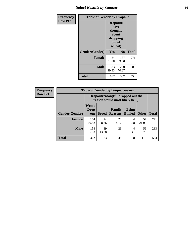## *Select Results by Gender* **66**

| <b>Frequency</b> | <b>Table of Gender by Dropout</b> |                                                                        |                |              |
|------------------|-----------------------------------|------------------------------------------------------------------------|----------------|--------------|
| <b>Row Pct</b>   |                                   | Dropout(I<br>have<br>thought<br>about<br>dropping<br>out of<br>school) |                |              |
|                  | Gender(Gender)                    | Yes                                                                    | N <sub>0</sub> | <b>Total</b> |
|                  | <b>Female</b>                     | 84<br>31.00                                                            | 187<br>69.00   | 271          |
|                  | <b>Male</b>                       | 83<br>29.33                                                            | 200<br>70.67   | 283          |
|                  | <b>Total</b>                      | 167                                                                    | 387            | 554          |

| <b>Frequency</b> | <b>Table of Gender by Dropoutreason</b> |                             |              |                                                                     |                                |              |              |
|------------------|-----------------------------------------|-----------------------------|--------------|---------------------------------------------------------------------|--------------------------------|--------------|--------------|
| <b>Row Pct</b>   |                                         |                             |              | Dropoutreason (If I dropped out the<br>reason would most likely be) |                                |              |              |
|                  | Gender(Gender)                          | Won't<br><b>Drop</b><br>out | <b>Bored</b> | <b>Family</b><br><b>Reasons</b>                                     | <b>Being</b><br><b>Bullied</b> | <b>Other</b> | <b>Total</b> |
|                  | Female                                  | 164<br>60.52                | 24<br>8.86   | 22<br>8.12                                                          | 4<br>1.48                      | 57<br>21.03  | 271          |
|                  | <b>Male</b>                             | 158<br>55.83                | 39<br>13.78  | 26<br>9.19                                                          | 4<br>1.41                      | 56<br>19.79  | 283          |
|                  | <b>Total</b>                            | 322                         | 63           | 48                                                                  | 8                              | 113          | 554          |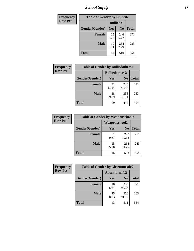*School Safety* **67**

| Frequency      |                |                 | <b>Table of Gender by Bullied2</b> |              |  |
|----------------|----------------|-----------------|------------------------------------|--------------|--|
| <b>Row Pct</b> |                | <b>Bullied2</b> |                                    |              |  |
|                | Gender(Gender) | Yes             | N <sub>0</sub>                     | <b>Total</b> |  |
|                | <b>Female</b>  | 25<br>9.23      | 246<br>90.77                       | 271          |  |
|                | <b>Male</b>    | 19<br>6.71      | 264<br>93.29                       | 283          |  |
|                | <b>Total</b>   | 44              | 510                                | 554          |  |

| Frequency      | <b>Table of Gender by Bulliedothers2</b> |                       |                |              |
|----------------|------------------------------------------|-----------------------|----------------|--------------|
| <b>Row Pct</b> |                                          | <b>Bulliedothers2</b> |                |              |
|                | Gender(Gender)                           | <b>Yes</b>            | N <sub>0</sub> | <b>Total</b> |
|                | <b>Female</b>                            | 31<br>11.44           | 240<br>88.56   | 271          |
|                | <b>Male</b>                              | 28<br>9.89            | 255<br>90.11   | 283          |
|                | <b>Total</b>                             | 59                    | 495            | 554          |

| <b>Frequency</b> | <b>Table of Gender by Weaponschool2</b> |               |                |              |
|------------------|-----------------------------------------|---------------|----------------|--------------|
| <b>Row Pct</b>   |                                         | Weaponschool2 |                |              |
|                  | Gender(Gender)                          | Yes           | N <sub>0</sub> | <b>Total</b> |
|                  | <b>Female</b>                           | 0.37          | 270<br>99.63   | 271          |
|                  | <b>Male</b>                             | 15<br>5.30    | 268<br>94.70   | 283          |
|                  | <b>Total</b>                            | 16            | 538            | 554          |

| <b>Frequency</b> | <b>Table of Gender by Absentunsafe2</b> |               |                |              |
|------------------|-----------------------------------------|---------------|----------------|--------------|
| <b>Row Pct</b>   |                                         | Absentunsafe2 |                |              |
|                  | Gender(Gender)                          | Yes           | N <sub>0</sub> | <b>Total</b> |
|                  | <b>Female</b>                           | 18<br>6.64    | 253<br>93.36   | 271          |
|                  | <b>Male</b>                             | 25<br>8.83    | 258<br>91.17   | 283          |
|                  | <b>Total</b>                            | 43            | 511            | 554          |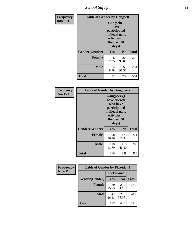*School Safety* **68**

| Frequency      | <b>Table of Gender by Gangself</b> |                                                                                                        |              |              |
|----------------|------------------------------------|--------------------------------------------------------------------------------------------------------|--------------|--------------|
| <b>Row Pct</b> |                                    | <b>Gangself</b> (I<br>have<br>participated<br>in illegal gang<br>activities in<br>the past 30<br>days) |              |              |
|                | Gender(Gender)                     | Yes                                                                                                    | No           | <b>Total</b> |
|                | <b>Female</b>                      | 8<br>2.95                                                                                              | 263<br>97.05 | 271          |
|                | <b>Male</b>                        | 24<br>8.48                                                                                             | 259<br>91.52 | 283          |
|                | <b>Total</b>                       | 32                                                                                                     | 522          | 554          |

| Frequency      | <b>Table of Gender by Gangpeers</b> |                                                                                                                             |                |              |
|----------------|-------------------------------------|-----------------------------------------------------------------------------------------------------------------------------|----------------|--------------|
| <b>Row Pct</b> |                                     | <b>Gangpeers</b> (I<br>have friends<br>who have<br>participated<br>in illegal gang<br>activities in<br>the past 30<br>days) |                |              |
|                | Gender(Gender)                      | <b>Yes</b>                                                                                                                  | N <sub>0</sub> | <b>Total</b> |
|                | <b>Female</b>                       | 98<br>36.16                                                                                                                 | 173<br>63.84   | 271          |
|                | <b>Male</b>                         | 118<br>41.70                                                                                                                | 165<br>58.30   | 283          |
|                | Total                               | 216                                                                                                                         | 338            | 554          |

| Frequency      | <b>Table of Gender by Pickedon2</b> |             |                |              |
|----------------|-------------------------------------|-------------|----------------|--------------|
| <b>Row Pct</b> |                                     | Pickedon2   |                |              |
|                | Gender(Gender)                      | Yes         | N <sub>0</sub> | <b>Total</b> |
|                | <b>Female</b>                       | 70<br>25.83 | 201<br>74.17   | 271          |
|                | <b>Male</b>                         | 47<br>16.61 | 236<br>83.39   | 283          |
|                | <b>Total</b>                        | 117         | 437            | 554          |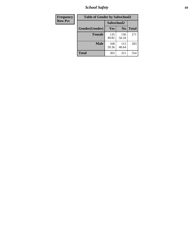*School Safety* **69**

| Frequency      | <b>Table of Gender by Safeschool2</b> |              |                |              |
|----------------|---------------------------------------|--------------|----------------|--------------|
| <b>Row Pct</b> |                                       |              | Safeschool2    |              |
|                | Gender(Gender)                        | <b>Yes</b>   | N <sub>0</sub> | <b>Total</b> |
|                | <b>Female</b>                         | 135<br>49.82 | 136<br>50.18   | 271          |
|                | <b>Male</b>                           | 168<br>59.36 | 115<br>40.64   | 283          |
|                | <b>Total</b>                          | 303          | 251            | 554          |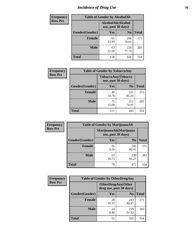# *Incidence of Drug Use* **70**

| <b>Frequency</b> | <b>Table of Gender by AlcoholAlt</b> |                                          |                |              |  |
|------------------|--------------------------------------|------------------------------------------|----------------|--------------|--|
| <b>Row Pct</b>   |                                      | AlcoholAlt(Alcohol<br>use, past 30 days) |                |              |  |
|                  | Gender(Gender)                       | <b>Yes</b>                               | N <sub>0</sub> | <b>Total</b> |  |
|                  | <b>Female</b>                        | 65<br>23.99                              | 206<br>76.01   | 271          |  |
|                  | <b>Male</b>                          | 63<br>22.26                              | 220<br>77.74   | 283          |  |
|                  | <b>Total</b>                         | 128                                      | 426            | 554          |  |

| Frequency      | <b>Table of Gender by TobaccoAny</b> |                                          |                |              |  |
|----------------|--------------------------------------|------------------------------------------|----------------|--------------|--|
| <b>Row Pct</b> |                                      | TobaccoAny(Tobacco<br>use, past 30 days) |                |              |  |
|                | Gender(Gender)                       | Yes                                      | N <sub>0</sub> | <b>Total</b> |  |
|                | <b>Female</b>                        | 40<br>14.76                              | 231<br>85.24   | 271          |  |
|                | <b>Male</b>                          | 71<br>25.09                              | 212<br>74.91   | 283          |  |
|                | Total                                | 111                                      | 443            | 554          |  |

| <b>Frequency</b> | <b>Table of Gender by MarijuanaAlt</b> |             |                                              |              |
|------------------|----------------------------------------|-------------|----------------------------------------------|--------------|
| <b>Row Pct</b>   |                                        |             | MarijuanaAlt(Marijuana<br>use, past 30 days) |              |
|                  | Gender(Gender)                         | <b>Yes</b>  | N <sub>0</sub>                               | <b>Total</b> |
|                  | <b>Female</b>                          | 26<br>9.59  | 245<br>90.41                                 | 271          |
|                  | <b>Male</b>                            | 53<br>18.73 | 230<br>81.27                                 | 283          |
|                  | <b>Total</b>                           | 79          | 475                                          | 554          |

| <b>Frequency</b> | <b>Table of Gender by OtherDrugAny</b> |                                                      |                |              |
|------------------|----------------------------------------|------------------------------------------------------|----------------|--------------|
| <b>Row Pct</b>   |                                        | <b>OtherDrugAny(Other</b><br>drug use, past 30 days) |                |              |
|                  | Gender(Gender)                         | <b>Yes</b>                                           | N <sub>0</sub> | <b>Total</b> |
|                  | <b>Female</b>                          | 28<br>10.33                                          | 243<br>89.67   | 271          |
|                  | <b>Male</b>                            | 24<br>8.48                                           | 259<br>91.52   | 283          |
|                  | <b>Total</b>                           | 52                                                   | 502            | 554          |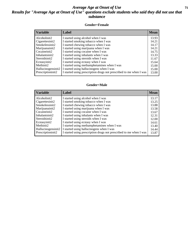### *Average Age at Onset of Use* **71** *Results for "Average Age at Onset of Use" questions exclude students who said they did not use that substance*

#### **Gender=Female**

| <b>Variable</b>    | <b>Label</b>                                                       | <b>Mean</b> |
|--------------------|--------------------------------------------------------------------|-------------|
| Alcoholinit2       | I started using alcohol when I was                                 | 13.93       |
| Cigarettesinit2    | I started smoking tobacco when I was                               | 14.21       |
| Smokelessinit2     | I started chewing tobacco when I was                               | 14.17       |
| Marijuanainit2     | I started using marijuana when I was                               | 14.21       |
| Cocaineinit2       | I started using cocaine when I was                                 | 14.75       |
| Inhalantsinit2     | I started using inhalants when I was                               | 13.33       |
| Steroidsinit2      | I started using steroids when I was                                | 11.67       |
| Ecstasyinit2       | I started using ecstasy when I was                                 | 15.64       |
| Methinit2          | I started using methamphetamines when I was                        | 15.00       |
| Hallucinogensinit2 | I started using hallucinogens when I was                           | 15.00       |
| Prescription in t2 | I started using prescription drugs not prescribed to me when I was | 13.00       |

#### **Gender=Male**

| <b>Variable</b>    | Label                                                              | <b>Mean</b> |
|--------------------|--------------------------------------------------------------------|-------------|
| Alcoholinit2       | I started using alcohol when I was                                 | 13.17       |
| Cigarettesinit2    | I started smoking tobacco when I was                               | 13.25       |
| Smokelessinit2     | I started chewing tobacco when I was                               | 13.88       |
| Marijuanainit2     | I started using marijuana when I was                               | 13.58       |
| Cocaineinit2       | I started using cocaine when I was                                 | 13.67       |
| Inhalantsinit2     | I started using inhalants when I was                               | 12.31       |
| Steroidsinit2      | I started using steroids when I was                                | 12.00       |
| Ecstasyinit2       | I started using ecstasy when I was                                 | 14.61       |
| Methinit2          | I started using methamphetamines when I was                        | 13.40       |
| Hallucinogensinit2 | I started using hallucinogens when I was                           | 14.44       |
| Prescriptioninit2  | I started using prescription drugs not prescribed to me when I was | 13.87       |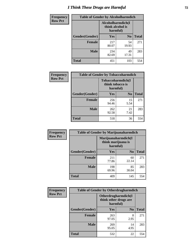# *I Think These Drugs are Harmful* **72**

| <b>Frequency</b> | <b>Table of Gender by Alcoholharmdich</b> |                                                   |                |              |
|------------------|-------------------------------------------|---------------------------------------------------|----------------|--------------|
| <b>Row Pct</b>   |                                           | Alcoholharmdich(I<br>think alcohol is<br>harmful) |                |              |
|                  | Gender(Gender)                            | Yes                                               | N <sub>0</sub> | <b>Total</b> |
|                  | <b>Female</b>                             | 217<br>80.07                                      | 54<br>19.93    | 271          |
|                  | <b>Male</b>                               | 234<br>82.69                                      | 49<br>17.31    | 283          |
|                  | <b>Total</b>                              | 451                                               | 103            | 554          |

| Frequency      | <b>Table of Gender by Tobaccoharmdich</b> |                              |                   |              |  |
|----------------|-------------------------------------------|------------------------------|-------------------|--------------|--|
| <b>Row Pct</b> |                                           | think tobacco is<br>harmful) | Tobaccoharmdich(I |              |  |
|                | Gender(Gender)                            | Yes                          | N <sub>0</sub>    | <b>Total</b> |  |
|                | <b>Female</b>                             | 256<br>94.46                 | 15<br>5.54        | 271          |  |
|                | <b>Male</b>                               | 262<br>92.58                 | 21<br>7.42        | 283          |  |
|                | <b>Total</b>                              | 518                          | 36                | 554          |  |

| Frequency      | <b>Table of Gender by Marijuanaharmdich</b> |                                                       |                |              |  |
|----------------|---------------------------------------------|-------------------------------------------------------|----------------|--------------|--|
| <b>Row Pct</b> |                                             | Marijuanaharmdich(I<br>think marijuana is<br>harmful) |                |              |  |
|                | Gender(Gender)                              | <b>Yes</b>                                            | N <sub>0</sub> | <b>Total</b> |  |
|                | <b>Female</b>                               | 211<br>77.86                                          | 60<br>22.14    | 271          |  |
|                | <b>Male</b>                                 | 198<br>69.96                                          | 85<br>30.04    | 283          |  |
|                | <b>Total</b>                                | 409                                                   | 145            | 554          |  |

| Frequency      | <b>Table of Gender by Otherdrugharmdich</b> |                                                          |                |              |  |
|----------------|---------------------------------------------|----------------------------------------------------------|----------------|--------------|--|
| <b>Row Pct</b> |                                             | Otherdrugharmdich(I<br>think other drugs are<br>harmful) |                |              |  |
|                | Gender(Gender)                              | <b>Yes</b>                                               | N <sub>0</sub> | <b>Total</b> |  |
|                | <b>Female</b>                               | 263<br>97.05                                             | 8<br>2.95      | 271          |  |
|                | <b>Male</b>                                 | 269<br>95.05                                             | 14<br>4.95     | 283          |  |
|                | <b>Total</b>                                | 532                                                      | 22             | 554          |  |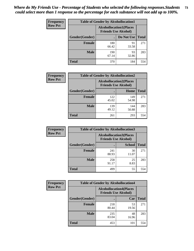| <b>Frequency</b> | <b>Table of Gender by Alcohollocation1</b> |                                                               |             |              |
|------------------|--------------------------------------------|---------------------------------------------------------------|-------------|--------------|
| <b>Row Pct</b>   |                                            | <b>Alcohollocation1(Places</b><br><b>Friends Use Alcohol)</b> |             |              |
|                  | Gender(Gender)                             |                                                               | Do Not Use  | <b>Total</b> |
|                  | <b>Female</b>                              | 180<br>66.42                                                  | 91<br>33.58 | 271          |
|                  | <b>Male</b>                                | 190<br>67.14                                                  | 93<br>32.86 | 283          |
|                  | <b>Total</b>                               | 370                                                           | 184         | 554          |

| <b>Frequency</b> | <b>Table of Gender by Alcohollocation2</b> |              |                                                               |              |
|------------------|--------------------------------------------|--------------|---------------------------------------------------------------|--------------|
| <b>Row Pct</b>   |                                            |              | <b>Alcohollocation2(Places</b><br><b>Friends Use Alcohol)</b> |              |
|                  | Gender(Gender)                             |              | Home                                                          | <b>Total</b> |
|                  | <b>Female</b>                              | 122<br>45.02 | 149<br>54.98                                                  | 271          |
|                  | <b>Male</b>                                | 139<br>49.12 | 144<br>50.88                                                  | 283          |
|                  | <b>Total</b>                               | 261          | 293                                                           | 554          |

| Frequency      | <b>Table of Gender by Alcohollocation3</b> |              |                                                               |              |
|----------------|--------------------------------------------|--------------|---------------------------------------------------------------|--------------|
| <b>Row Pct</b> |                                            |              | <b>Alcohollocation3(Places</b><br><b>Friends Use Alcohol)</b> |              |
|                | Gender(Gender)                             |              | <b>School</b>                                                 | <b>Total</b> |
|                | <b>Female</b>                              | 241<br>88.93 | 30<br>11.07                                                   | 271          |
|                | <b>Male</b>                                | 258<br>91.17 | 25<br>8.83                                                    | 283          |
|                | <b>Total</b>                               | 499          | 55                                                            | 554          |

| <b>Frequency</b> | <b>Table of Gender by Alcohollocation4</b> |                                                               |             |              |
|------------------|--------------------------------------------|---------------------------------------------------------------|-------------|--------------|
| <b>Row Pct</b>   |                                            | <b>Alcohollocation4(Places</b><br><b>Friends Use Alcohol)</b> |             |              |
|                  | <b>Gender</b> (Gender)                     |                                                               | Car         | <b>Total</b> |
|                  | <b>Female</b>                              | 218<br>80.44                                                  | 53<br>19.56 | 271          |
|                  | <b>Male</b>                                | 235<br>83.04                                                  | 48<br>16.96 | 283          |
|                  | <b>Total</b>                               | 453                                                           | 101         | 554          |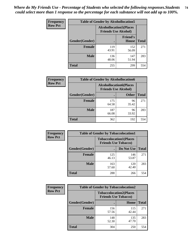| <b>Frequency</b> | <b>Table of Gender by Alcohollocation5</b> |                                                                |                                 |              |
|------------------|--------------------------------------------|----------------------------------------------------------------|---------------------------------|--------------|
| <b>Row Pct</b>   |                                            | <b>Alcohollocation5</b> (Places<br><b>Friends Use Alcohol)</b> |                                 |              |
|                  | Gender(Gender)                             |                                                                | <b>Friend's</b><br><b>House</b> | <b>Total</b> |
|                  | <b>Female</b>                              | 119<br>43.91                                                   | 152<br>56.09                    | 271          |
|                  | <b>Male</b>                                | 136<br>48.06                                                   | 147<br>51.94                    | 283          |
|                  | <b>Total</b>                               | 255                                                            | 299                             | 554          |

| <b>Frequency</b> | <b>Table of Gender by Alcohollocation6</b> |                                                               |              |              |  |
|------------------|--------------------------------------------|---------------------------------------------------------------|--------------|--------------|--|
| <b>Row Pct</b>   |                                            | <b>Alcohollocation6(Places</b><br><b>Friends Use Alcohol)</b> |              |              |  |
|                  | Gender(Gender)                             |                                                               | <b>Other</b> | <b>Total</b> |  |
|                  | <b>Female</b>                              | 175<br>64.58                                                  | 96<br>35.42  | 271          |  |
|                  | <b>Male</b>                                | 187<br>66.08                                                  | 96<br>33.92  | 283          |  |
|                  | <b>Total</b>                               | 362                                                           | 192          | 554          |  |

| Frequency      | <b>Table of Gender by Tobaccolocation1</b> |                                                               |              |              |  |
|----------------|--------------------------------------------|---------------------------------------------------------------|--------------|--------------|--|
| <b>Row Pct</b> |                                            | <b>Tobaccolocation1(Places</b><br><b>Friends Use Tobacco)</b> |              |              |  |
|                | Gender(Gender)                             |                                                               | Do Not Use   | <b>Total</b> |  |
|                | Female                                     | 125<br>46.13                                                  | 146<br>53.87 | 271          |  |
|                | <b>Male</b>                                | 163<br>57.60                                                  | 120<br>42.40 | 283          |  |
|                | <b>Total</b>                               | 288                                                           | 266          | 554          |  |

| Frequency      | <b>Table of Gender by Tobaccolocation2</b> |                                                               |              |              |
|----------------|--------------------------------------------|---------------------------------------------------------------|--------------|--------------|
| <b>Row Pct</b> |                                            | <b>Tobaccolocation2(Places</b><br><b>Friends Use Tobacco)</b> |              |              |
|                | Gender(Gender)                             |                                                               | Home         | <b>Total</b> |
|                | Female                                     | 156<br>57.56                                                  | 115<br>42.44 | 271          |
|                | <b>Male</b>                                | 148<br>52.30                                                  | 135<br>47.70 | 283          |
|                | <b>Total</b>                               | 304                                                           | 250          | 554          |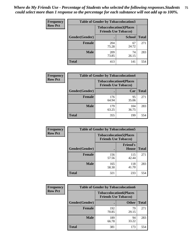| <b>Frequency</b> | <b>Table of Gender by Tobaccolocation3</b> |                                                               |               |              |
|------------------|--------------------------------------------|---------------------------------------------------------------|---------------|--------------|
| <b>Row Pct</b>   |                                            | <b>Tobaccolocation3(Places</b><br><b>Friends Use Tobacco)</b> |               |              |
|                  | Gender(Gender)                             |                                                               | <b>School</b> | <b>Total</b> |
|                  | <b>Female</b>                              | 204<br>75.28                                                  | 67<br>24.72   | 271          |
|                  | <b>Male</b>                                | 209<br>73.85                                                  | 74<br>26.15   | 283          |
|                  | Total                                      | 413                                                           | 141           | 554          |

| <b>Frequency</b> | <b>Table of Gender by Tobaccolocation4</b> |                             |                                |              |
|------------------|--------------------------------------------|-----------------------------|--------------------------------|--------------|
| <b>Row Pct</b>   |                                            | <b>Friends Use Tobacco)</b> | <b>Tobaccolocation4(Places</b> |              |
|                  | Gender(Gender)                             |                             | Car                            | <b>Total</b> |
|                  | <b>Female</b>                              | 176<br>64.94                | 95<br>35.06                    | 271          |
|                  | <b>Male</b>                                | 179<br>63.25                | 104<br>36.75                   | 283          |
|                  | <b>Total</b>                               | 355                         | 199                            | 554          |

| <b>Frequency</b> | <b>Table of Gender by Tobaccolocation5</b> |                             |                                 |              |
|------------------|--------------------------------------------|-----------------------------|---------------------------------|--------------|
| <b>Row Pct</b>   |                                            | <b>Friends Use Tobacco)</b> | <b>Tobaccolocation5(Places</b>  |              |
|                  | Gender(Gender)                             |                             | <b>Friend's</b><br><b>House</b> | <b>Total</b> |
|                  | <b>Female</b>                              | 156<br>57.56                | 115<br>42.44                    | 271          |
|                  | <b>Male</b>                                | 165<br>58.30                | 118<br>41.70                    | 283          |
|                  | <b>Total</b>                               | 321                         | 233                             | 554          |

| <b>Frequency</b> | <b>Table of Gender by Tobaccolocation6</b> |                                                               |              |              |
|------------------|--------------------------------------------|---------------------------------------------------------------|--------------|--------------|
| <b>Row Pct</b>   |                                            | <b>Tobaccolocation6(Places</b><br><b>Friends Use Tobacco)</b> |              |              |
|                  | Gender(Gender)                             |                                                               | <b>Other</b> | <b>Total</b> |
|                  | Female                                     | 192<br>70.85                                                  | 79<br>29.15  | 271          |
|                  | <b>Male</b>                                | 189<br>66.78                                                  | 94<br>33.22  | 283          |
|                  | <b>Total</b>                               | 381                                                           | 173          | 554          |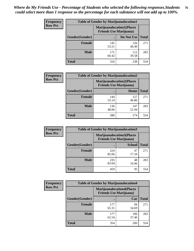| <b>Frequency</b> | <b>Table of Gender by Marijuanalocation1</b> |                                                                    |              |              |
|------------------|----------------------------------------------|--------------------------------------------------------------------|--------------|--------------|
| <b>Row Pct</b>   |                                              | <b>Marijuanalocation1(Places</b><br><b>Friends Use Marijuana</b> ) |              |              |
|                  | Gender(Gender)                               |                                                                    | Do Not Use   | <b>Total</b> |
|                  | <b>Female</b>                                | 145<br>53.51                                                       | 126<br>46.49 | 271          |
|                  | <b>Male</b>                                  | 171<br>60.42                                                       | 112<br>39.58 | 283          |
|                  | <b>Total</b>                                 | 316                                                                | 238          | 554          |

| <b>Frequency</b> | <b>Table of Gender by Marijuanalocation2</b> |                                |                                   |              |
|------------------|----------------------------------------------|--------------------------------|-----------------------------------|--------------|
| <b>Row Pct</b>   |                                              | <b>Friends Use Marijuana</b> ) | <b>Marijuanalocation2(Places)</b> |              |
|                  | Gender(Gender)                               |                                | Home                              | <b>Total</b> |
|                  | <b>Female</b>                                | 144<br>53.14                   | 127<br>46.86                      | 271          |
|                  | <b>Male</b>                                  | 136<br>48.06                   | 147<br>51.94                      | 283          |
|                  | Total                                        | 280                            | 274                               | 554          |

| Frequency      |                | <b>Table of Gender by Marijuanalocation3</b>                       |               |              |
|----------------|----------------|--------------------------------------------------------------------|---------------|--------------|
| <b>Row Pct</b> |                | <b>Marijuanalocation3(Places</b><br><b>Friends Use Marijuana</b> ) |               |              |
|                | Gender(Gender) |                                                                    | <b>School</b> | <b>Total</b> |
|                | <b>Female</b>  | 224<br>82.66                                                       | 47<br>17.34   | 271          |
|                | <b>Male</b>    | 235<br>83.04                                                       | 48<br>16.96   | 283          |
|                | <b>Total</b>   | 459                                                                | 95            | 554          |

| <b>Frequency</b> | <b>Table of Gender by Marijuanalocation4</b> |                                                                    |              |              |  |
|------------------|----------------------------------------------|--------------------------------------------------------------------|--------------|--------------|--|
| <b>Row Pct</b>   |                                              | <b>Marijuanalocation4(Places</b><br><b>Friends Use Marijuana</b> ) |              |              |  |
|                  | Gender(Gender)                               |                                                                    | Car          | <b>Total</b> |  |
|                  | <b>Female</b>                                | 177<br>65.31                                                       | 94<br>34.69  | 271          |  |
|                  | <b>Male</b>                                  | 177<br>62.54                                                       | 106<br>37.46 | 283          |  |
|                  | <b>Total</b>                                 | 354                                                                | 200          | 554          |  |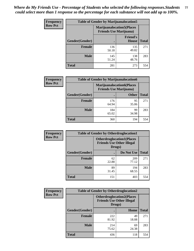| <b>Frequency</b> | <b>Table of Gender by Marijuanalocation5</b> |                                                                    |                                 |              |
|------------------|----------------------------------------------|--------------------------------------------------------------------|---------------------------------|--------------|
| <b>Row Pct</b>   |                                              | <b>Marijuanalocation5(Places</b><br><b>Friends Use Marijuana</b> ) |                                 |              |
|                  | Gender(Gender)                               |                                                                    | <b>Friend's</b><br><b>House</b> | <b>Total</b> |
|                  | <b>Female</b>                                | 136<br>50.18                                                       | 135<br>49.82                    | 271          |
|                  | <b>Male</b>                                  | 145<br>51.24                                                       | 138<br>48.76                    | 283          |
|                  | <b>Total</b>                                 | 281                                                                | 273                             | 554          |

| <b>Frequency</b> | <b>Table of Gender by Marijuanalocation6</b> |                                                                    |              |              |
|------------------|----------------------------------------------|--------------------------------------------------------------------|--------------|--------------|
| <b>Row Pct</b>   |                                              | <b>Marijuanalocation6(Places</b><br><b>Friends Use Marijuana</b> ) |              |              |
|                  | <b>Gender</b> (Gender)                       |                                                                    | <b>Other</b> | <b>Total</b> |
|                  | <b>Female</b>                                | 176<br>64.94                                                       | 95<br>35.06  | 271          |
|                  | <b>Male</b>                                  | 184<br>65.02                                                       | 99<br>34.98  | 283          |
|                  | <b>Total</b>                                 | 360                                                                | 194          | 554          |

| Frequency      | <b>Table of Gender by Otherdruglocation1</b> |                                                                                |              |              |
|----------------|----------------------------------------------|--------------------------------------------------------------------------------|--------------|--------------|
| <b>Row Pct</b> |                                              | <b>Otherdruglocation1(Places</b><br><b>Friends Use Other Illegal</b><br>Drugs) |              |              |
|                | Gender(Gender)                               |                                                                                | Do Not Use   | <b>Total</b> |
|                | <b>Female</b>                                | 62<br>22.88                                                                    | 209<br>77.12 | 271          |
|                | <b>Male</b>                                  | 89<br>31.45                                                                    | 194<br>68.55 | 283          |
|                | <b>Total</b>                                 | 151                                                                            | 403          | 554          |

| <b>Frequency</b> | <b>Table of Gender by Otherdruglocation2</b> |                                                                                |             |              |
|------------------|----------------------------------------------|--------------------------------------------------------------------------------|-------------|--------------|
| <b>Row Pct</b>   |                                              | <b>Otherdruglocation2(Places</b><br><b>Friends Use Other Illegal</b><br>Drugs) |             |              |
|                  | Gender(Gender)                               |                                                                                | Home        | <b>Total</b> |
|                  | Female                                       | 222<br>81.92                                                                   | 49<br>18.08 | 271          |
|                  | <b>Male</b>                                  | 214<br>75.62                                                                   | 69<br>24.38 | 283          |
|                  | <b>Total</b>                                 | 436                                                                            | 118         | 554          |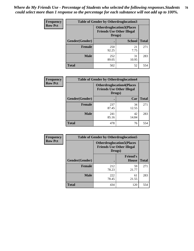| <b>Frequency</b> | <b>Table of Gender by Otherdruglocation3</b> |                                                                                |               |              |
|------------------|----------------------------------------------|--------------------------------------------------------------------------------|---------------|--------------|
| <b>Row Pct</b>   |                                              | <b>Otherdruglocation3(Places</b><br><b>Friends Use Other Illegal</b><br>Drugs) |               |              |
|                  | Gender(Gender)                               |                                                                                | <b>School</b> | <b>Total</b> |
|                  | <b>Female</b>                                | 250<br>92.25                                                                   | 21<br>7.75    | 271          |
|                  | <b>Male</b>                                  | 252<br>89.05                                                                   | 31<br>10.95   | 283          |
|                  | <b>Total</b>                                 | 502                                                                            | 52            | 554          |

| Frequency      | <b>Table of Gender by Otherdruglocation4</b> |                                                                                |             |              |
|----------------|----------------------------------------------|--------------------------------------------------------------------------------|-------------|--------------|
| <b>Row Pct</b> |                                              | <b>Otherdruglocation4(Places</b><br><b>Friends Use Other Illegal</b><br>Drugs) |             |              |
|                | Gender(Gender)                               |                                                                                | Car         | <b>Total</b> |
|                | <b>Female</b>                                | 237<br>87.45                                                                   | 34<br>12.55 | 271          |
|                | <b>Male</b>                                  | 241<br>85.16                                                                   | 42<br>14.84 | 283          |
|                | <b>Total</b>                                 | 478                                                                            | 76          | 554          |

| Frequency      | <b>Table of Gender by Otherdruglocation5</b> |                                                                                |                                 |              |
|----------------|----------------------------------------------|--------------------------------------------------------------------------------|---------------------------------|--------------|
| <b>Row Pct</b> |                                              | <b>Otherdruglocation5(Places</b><br><b>Friends Use Other Illegal</b><br>Drugs) |                                 |              |
|                | Gender(Gender)                               |                                                                                | <b>Friend's</b><br><b>House</b> | <b>Total</b> |
|                | <b>Female</b>                                | 212<br>78.23                                                                   | 59<br>21.77                     | 271          |
|                | <b>Male</b>                                  | 222<br>78.45                                                                   | 61<br>21.55                     | 283          |
|                | <b>Total</b>                                 | 434                                                                            | 120                             | 554          |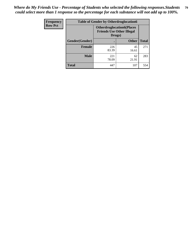| <b>Frequency</b> | <b>Table of Gender by Otherdruglocation6</b> |                                                                                |              |              |
|------------------|----------------------------------------------|--------------------------------------------------------------------------------|--------------|--------------|
| <b>Row Pct</b>   |                                              | <b>Otherdruglocation6(Places</b><br><b>Friends Use Other Illegal</b><br>Drugs) |              |              |
|                  | Gender(Gender)                               |                                                                                | <b>Other</b> | <b>Total</b> |
|                  | <b>Female</b>                                | 226<br>83.39                                                                   | 45<br>16.61  | 271          |
|                  | <b>Male</b>                                  | 221<br>78.09                                                                   | 62<br>21.91  | 283          |
|                  | <b>Total</b>                                 | 447                                                                            | 107          | 554          |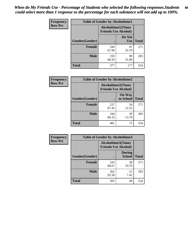| <b>Frequency</b> | <b>Table of Gender by Alcoholtime1</b> |                                                          |                      |              |
|------------------|----------------------------------------|----------------------------------------------------------|----------------------|--------------|
| <b>Row Pct</b>   |                                        | <b>Alcoholtime1(Times</b><br><b>Friends Use Alcohol)</b> |                      |              |
|                  | Gender(Gender)                         |                                                          | Do Not<br><b>Use</b> | <b>Total</b> |
|                  | <b>Female</b>                          | 184<br>67.90                                             | 87<br>32.10          | 271          |
|                  | <b>Male</b>                            | 193<br>68.20                                             | 90<br>31.80          | 283          |
|                  | <b>Total</b>                           | 377                                                      | 177                  | 554          |

| Frequency      | <b>Table of Gender by Alcoholtime2</b> |                                                          |                            |              |
|----------------|----------------------------------------|----------------------------------------------------------|----------------------------|--------------|
| <b>Row Pct</b> |                                        | <b>Alcoholtime2(Times</b><br><b>Friends Use Alcohol)</b> |                            |              |
|                | Gender(Gender)                         |                                                          | <b>On Way</b><br>to School | <b>Total</b> |
|                | <b>Female</b>                          | 237<br>87.45                                             | 34<br>12.55                | 271          |
|                | <b>Male</b>                            | 244<br>86.22                                             | 39<br>13.78                | 283          |
|                | <b>Total</b>                           | 481                                                      | 73                         | 554          |

| Frequency      | <b>Table of Gender by Alcoholtime3</b> |                                                          |                                |              |
|----------------|----------------------------------------|----------------------------------------------------------|--------------------------------|--------------|
| <b>Row Pct</b> |                                        | <b>Alcoholtime3(Times</b><br><b>Friends Use Alcohol)</b> |                                |              |
|                | Gender(Gender)                         |                                                          | <b>During</b><br><b>School</b> | <b>Total</b> |
|                | Female                                 | 243<br>89.67                                             | 28<br>10.33                    | 271          |
|                | <b>Male</b>                            | 262<br>92.58                                             | 21<br>7.42                     | 283          |
|                | <b>Total</b>                           | 505                                                      | 49                             | 554          |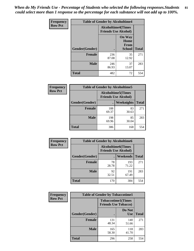*When do My Friends Use - Percentage of Students who selected the following responses.Students could select more than 1 response so the percentage for each substance will not add up to 100%.* **81**

| <b>Frequency</b> | <b>Table of Gender by Alcoholtime4</b> |                                                          |                                                |              |
|------------------|----------------------------------------|----------------------------------------------------------|------------------------------------------------|--------------|
| <b>Row Pct</b>   |                                        | <b>Alcoholtime4(Times</b><br><b>Friends Use Alcohol)</b> |                                                |              |
|                  | Gender(Gender)                         |                                                          | <b>On Way</b><br>Home<br>From<br><b>School</b> | <b>Total</b> |
|                  | <b>Female</b>                          | 236<br>87.08                                             | 35<br>12.92                                    | 271          |
|                  | <b>Male</b>                            | 246<br>86.93                                             | 37<br>13.07                                    | 283          |
|                  | <b>Total</b>                           | 482                                                      | 72                                             | 554          |

| <b>Frequency</b> | <b>Table of Gender by Alcoholtime5</b> |                                                           |             |              |
|------------------|----------------------------------------|-----------------------------------------------------------|-------------|--------------|
| <b>Row Pct</b>   |                                        | <b>Alcoholtime5</b> (Times<br><b>Friends Use Alcohol)</b> |             |              |
|                  | Gender(Gender)                         |                                                           | Weeknights  | <b>Total</b> |
|                  | <b>Female</b>                          | 188<br>69.37                                              | 83<br>30.63 | 271          |
|                  | <b>Male</b>                            | 198<br>69.96                                              | 85<br>30.04 | 283          |
|                  | <b>Total</b>                           | 386                                                       | 168         | 554          |

| <b>Frequency</b> |                | <b>Table of Gender by Alcoholtime6</b> |                                                          |              |
|------------------|----------------|----------------------------------------|----------------------------------------------------------|--------------|
| <b>Row Pct</b>   |                |                                        | <b>Alcoholtime6(Times</b><br><b>Friends Use Alcohol)</b> |              |
|                  | Gender(Gender) |                                        | Weekends                                                 | <b>Total</b> |
|                  | Female         | 78<br>28.78                            | 193<br>71.22                                             | 271          |
|                  | <b>Male</b>    | 92<br>32.51                            | 191<br>67.49                                             | 283          |
|                  | <b>Total</b>   | 170                                    | 384                                                      | 554          |

| Frequency      | <b>Table of Gender by Tobaccotime1</b> |                                                          |                      |              |
|----------------|----------------------------------------|----------------------------------------------------------|----------------------|--------------|
| <b>Row Pct</b> |                                        | <b>Tobaccotime1(Times</b><br><b>Friends Use Tobacco)</b> |                      |              |
|                | Gender(Gender)                         |                                                          | Do Not<br><b>Use</b> | <b>Total</b> |
|                | <b>Female</b>                          | 131<br>48.34                                             | 140<br>51.66         | 271          |
|                | <b>Male</b>                            | 165<br>58.30                                             | 118<br>41.70         | 283          |
|                | <b>Total</b>                           | 296                                                      | 258                  | 554          |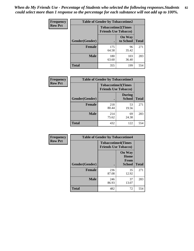| <b>Frequency</b> | <b>Table of Gender by Tobaccotime2</b> |                             |                            |              |
|------------------|----------------------------------------|-----------------------------|----------------------------|--------------|
| <b>Row Pct</b>   |                                        | <b>Friends Use Tobacco)</b> | <b>Tobaccotime2(Times</b>  |              |
|                  | Gender(Gender)                         |                             | <b>On Way</b><br>to School | <b>Total</b> |
|                  | <b>Female</b>                          | 175<br>64.58                | 96<br>35.42                | 271          |
|                  | <b>Male</b>                            | 180<br>63.60                | 103<br>36.40               | 283          |
|                  | <b>Total</b>                           | 355                         | 199                        | 554          |

| Frequency      | <b>Table of Gender by Tobaccotime3</b> |                                                          |                                |              |
|----------------|----------------------------------------|----------------------------------------------------------|--------------------------------|--------------|
| <b>Row Pct</b> |                                        | <b>Tobaccotime3(Times</b><br><b>Friends Use Tobacco)</b> |                                |              |
|                | Gender(Gender)                         |                                                          | <b>During</b><br><b>School</b> | <b>Total</b> |
|                | Female                                 | 218<br>80.44                                             | 53<br>19.56                    | 271          |
|                | <b>Male</b>                            | 214<br>75.62                                             | 69<br>24.38                    | 283          |
|                | <b>Total</b>                           | 432                                                      | 122                            | 554          |

| <b>Frequency</b> | <b>Table of Gender by Tobaccotime4</b> |                                                          |                                                       |              |
|------------------|----------------------------------------|----------------------------------------------------------|-------------------------------------------------------|--------------|
| <b>Row Pct</b>   |                                        | <b>Tobaccotime4(Times</b><br><b>Friends Use Tobacco)</b> |                                                       |              |
|                  | Gender(Gender)                         |                                                          | <b>On Way</b><br>Home<br><b>From</b><br><b>School</b> | <b>Total</b> |
|                  | <b>Female</b>                          | 236<br>87.08                                             | 35<br>12.92                                           | 271          |
|                  | <b>Male</b>                            | 246<br>86.93                                             | 37<br>13.07                                           | 283          |
|                  | <b>Total</b>                           | 482                                                      | 72                                                    | 554          |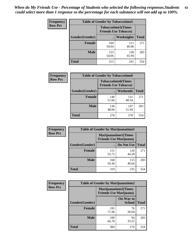| <b>Frequency</b> | <b>Table of Gender by Tobaccotime5</b> |              |                                                          |              |  |
|------------------|----------------------------------------|--------------|----------------------------------------------------------|--------------|--|
| <b>Row Pct</b>   |                                        |              | <b>Tobaccotime5(Times</b><br><b>Friends Use Tobacco)</b> |              |  |
|                  | Gender(Gender)                         |              | Weeknights                                               | <b>Total</b> |  |
|                  | Female                                 | 160<br>59.04 | 111<br>40.96                                             | 271          |  |
|                  | <b>Male</b>                            | 153<br>54.06 | 130<br>45.94                                             | 283          |  |
|                  | <b>Total</b>                           | 313          | 241                                                      | 554          |  |

| Frequency      | <b>Table of Gender by Tobaccotime6</b> |                                                          |              |              |
|----------------|----------------------------------------|----------------------------------------------------------|--------------|--------------|
| <b>Row Pct</b> |                                        | <b>Tobaccotime6(Times</b><br><b>Friends Use Tobacco)</b> |              |              |
|                | Gender(Gender)                         |                                                          | Weekends     | <b>Total</b> |
|                | Female                                 | 140<br>51.66                                             | 131<br>48.34 | 271          |
|                | <b>Male</b>                            | 136<br>48.06                                             | 147<br>51.94 | 283          |
|                | <b>Total</b>                           | 276                                                      | 278          | 554          |

| <b>Frequency</b> | <b>Table of Gender by Marijuanatime1</b> |                                                               |              |              |  |
|------------------|------------------------------------------|---------------------------------------------------------------|--------------|--------------|--|
| <b>Row Pct</b>   |                                          | <b>Marijuanatime1(Times</b><br><b>Friends Use Marijuana</b> ) |              |              |  |
|                  | Gender(Gender)                           |                                                               | Do Not Use   | <b>Total</b> |  |
|                  | <b>Female</b>                            | 151<br>55.72                                                  | 120<br>44.28 | 271          |  |
|                  | <b>Male</b>                              | 168<br>59.36                                                  | 115<br>40.64 | 283          |  |
|                  | <b>Total</b>                             | 319                                                           | 235          | 554          |  |

| <b>Frequency</b> | <b>Table of Gender by Marijuanatime2</b> |                                                               |                            |              |
|------------------|------------------------------------------|---------------------------------------------------------------|----------------------------|--------------|
| <b>Row Pct</b>   |                                          | <b>Marijuanatime2(Times</b><br><b>Friends Use Marijuana</b> ) |                            |              |
|                  | Gender(Gender)                           |                                                               | On Way to<br><b>School</b> | <b>Total</b> |
|                  | <b>Female</b>                            | 195<br>71.96                                                  | 76<br>28.04                | 271          |
|                  | <b>Male</b>                              | 189<br>66.78                                                  | 94<br>33.22                | 283          |
|                  | <b>Total</b>                             | 384                                                           | 170                        | 554          |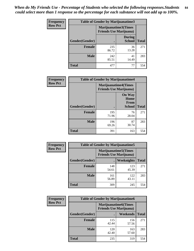*When do My Friends Use - Percentage of Students who selected the following responses.Students could select more than 1 response so the percentage for each substance will not add up to 100%.* **84**

| <b>Frequency</b> | Table of Gender by Marijuanatime3 |                                                        |                                |              |
|------------------|-----------------------------------|--------------------------------------------------------|--------------------------------|--------------|
| <b>Row Pct</b>   |                                   | Marijuanatime3(Times<br><b>Friends Use Marijuana</b> ) |                                |              |
|                  | Gender(Gender)                    |                                                        | <b>During</b><br><b>School</b> | <b>Total</b> |
|                  | <b>Female</b>                     | 235<br>86.72                                           | 36<br>13.28                    | 271          |
|                  | <b>Male</b>                       | 242<br>85.51                                           | 41<br>14.49                    | 283          |
|                  | <b>Total</b>                      | 477                                                    | 77                             | 554          |

| Frequency      | <b>Table of Gender by Marijuanatime4</b> |                                |                                                       |              |
|----------------|------------------------------------------|--------------------------------|-------------------------------------------------------|--------------|
| <b>Row Pct</b> |                                          | <b>Friends Use Marijuana</b> ) | <b>Marijuanatime4</b> (Times                          |              |
|                | <b>Gender</b> (Gender)                   |                                | <b>On Way</b><br>Home<br><b>From</b><br><b>School</b> | <b>Total</b> |
|                | <b>Female</b>                            | 195<br>71.96                   | 76<br>28.04                                           | 271          |
|                | <b>Male</b>                              | 196<br>69.26                   | 87<br>30.74                                           | 283          |
|                | <b>Total</b>                             | 391                            | 163                                                   | 554          |

| Frequency      | <b>Table of Gender by Marijuanatime5</b> |              |                                                                |              |  |
|----------------|------------------------------------------|--------------|----------------------------------------------------------------|--------------|--|
| <b>Row Pct</b> |                                          |              | <b>Marijuanatime5</b> (Times<br><b>Friends Use Marijuana</b> ) |              |  |
|                | Gender(Gender)                           |              | Weeknights                                                     | <b>Total</b> |  |
|                | <b>Female</b>                            | 148<br>54.61 | 123<br>45.39                                                   | 271          |  |
|                | <b>Male</b>                              | 161<br>56.89 | 122<br>43.11                                                   | 283          |  |
|                | <b>Total</b>                             | 309          | 245                                                            | 554          |  |

| Frequency      | <b>Table of Gender by Marijuanatime6</b> |                                                               |                 |              |  |
|----------------|------------------------------------------|---------------------------------------------------------------|-----------------|--------------|--|
| <b>Row Pct</b> |                                          | <b>Marijuanatime6(Times</b><br><b>Friends Use Marijuana</b> ) |                 |              |  |
|                | Gender(Gender)                           |                                                               | <b>Weekends</b> | <b>Total</b> |  |
|                | <b>Female</b>                            | 115<br>42.44                                                  | 156<br>57.56    | 271          |  |
|                | <b>Male</b>                              | 120<br>42.40                                                  | 163<br>57.60    | 283          |  |
|                | <b>Total</b>                             | 235                                                           | 319             | 554          |  |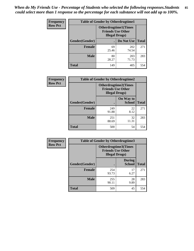*When do My Friends Use - Percentage of Students who selected the following responses.Students could select more than 1 response so the percentage for each substance will not add up to 100%.* **85**

| <b>Frequency</b> | <b>Table of Gender by Otherdrugtime1</b> |                                                                                    |              |              |  |
|------------------|------------------------------------------|------------------------------------------------------------------------------------|--------------|--------------|--|
| <b>Row Pct</b>   |                                          | <b>Otherdrugtime1</b> (Times<br><b>Friends Use Other</b><br><b>Illegal Drugs</b> ) |              |              |  |
|                  | Gender(Gender)                           |                                                                                    | Do Not Use   | <b>Total</b> |  |
|                  | <b>Female</b>                            | 69<br>25.46                                                                        | 202<br>74.54 | 271          |  |
|                  | <b>Male</b>                              | 80<br>28.27                                                                        | 203<br>71.73 | 283          |  |
|                  | <b>Total</b>                             | 149                                                                                | 405          | 554          |  |

| Frequency      | <b>Table of Gender by Otherdrugtime2</b> |                                                                                   |                            |              |
|----------------|------------------------------------------|-----------------------------------------------------------------------------------|----------------------------|--------------|
| <b>Row Pct</b> |                                          | <b>Otherdrugtime2(Times</b><br><b>Friends Use Other</b><br><b>Illegal Drugs</b> ) |                            |              |
|                | Gender(Gender)                           |                                                                                   | On Way to<br><b>School</b> | <b>Total</b> |
|                | <b>Female</b>                            | 249<br>91.88                                                                      | 22<br>8.12                 | 271          |
|                | <b>Male</b>                              | 251<br>88.69                                                                      | 32<br>11.31                | 283          |
|                | <b>Total</b>                             | 500                                                                               | 54                         | 554          |

| Frequency      | <b>Table of Gender by Otherdrugtime3</b> |                        |                                                         |              |
|----------------|------------------------------------------|------------------------|---------------------------------------------------------|--------------|
| <b>Row Pct</b> |                                          | <b>Illegal Drugs</b> ) | <b>Otherdrugtime3(Times</b><br><b>Friends Use Other</b> |              |
|                | Gender(Gender)                           |                        | <b>During</b><br><b>School</b>                          | <b>Total</b> |
|                | <b>Female</b>                            | 254<br>93.73           | 17<br>6.27                                              | 271          |
|                | <b>Male</b>                              | 255<br>90.11           | 28<br>9.89                                              | 283          |
|                | <b>Total</b>                             | 509                    | 45                                                      | 554          |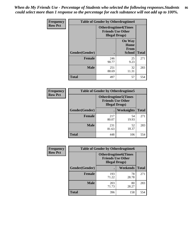*When do My Friends Use - Percentage of Students who selected the following responses.Students could select more than 1 response so the percentage for each substance will not add up to 100%.* **86**

| <b>Frequency</b> | <b>Table of Gender by Otherdrugtime4</b> |                        |                                                         |              |
|------------------|------------------------------------------|------------------------|---------------------------------------------------------|--------------|
| <b>Row Pct</b>   |                                          | <b>Illegal Drugs</b> ) | <b>Otherdrugtime4(Times</b><br><b>Friends Use Other</b> |              |
|                  | Gender(Gender)                           |                        | <b>On Way</b><br>Home<br><b>From</b><br><b>School</b>   | <b>Total</b> |
|                  | <b>Female</b>                            | 246<br>90.77           | 25<br>9.23                                              | 271          |
|                  | <b>Male</b>                              | 251<br>88.69           | 32<br>11.31                                             | 283          |
|                  | <b>Total</b>                             | 497                    | 57                                                      | 554          |

| <b>Frequency</b> | <b>Table of Gender by Otherdrugtime5</b> |              |                                                                                    |              |
|------------------|------------------------------------------|--------------|------------------------------------------------------------------------------------|--------------|
| <b>Row Pct</b>   |                                          |              | <b>Otherdrugtime5</b> (Times<br><b>Friends Use Other</b><br><b>Illegal Drugs</b> ) |              |
|                  | Gender(Gender)                           |              | <b>Weeknights</b>                                                                  | <b>Total</b> |
|                  | <b>Female</b>                            | 217<br>80.07 | 54<br>19.93                                                                        | 271          |
|                  | <b>Male</b>                              | 231<br>81.63 | 52<br>18.37                                                                        | 283          |
|                  | Total                                    | 448          | 106                                                                                | 554          |

| <b>Frequency</b> | <b>Table of Gender by Otherdrugtime6</b> |                                                                                   |             |              |
|------------------|------------------------------------------|-----------------------------------------------------------------------------------|-------------|--------------|
| <b>Row Pct</b>   |                                          | <b>Otherdrugtime6(Times</b><br><b>Friends Use Other</b><br><b>Illegal Drugs</b> ) |             |              |
|                  | Gender(Gender)                           |                                                                                   | Weekends    | <b>Total</b> |
|                  | <b>Female</b>                            | 193<br>71.22                                                                      | 78<br>28.78 | 271          |
|                  | <b>Male</b>                              | 203<br>71.73                                                                      | 80<br>28.27 | 283          |
|                  | <b>Total</b>                             | 396                                                                               | 158         | 554          |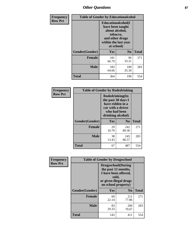# *Other Questions* **87**

| <b>Frequency</b> | <b>Table of Gender by Educationalcohol</b> |                                                                                                                               |                |              |  |
|------------------|--------------------------------------------|-------------------------------------------------------------------------------------------------------------------------------|----------------|--------------|--|
| <b>Row Pct</b>   |                                            | Educationalcohol(I<br>have been taught<br>about alcohol,<br>tobacco,<br>and other drugs<br>within the last year<br>at school) |                |              |  |
|                  | Gender(Gender)                             | <b>Yes</b>                                                                                                                    | N <sub>0</sub> | <b>Total</b> |  |
|                  | <b>Female</b>                              | 181<br>66.79                                                                                                                  | 90<br>33.21    | 271          |  |
|                  | <b>Male</b>                                | 183<br>64.66                                                                                                                  | 100<br>35.34   | 283          |  |
|                  | <b>Total</b>                               | 364                                                                                                                           | 190            | 554          |  |

| Frequency      | <b>Table of Gender by Rodedrinking</b> |                                                                                                                     |                |              |  |
|----------------|----------------------------------------|---------------------------------------------------------------------------------------------------------------------|----------------|--------------|--|
| <b>Row Pct</b> |                                        | Rodedrinking(In<br>the past 30 days I<br>have ridden in a<br>car with a driver<br>who had been<br>drinking alcohol) |                |              |  |
|                | Gender(Gender)                         | Yes                                                                                                                 | N <sub>0</sub> | <b>Total</b> |  |
|                | <b>Female</b>                          | 29<br>10.70                                                                                                         | 242<br>89.30   | 271          |  |
|                | <b>Male</b>                            | 38<br>13.43                                                                                                         | 245<br>86.57   | 283          |  |
|                | <b>Total</b>                           | 67                                                                                                                  | 487            | 554          |  |

| Frequency      | <b>Table of Gender by Drugsschool</b> |                                                                                                                                     |                |              |  |
|----------------|---------------------------------------|-------------------------------------------------------------------------------------------------------------------------------------|----------------|--------------|--|
| <b>Row Pct</b> |                                       | <b>Drugsschool</b> (During<br>the past 12 months,<br>I have been offered,<br>sold,<br>or given illegal drugs<br>on school property) |                |              |  |
|                | Gender(Gender)                        | Yes                                                                                                                                 | N <sub>0</sub> | <b>Total</b> |  |
|                | <b>Female</b>                         | 60<br>22.14                                                                                                                         | 211<br>77.86   | 271          |  |
|                | <b>Male</b>                           | 83<br>29.33                                                                                                                         | 200<br>70.67   | 283          |  |
|                | <b>Total</b>                          | 143                                                                                                                                 | 411            | 554          |  |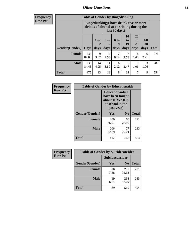# *Other Questions* **88**

**Frequency Row Pct**

| <b>Table of Gender by Bingedrinking</b> |                         |                                                                                                         |                   |                   |                        |                               |                   |              |
|-----------------------------------------|-------------------------|---------------------------------------------------------------------------------------------------------|-------------------|-------------------|------------------------|-------------------------------|-------------------|--------------|
|                                         |                         | Bingedrinking(I have drunk five or more<br>drinks of alcohol at one sitting during the<br>last 30 days) |                   |                   |                        |                               |                   |              |
| <b>Gender</b> (Gender)                  | $\bf{0}$<br><b>Days</b> | $1$ or<br>days                                                                                          | 3 to<br>5<br>days | 6 to<br>9<br>days | 10<br>to<br>19<br>days | <b>20</b><br>to<br>29<br>days | All<br>30<br>days | <b>Total</b> |
| <b>Female</b>                           | 236                     |                                                                                                         |                   |                   |                        |                               |                   |              |
|                                         | 87.08                   | 9<br>3.32                                                                                               | 7<br>2.58         | 2<br>0.74         | 7<br>2.58              | 4<br>1.48                     | 6<br>2.21         | 271          |
| <b>Male</b>                             | 239<br>84.45            | 14<br>4.95                                                                                              | 11<br>3.89        | 6<br>2.12         | 7<br>2.47              | 3<br>1.06                     | 3<br>1.06         | 283          |

| Frequency      | <b>Table of Gender by Educationaids</b> |                                                                                                 |             |              |  |
|----------------|-----------------------------------------|-------------------------------------------------------------------------------------------------|-------------|--------------|--|
| <b>Row Pct</b> |                                         | <b>Educationaids</b> (I<br>have been taught<br>about HIV/AIDS<br>at school in the<br>past year) |             |              |  |
|                | Gender(Gender)                          | Yes                                                                                             | $\bf N_0$   | <b>Total</b> |  |
|                | <b>Female</b>                           | 206<br>76.01                                                                                    | 65<br>23.99 | 271          |  |
|                | <b>Male</b>                             | 206<br>72.79                                                                                    | 77<br>27.21 | 283          |  |
|                | <b>Total</b>                            | 412                                                                                             | 142         | 554          |  |

| <b>Frequency</b> | <b>Table of Gender by Suicideconsider</b> |                        |                |       |
|------------------|-------------------------------------------|------------------------|----------------|-------|
| <b>Row Pct</b>   |                                           | <b>Suicideconsider</b> |                |       |
|                  | Gender(Gender)                            | Yes                    | N <sub>0</sub> | Total |
|                  | Female                                    | 20<br>7.38             | 251<br>92.62   | 271   |
|                  | <b>Male</b>                               | 19<br>6.71             | 264<br>93.29   | 283   |
|                  | <b>Total</b>                              | 39                     | 515            | 554   |